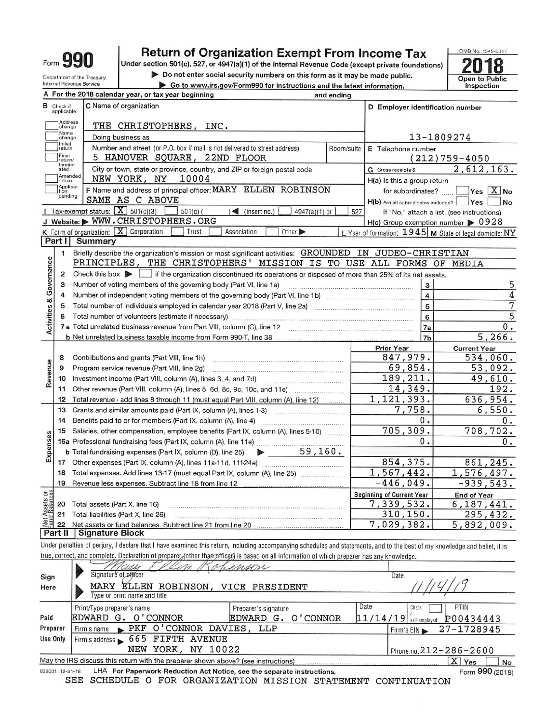| ⊦orm | <b>LDA</b> |  |
|------|------------|--|
|      |            |  |

Department of the Treasury

## **Return of Organization Exempt From Income Tax**

Under section 501(c), 527, or 4947(a)(1) of the Internal Revenue Code (except private foundations)

Do not enter social security numbers on this form as it may be made public.



|                                |                                  | Internal Revenue Service                      |                                                                                   | Go to www.irs.gov/Form990 for instructions and the latest information.                                                                                                                                                        |            |                                       | Inspection                                                |
|--------------------------------|----------------------------------|-----------------------------------------------|-----------------------------------------------------------------------------------|-------------------------------------------------------------------------------------------------------------------------------------------------------------------------------------------------------------------------------|------------|---------------------------------------|-----------------------------------------------------------|
|                                |                                  |                                               | A For the 2018 calendar year, or tax year beginning                               |                                                                                                                                                                                                                               | and ending |                                       |                                                           |
|                                | <b>B</b> Check if<br>applicable: |                                               | C Name of organization                                                            |                                                                                                                                                                                                                               |            | D Employer identification number      |                                                           |
|                                | Address<br>change                |                                               | THE CHRISTOPHERS,                                                                 | INC.                                                                                                                                                                                                                          |            |                                       |                                                           |
|                                | Name<br>change                   |                                               | Doing business as                                                                 |                                                                                                                                                                                                                               |            |                                       | 13-1809274                                                |
|                                | Initial<br>return                |                                               | Number and street (or P.O. box if mail is not delivered to street address)        |                                                                                                                                                                                                                               | Room/suite | E Telephone number                    |                                                           |
|                                | Final<br>return/                 |                                               | 5 HANOVER SQUARE, 22ND FLOOR                                                      |                                                                                                                                                                                                                               |            |                                       | $(212)759 - 4050$                                         |
|                                | termin-<br>ated                  |                                               |                                                                                   | City or town, state or province, country, and ZIP or foreign postal code                                                                                                                                                      |            | <b>G</b> Gross receipts \$            | 2,612,163.                                                |
|                                | Amended<br>return                |                                               | 10004<br>NEW YORK, NY                                                             |                                                                                                                                                                                                                               |            | H(a) Is this a group return           |                                                           |
|                                | Applica-<br>tion                 |                                               |                                                                                   | F Name and address of principal officer: MARY ELLEN ROBINSON                                                                                                                                                                  |            | for subordinates?                     | Yes X No                                                  |
|                                | pending                          |                                               | SAME AS C ABOVE                                                                   |                                                                                                                                                                                                                               |            | $H(b)$ Are all subordinates included? | Yes<br>No.                                                |
|                                |                                  | 1 Tax-exempt status: $\overline{X}$ 501(c)(3) | $501(c)$ (                                                                        | $\sqrt{ }$ (insert no.)<br>$4947(a)(1)$ or                                                                                                                                                                                    | 527        |                                       | If "No," attach a list. (see instructions)                |
|                                |                                  |                                               | J Website: WWW.CHRISTOPHERS.ORG                                                   |                                                                                                                                                                                                                               |            |                                       | $H(c)$ Group exemption number $\triangleright$ 0928       |
|                                |                                  |                                               | $K$ Form of organization: $X$ Corporation<br>Trust                                | Association<br>Other >                                                                                                                                                                                                        |            |                                       | L Year of formation: $1945$ M State of legal domicile: NY |
|                                | Part I                           | Summary                                       |                                                                                   |                                                                                                                                                                                                                               |            |                                       |                                                           |
|                                | 1                                |                                               |                                                                                   | Briefly describe the organization's mission or most significant activities: GROUNDED IN JUDEO-CHRISTIAN                                                                                                                       |            |                                       |                                                           |
| Governance                     |                                  |                                               |                                                                                   | PRINCIPLES, THE CHRISTOPHERS' MISSION IS TO USE ALL FORMS OF MEDIA                                                                                                                                                            |            |                                       |                                                           |
|                                | 2                                |                                               |                                                                                   | Check this box $\triangleright$ $\square$ if the organization discontinued its operations or disposed of more than 25% of its net assets.                                                                                     |            |                                       |                                                           |
|                                | з                                |                                               | Number of voting members of the governing body (Part VI, line 1a)                 |                                                                                                                                                                                                                               |            |                                       | 5                                                         |
|                                | 4                                |                                               |                                                                                   | Number of independent voting members of the governing body (Part VI, line 1b) [100] [100] [100] [100] [100] [100] [100] [100] [100] [100] [100] [100] [100] [100] [100] [100] [100] [100] [100] [100] [100] [100] [100] [100] |            | $\overline{4}$                        | $\overline{4}$                                            |
|                                | 5                                |                                               |                                                                                   |                                                                                                                                                                                                                               |            | 5                                     | $\overline{7}$                                            |
| Activities &                   |                                  |                                               |                                                                                   |                                                                                                                                                                                                                               |            | 6                                     | $\overline{5}$                                            |
|                                |                                  |                                               |                                                                                   |                                                                                                                                                                                                                               |            | 7a                                    | 0.                                                        |
|                                |                                  |                                               |                                                                                   |                                                                                                                                                                                                                               |            | 7 <sub>b</sub>                        | 5, 266.                                                   |
|                                |                                  |                                               |                                                                                   |                                                                                                                                                                                                                               |            | <b>Prior Year</b>                     | <b>Current Year</b>                                       |
|                                | 8                                |                                               | Contributions and grants (Part VIII, line 1h)                                     |                                                                                                                                                                                                                               |            | 847,979.                              | 534,060.                                                  |
| Revenue                        | 9                                |                                               | Program service revenue (Part VIII, line 2g)                                      |                                                                                                                                                                                                                               |            | 69,854.                               | 53,092.                                                   |
|                                | 10                               |                                               |                                                                                   |                                                                                                                                                                                                                               |            | 189,211.                              | 49,610.                                                   |
|                                | 11                               |                                               |                                                                                   |                                                                                                                                                                                                                               |            | 14,349.                               | 192.                                                      |
|                                | 12                               |                                               |                                                                                   | Total revenue - add lines 8 through 11 (must equal Part VIII, column (A), line 12)                                                                                                                                            |            | 1, 121, 393.                          | 636,954.                                                  |
|                                | 13                               |                                               |                                                                                   | Grants and similar amounts paid (Part IX, column (A), lines 1-3)                                                                                                                                                              |            | 7,758.                                | 6,550.                                                    |
|                                | 14                               |                                               | Benefits paid to or for members (Part IX, column (A), line 4)                     |                                                                                                                                                                                                                               |            | 0.                                    | Ο.                                                        |
|                                | 15                               |                                               |                                                                                   | Salaries, other compensation, employee benefits (Part IX, column (A), lines 5-10)                                                                                                                                             |            | 705,309.                              | 708,702.                                                  |
| Expenses                       |                                  |                                               |                                                                                   |                                                                                                                                                                                                                               |            | 0.                                    | 0.                                                        |
|                                |                                  |                                               | b Total fundraising expenses (Part IX, column (D), line 25)                       | $\blacktriangleright$ 59,160.                                                                                                                                                                                                 |            |                                       |                                                           |
|                                |                                  |                                               |                                                                                   |                                                                                                                                                                                                                               |            | 854,375.                              | 861,245.                                                  |
|                                | 18                               |                                               |                                                                                   | Total expenses. Add lines 13-17 (must equal Part IX, column (A), line 25)                                                                                                                                                     |            | 1,567,442.                            | 1,576,497.                                                |
|                                | 19                               |                                               |                                                                                   |                                                                                                                                                                                                                               |            | $-446,049.$                           | $-939,543.$                                               |
|                                |                                  |                                               |                                                                                   |                                                                                                                                                                                                                               |            | <b>Beginning of Current Year</b>      | End of Year                                               |
| Net Assets or<br>Fund Balances | 20                               | Total assets (Part X, line 16)                |                                                                                   |                                                                                                                                                                                                                               |            | 7, 339, 532.                          | 6,187,441.                                                |
|                                | 21                               |                                               | Total liabilities (Part X, line 26)                                               |                                                                                                                                                                                                                               |            | 310,150.                              | 295,432.                                                  |
|                                | 22                               |                                               | Net assets or fund balances. Subtract line 21 from line 20                        |                                                                                                                                                                                                                               |            | 7,029,382.                            | 5,892,009.                                                |
|                                | Part II                          | <b>Signature Block</b>                        |                                                                                   |                                                                                                                                                                                                                               |            |                                       |                                                           |
|                                |                                  |                                               |                                                                                   | Under penalties of perjury, I declare that I have examined this return, including accompanying schedules and statements, and to the best of my knowledge and belief, it is                                                    |            |                                       |                                                           |
|                                |                                  |                                               |                                                                                   | true, correct, and complete. Declaration of preparer (other than officer) is based on all information of which preparer has any knowledge.                                                                                    |            |                                       |                                                           |
|                                |                                  |                                               |                                                                                   | maere                                                                                                                                                                                                                         |            |                                       |                                                           |
| Sign                           |                                  |                                               | Signature of officer                                                              |                                                                                                                                                                                                                               |            | Date                                  |                                                           |
| Here                           |                                  |                                               | MARY ELLEN ROBINSON, VICE PRESIDENT                                               |                                                                                                                                                                                                                               |            |                                       |                                                           |
|                                |                                  |                                               | Type or print name and title                                                      |                                                                                                                                                                                                                               |            |                                       |                                                           |
|                                |                                  | Print/Type preparer's name                    |                                                                                   | Preparer's signature                                                                                                                                                                                                          |            | Date<br>Check                         | PTIN                                                      |
| Paid                           |                                  |                                               | EDWARD G. O'CONNOR                                                                | EDWARD G. O'CONNOR                                                                                                                                                                                                            |            | 11/14/19<br>self-employed             | P00434443                                                 |
| Preparer                       |                                  | Firm's name                                   | PKF<br>O'CONNOR DAVIES,                                                           | LLP                                                                                                                                                                                                                           |            | Firm's EIN ▶                          | 27-1728945                                                |
| Use Only                       |                                  |                                               | Firm's address > 665 FIFTH AVENUE                                                 |                                                                                                                                                                                                                               |            |                                       |                                                           |
|                                |                                  |                                               | NEW YORK, NY 10022                                                                |                                                                                                                                                                                                                               |            |                                       | Phone no. 212 - 286 - 2600                                |
|                                |                                  |                                               | May the IRS discuss this return with the preparer shown above? (see instructions) |                                                                                                                                                                                                                               |            |                                       | X Yes<br>No                                               |
|                                | 832001 12-31-18                  |                                               |                                                                                   | LHA For Paperwork Reduction Act Notice, see the separate instructions.                                                                                                                                                        |            |                                       | Form 990 (2018)                                           |

SEE SCHEDULE O FOR ORGANIZATION MISSION STATEMENT CONTINUATION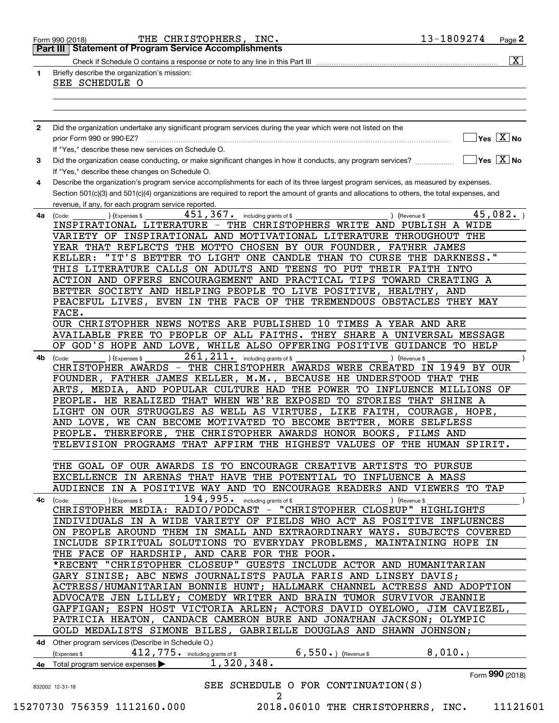|              | <b>Statement of Program Service Accomplishments</b><br>Part III                                                                              |                                                                 |
|--------------|----------------------------------------------------------------------------------------------------------------------------------------------|-----------------------------------------------------------------|
|              |                                                                                                                                              | $\overline{\mathbf{X}}$                                         |
| 1            | Briefly describe the organization's mission:                                                                                                 |                                                                 |
|              | SEE SCHEDULE O                                                                                                                               |                                                                 |
|              |                                                                                                                                              |                                                                 |
|              |                                                                                                                                              |                                                                 |
|              |                                                                                                                                              |                                                                 |
| $\mathbf{2}$ | Did the organization undertake any significant program services during the year which were not listed on the                                 |                                                                 |
|              | prior Form 990 or 990-EZ?                                                                                                                    | $\sqrt{}$ Yes $\sqrt{X}$ No                                     |
|              | If "Yes," describe these new services on Schedule O.                                                                                         |                                                                 |
|              |                                                                                                                                              | $\overline{\mathsf{Yes} \mathrel{\hspace{0.5pt}\mathsf{X}}}$ No |
| 3            | Did the organization cease conducting, or make significant changes in how it conducts, any program services?                                 |                                                                 |
|              | If "Yes," describe these changes on Schedule O.                                                                                              |                                                                 |
| 4            | Describe the organization's program service accomplishments for each of its three largest program services, as measured by expenses.         |                                                                 |
|              | Section 501(c)(3) and 501(c)(4) organizations are required to report the amount of grants and allocations to others, the total expenses, and |                                                                 |
|              | revenue, if any, for each program service reported.                                                                                          |                                                                 |
| 4a           | $451, 367$ . including grants of \$<br>(Expenses \$<br>(Code:                                                                                | 45,082.<br>) (Revenue \$                                        |
|              | INSPIRATIONAL LITERATURE - THE CHRISTOPHERS WRITE AND PUBLISH A WIDE                                                                         |                                                                 |
|              | VARIETY OF INSPIRATIONAL AND MOTIVATIONAL LITERATURE THROUGHOUT THE                                                                          |                                                                 |
|              | YEAR THAT REFLECTS THE MOTTO CHOSEN BY OUR FOUNDER, FATHER JAMES                                                                             |                                                                 |
|              | "IT'S BETTER TO LIGHT ONE CANDLE THAN TO CURSE THE DARKNESS."<br>KELLER:                                                                     |                                                                 |
|              | THIS LITERATURE CALLS ON ADULTS AND TEENS TO PUT THEIR FAITH INTO                                                                            |                                                                 |
|              | ACTION AND OFFERS ENCOURAGEMENT AND PRACTICAL TIPS TOWARD CREATING A                                                                         |                                                                 |
|              | BETTER SOCIETY AND HELPING PEOPLE TO LIVE POSITIVE, HEALTHY,                                                                                 | AND                                                             |
|              | PEACEFUL LIVES, EVEN IN THE FACE OF THE TREMENDOUS OBSTACLES THEY MAY                                                                        |                                                                 |
|              |                                                                                                                                              |                                                                 |
|              | FACE.                                                                                                                                        |                                                                 |
|              | OUR CHRISTOPHER NEWS NOTES ARE PUBLISHED 10 TIMES A YEAR AND ARE                                                                             |                                                                 |
|              | AVAILABLE FREE TO PEOPLE OF ALL FAITHS. THEY SHARE A UNIVERSAL MESSAGE                                                                       |                                                                 |
|              | OF GOD'S HOPE AND LOVE, WHILE ALSO OFFERING POSITIVE GUIDANCE TO HELP                                                                        |                                                                 |
| 4b           | 261, 211.<br>including grants of \$<br>(Code:<br>(Expenses \$                                                                                | ) (Revenue \$                                                   |
|              | CHRISTOPHER AWARDS - THE CHRISTOPHER AWARDS WERE CREATED IN 1949 BY OUR                                                                      |                                                                 |
|              | FOUNDER, FATHER JAMES KELLER, M.M., BECAUSE HE UNDERSTOOD THAT THE                                                                           |                                                                 |
|              | ARTS, MEDIA, AND POPULAR CULTURE HAD THE POWER TO INFLUENCE MILLIONS OF                                                                      |                                                                 |
|              | PEOPLE. HE REALIZED THAT WHEN WE'RE EXPOSED TO STORIES THAT SHINE A                                                                          |                                                                 |
|              | LIGHT ON OUR STRUGGLES AS WELL AS VIRTUES, LIKE FAITH,                                                                                       | COURAGE, HOPE,                                                  |
|              |                                                                                                                                              |                                                                 |
|              | AND LOVE, WE CAN BECOME MOTIVATED TO BECOME BETTER, MORE SELFLESS                                                                            |                                                                 |
|              | PEOPLE. THEREFORE, THE CHRISTOPHER AWARDS HONOR BOOKS, FILMS AND                                                                             |                                                                 |
|              | TELEVISION PROGRAMS THAT AFFIRM THE HIGHEST VALUES OF THE HUMAN SPIRIT.                                                                      |                                                                 |
|              |                                                                                                                                              |                                                                 |
|              | THE GOAL OF OUR AWARDS IS TO ENCOURAGE CREATIVE ARTISTS TO PURSUE                                                                            |                                                                 |
|              | EXCELLENCE IN ARENAS THAT HAVE THE POTENTIAL TO INFLUENCE A MASS                                                                             |                                                                 |
|              | AUDIENCE IN A POSITIVE WAY AND TO ENCOURAGE READERS AND VIEWERS TO TAP                                                                       |                                                                 |
| 4с           | $\overline{\phantom{a}}$ ) (Expenses \$<br>(Code:                                                                                            | ) (Revenue \$                                                   |
|              | CHRISTOPHER MEDIA: RADIO/PODCAST - "CHRISTOPHER CLOSEUP" HIGHLIGHTS                                                                          |                                                                 |
|              | INDIVIDUALS IN A WIDE VARIETY OF FIELDS WHO ACT AS POSITIVE INFLUENCES                                                                       |                                                                 |
|              | ON PEOPLE AROUND THEM IN SMALL AND EXTRAORDINARY WAYS. SUBJECTS COVERED                                                                      |                                                                 |
|              | INCLUDE SPIRITUAL SOLUTIONS TO EVERYDAY PROBLEMS, MAINTAINING HOPE IN                                                                        |                                                                 |
|              |                                                                                                                                              |                                                                 |
|              | THE FACE OF HARDSHIP, AND CARE FOR THE POOR.                                                                                                 |                                                                 |
|              | *RECENT "CHRISTOPHER CLOSEUP" GUESTS INCLUDE ACTOR AND HUMANITARIAN                                                                          |                                                                 |
|              | GARY SINISE; ABC NEWS JOURNALISTS PAULA FARIS AND LINSEY DAVIS;                                                                              |                                                                 |
|              | ACTRESS/HUMANITARIAN BONNIE HUNT; HALLMARK CHANNEL ACTRESS AND ADOPTION                                                                      |                                                                 |
|              | ADVOCATE JEN LILLEY; COMEDY WRITER AND BRAIN TUMOR SURVIVOR JEANNIE                                                                          |                                                                 |
|              | GAFFIGAN; ESPN HOST VICTORIA ARLEN; ACTORS DAVID OYELOWO, JIM CAVIEZEL,                                                                      |                                                                 |
|              | PATRICIA HEATON, CANDACE CAMERON BURE AND JONATHAN JACKSON; OLYMPIC                                                                          |                                                                 |
|              | GOLD MEDALISTS SIMONE BILES, GABRIELLE DOUGLAS AND SHAWN JOHNSON;                                                                            |                                                                 |
|              |                                                                                                                                              |                                                                 |
|              | 4d Other program services (Describe in Schedule O.)                                                                                          |                                                                 |
|              | $412,775.$ including grants of \$ 6,550.) (Revenue \$<br>(Expenses \$                                                                        | 8,010.                                                          |
|              | 1,320,348.<br>4e Total program service expenses >                                                                                            |                                                                 |
|              |                                                                                                                                              | Form 990 (2018)                                                 |
|              | SEE SCHEDULE O FOR CONTINUATION(S)<br>832002 12-31-18                                                                                        |                                                                 |
|              | 2                                                                                                                                            |                                                                 |
|              | 15270730 756359 1112160.000                                                                                                                  | 2018.06010 THE CHRISTOPHERS, INC.<br>11121601                   |
|              |                                                                                                                                              |                                                                 |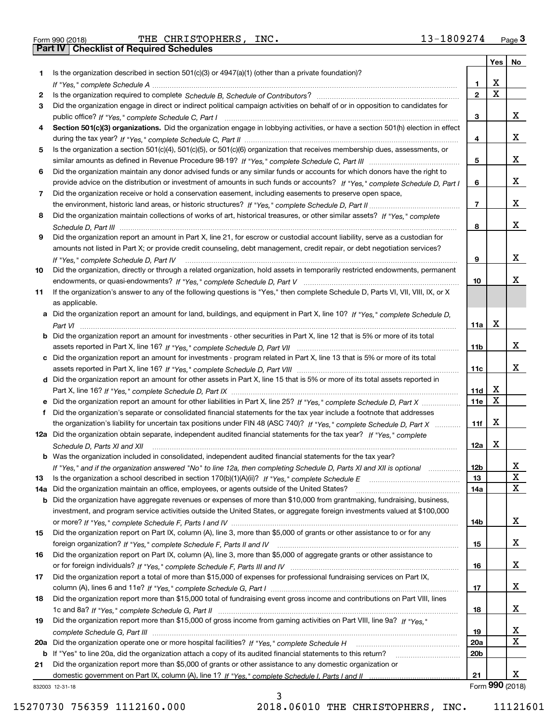Form 990 (2018) THE CHRISTOPHERS,INC. 13-1809274 <sub>Page</sub> 3<br>Part IV | Checklist of Required Schedules

|           |                                                                                                                                                                                                                                                           |                       | Yes                     | No                    |
|-----------|-----------------------------------------------------------------------------------------------------------------------------------------------------------------------------------------------------------------------------------------------------------|-----------------------|-------------------------|-----------------------|
| 1         | Is the organization described in section 501(c)(3) or 4947(a)(1) (other than a private foundation)?                                                                                                                                                       |                       |                         |                       |
|           |                                                                                                                                                                                                                                                           | 1                     | х                       |                       |
| 2         |                                                                                                                                                                                                                                                           | $\mathbf{2}$          | $\overline{\mathbf{x}}$ |                       |
| 3         | Did the organization engage in direct or indirect political campaign activities on behalf of or in opposition to candidates for                                                                                                                           |                       |                         |                       |
|           |                                                                                                                                                                                                                                                           | 3                     |                         | X.                    |
| 4         | Section 501(c)(3) organizations. Did the organization engage in lobbying activities, or have a section 501(h) election in effect                                                                                                                          |                       |                         |                       |
|           |                                                                                                                                                                                                                                                           | 4                     |                         | X.                    |
| 5         | Is the organization a section 501(c)(4), 501(c)(5), or 501(c)(6) organization that receives membership dues, assessments, or                                                                                                                              |                       |                         |                       |
|           |                                                                                                                                                                                                                                                           | 5                     |                         | X.                    |
| 6         | Did the organization maintain any donor advised funds or any similar funds or accounts for which donors have the right to<br>provide advice on the distribution or investment of amounts in such funds or accounts? If "Yes," complete Schedule D, Part I |                       |                         | X.                    |
| 7         | Did the organization receive or hold a conservation easement, including easements to preserve open space,                                                                                                                                                 | 6                     |                         |                       |
|           |                                                                                                                                                                                                                                                           | 7                     |                         | X.                    |
| 8         | Did the organization maintain collections of works of art, historical treasures, or other similar assets? If "Yes," complete                                                                                                                              |                       |                         |                       |
|           |                                                                                                                                                                                                                                                           | 8                     |                         | x                     |
| 9         | Did the organization report an amount in Part X, line 21, for escrow or custodial account liability, serve as a custodian for                                                                                                                             |                       |                         |                       |
|           | amounts not listed in Part X; or provide credit counseling, debt management, credit repair, or debt negotiation services?                                                                                                                                 |                       |                         |                       |
|           | If "Yes," complete Schedule D, Part IV                                                                                                                                                                                                                    | 9                     |                         | x                     |
| 10        | Did the organization, directly or through a related organization, hold assets in temporarily restricted endowments, permanent                                                                                                                             |                       |                         |                       |
|           |                                                                                                                                                                                                                                                           | 10                    |                         | х                     |
| 11        | If the organization's answer to any of the following questions is "Yes," then complete Schedule D, Parts VI, VII, VIII, IX, or X                                                                                                                          |                       |                         |                       |
|           | as applicable.                                                                                                                                                                                                                                            |                       |                         |                       |
|           | a Did the organization report an amount for land, buildings, and equipment in Part X, line 10? If "Yes," complete Schedule D,                                                                                                                             |                       |                         |                       |
|           |                                                                                                                                                                                                                                                           | 11a                   | X                       |                       |
|           | <b>b</b> Did the organization report an amount for investments - other securities in Part X, line 12 that is 5% or more of its total                                                                                                                      |                       |                         |                       |
|           |                                                                                                                                                                                                                                                           | 11b                   |                         | X.                    |
|           | c Did the organization report an amount for investments - program related in Part X, line 13 that is 5% or more of its total                                                                                                                              |                       |                         |                       |
|           |                                                                                                                                                                                                                                                           | 11c                   |                         | X.                    |
|           | d Did the organization report an amount for other assets in Part X, line 15 that is 5% or more of its total assets reported in                                                                                                                            |                       |                         |                       |
|           |                                                                                                                                                                                                                                                           | 11d                   | X                       |                       |
|           | e Did the organization report an amount for other liabilities in Part X, line 25? If "Yes," complete Schedule D, Part X                                                                                                                                   | <b>11e</b>            | $\mathbf X$             |                       |
| f         | Did the organization's separate or consolidated financial statements for the tax year include a footnote that addresses                                                                                                                                   |                       |                         |                       |
|           | the organization's liability for uncertain tax positions under FIN 48 (ASC 740)? If "Yes," complete Schedule D, Part X                                                                                                                                    | 11f                   | х                       |                       |
|           | 12a Did the organization obtain separate, independent audited financial statements for the tax year? If "Yes," complete                                                                                                                                   |                       |                         |                       |
|           | Schedule D, Parts XI and XII                                                                                                                                                                                                                              | 12a                   | х                       |                       |
|           | <b>b</b> Was the organization included in consolidated, independent audited financial statements for the tax year?                                                                                                                                        |                       |                         |                       |
|           | If "Yes," and if the organization answered "No" to line 12a, then completing Schedule D, Parts XI and XII is optional                                                                                                                                     | 12 <sub>b</sub><br>13 |                         | <u>x</u><br>X         |
| 13<br>14a | Did the organization maintain an office, employees, or agents outside of the United States?                                                                                                                                                               | 14a                   |                         | X                     |
| b         | Did the organization have aggregate revenues or expenses of more than \$10,000 from grantmaking, fundraising, business,                                                                                                                                   |                       |                         |                       |
|           | investment, and program service activities outside the United States, or aggregate foreign investments valued at \$100,000                                                                                                                                |                       |                         |                       |
|           |                                                                                                                                                                                                                                                           | 14b                   |                         | X.                    |
| 15        | Did the organization report on Part IX, column (A), line 3, more than \$5,000 of grants or other assistance to or for any                                                                                                                                 |                       |                         |                       |
|           |                                                                                                                                                                                                                                                           | 15                    |                         | X,                    |
| 16        | Did the organization report on Part IX, column (A), line 3, more than \$5,000 of aggregate grants or other assistance to                                                                                                                                  |                       |                         |                       |
|           |                                                                                                                                                                                                                                                           | 16                    |                         | X,                    |
| 17        | Did the organization report a total of more than \$15,000 of expenses for professional fundraising services on Part IX,                                                                                                                                   |                       |                         |                       |
|           |                                                                                                                                                                                                                                                           | 17                    |                         | X.                    |
| 18        | Did the organization report more than \$15,000 total of fundraising event gross income and contributions on Part VIII, lines                                                                                                                              |                       |                         |                       |
|           |                                                                                                                                                                                                                                                           | 18                    |                         | X.                    |
| 19        | Did the organization report more than \$15,000 of gross income from gaming activities on Part VIII, line 9a? If "Yes."                                                                                                                                    |                       |                         |                       |
|           |                                                                                                                                                                                                                                                           | 19                    |                         | X                     |
| 20a       | Did the organization operate one or more hospital facilities? If "Yes," complete Schedule H                                                                                                                                                               | 20a                   |                         | X                     |
|           | <b>b</b> If "Yes" to line 20a, did the organization attach a copy of its audited financial statements to this return?                                                                                                                                     | 20b                   |                         |                       |
| 21        | Did the organization report more than \$5,000 of grants or other assistance to any domestic organization or                                                                                                                                               |                       |                         |                       |
|           |                                                                                                                                                                                                                                                           | 21                    |                         | X.<br>Form 990 (2018) |
|           | 832003 12-31-18                                                                                                                                                                                                                                           |                       |                         |                       |

832003 12-31-18

15270730 756359 1112160.000 2018.06010 THE CHRISTOPHERS, INC. 11121601

3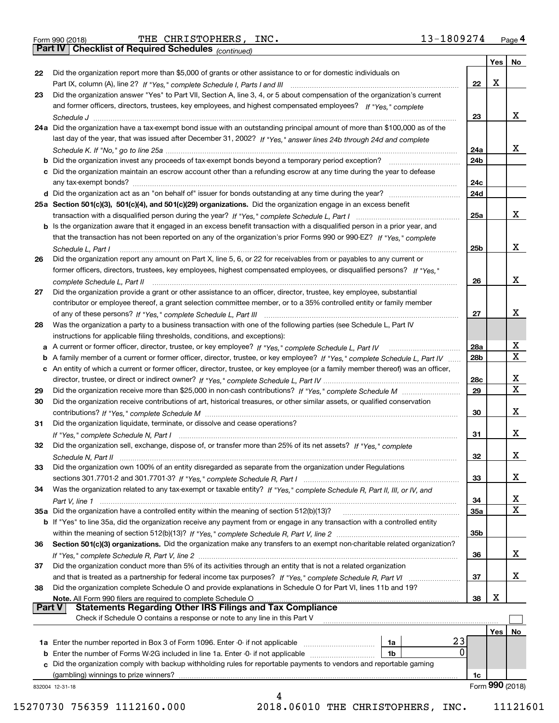| Form 990 (2018) |  |  |
|-----------------|--|--|

*(continued)*

|          |                                                                                                                                   |                 | Yes | No                      |
|----------|-----------------------------------------------------------------------------------------------------------------------------------|-----------------|-----|-------------------------|
| 22       | Did the organization report more than \$5,000 of grants or other assistance to or for domestic individuals on                     |                 |     |                         |
|          |                                                                                                                                   | 22              | х   |                         |
| 23       | Did the organization answer "Yes" to Part VII, Section A, line 3, 4, or 5 about compensation of the organization's current        |                 |     |                         |
|          | and former officers, directors, trustees, key employees, and highest compensated employees? If "Yes," complete                    |                 |     |                         |
|          |                                                                                                                                   | 23              |     | x                       |
|          | 24a Did the organization have a tax-exempt bond issue with an outstanding principal amount of more than \$100,000 as of the       |                 |     |                         |
|          | last day of the year, that was issued after December 31, 2002? If "Yes," answer lines 24b through 24d and complete                |                 |     |                         |
|          |                                                                                                                                   | 24a             |     | x                       |
|          | b Did the organization invest any proceeds of tax-exempt bonds beyond a temporary period exception?                               | 24 <sub>b</sub> |     |                         |
|          | c Did the organization maintain an escrow account other than a refunding escrow at any time during the year to defease            |                 |     |                         |
|          | any tax-exempt bonds?                                                                                                             | 24c             |     |                         |
|          | d Did the organization act as an "on behalf of" issuer for bonds outstanding at any time during the year?                         | 24d             |     |                         |
|          | 25a Section 501(c)(3), 501(c)(4), and 501(c)(29) organizations. Did the organization engage in an excess benefit                  |                 |     |                         |
|          |                                                                                                                                   | 25a             |     | x                       |
|          | b Is the organization aware that it engaged in an excess benefit transaction with a disqualified person in a prior year, and      |                 |     |                         |
|          | that the transaction has not been reported on any of the organization's prior Forms 990 or 990-EZ? If "Yes." complete             |                 |     |                         |
|          | Schedule L. Part I                                                                                                                | 25b             |     | x                       |
| 26       | Did the organization report any amount on Part X, line 5, 6, or 22 for receivables from or payables to any current or             |                 |     |                         |
|          | former officers, directors, trustees, key employees, highest compensated employees, or disqualified persons? If "Yes."            |                 |     |                         |
|          | complete Schedule L, Part II                                                                                                      | 26              |     | х                       |
| 27       | Did the organization provide a grant or other assistance to an officer, director, trustee, key employee, substantial              |                 |     |                         |
|          | contributor or employee thereof, a grant selection committee member, or to a 35% controlled entity or family member               |                 |     |                         |
|          |                                                                                                                                   | 27              |     | х                       |
| 28       | Was the organization a party to a business transaction with one of the following parties (see Schedule L, Part IV                 |                 |     |                         |
|          | instructions for applicable filing thresholds, conditions, and exceptions):                                                       |                 |     |                         |
|          | a A current or former officer, director, trustee, or key employee? If "Yes," complete Schedule L, Part IV                         | 28a             |     | х                       |
|          | b A family member of a current or former officer, director, trustee, or key employee? If "Yes," complete Schedule L, Part IV      | 28b             |     | X                       |
|          | c An entity of which a current or former officer, director, trustee, or key employee (or a family member thereof) was an officer, |                 |     |                         |
|          |                                                                                                                                   | 28c             |     | x                       |
| 29       |                                                                                                                                   | 29              |     | $\overline{\mathbf{x}}$ |
| 30       | Did the organization receive contributions of art, historical treasures, or other similar assets, or qualified conservation       |                 |     |                         |
|          |                                                                                                                                   | 30              |     | х                       |
| 31       | Did the organization liquidate, terminate, or dissolve and cease operations?                                                      |                 |     |                         |
|          |                                                                                                                                   | 31              |     | х                       |
| 32       | Did the organization sell, exchange, dispose of, or transfer more than 25% of its net assets? If "Yes," complete                  |                 |     |                         |
|          | Schedule N, Part II (1996) (1996) (1997) (1997) (1998) (1998) (1998) (1998) (1998) (1998) (1998) (1999) (1999)                    | 32              |     | х                       |
| 33       | Did the organization own 100% of an entity disregarded as separate from the organization under Regulations                        |                 |     |                         |
|          |                                                                                                                                   | 33              |     | х                       |
| 34       | Was the organization related to any tax-exempt or taxable entity? If "Yes," complete Schedule R, Part II, III, or IV, and         |                 |     |                         |
|          |                                                                                                                                   | 34              |     | X                       |
|          | 35a Did the organization have a controlled entity within the meaning of section 512(b)(13)?                                       | 35a             |     | X                       |
|          | b If "Yes" to line 35a, did the organization receive any payment from or engage in any transaction with a controlled entity       |                 |     |                         |
|          |                                                                                                                                   | 35b             |     |                         |
| 36       | Section 501(c)(3) organizations. Did the organization make any transfers to an exempt non-charitable related organization?        |                 |     |                         |
|          |                                                                                                                                   | 36              |     | x                       |
| 37       | Did the organization conduct more than 5% of its activities through an entity that is not a related organization                  |                 |     |                         |
|          | and that is treated as a partnership for federal income tax purposes? If "Yes," complete Schedule R, Part VI                      | 37              |     | x                       |
| 38       | Did the organization complete Schedule O and provide explanations in Schedule O for Part VI, lines 11b and 19?                    |                 |     |                         |
|          | Note. All Form 990 filers are required to complete Schedule O                                                                     | 38              | х   |                         |
| ∣ Part V | <b>Statements Regarding Other IRS Filings and Tax Compliance</b>                                                                  |                 |     |                         |
|          | Check if Schedule O contains a response or note to any line in this Part V                                                        |                 |     |                         |
|          |                                                                                                                                   |                 | Yes | No.                     |
|          | 23<br>1a<br>1a Enter the number reported in Box 3 of Form 1096. Enter -0- if not applicable                                       |                 |     |                         |
|          | 0<br><b>b</b> Enter the number of Forms W-2G included in line 1a. Enter -0- if not applicable<br>1b                               |                 |     |                         |
|          | Did the organization comply with backup withholding rules for reportable payments to vendors and reportable gaming                |                 |     |                         |
|          | (gambling) winnings to prize winners?                                                                                             | 1c              |     |                         |
|          | 832004 12-31-18                                                                                                                   |                 |     | Form 990 (2018)         |
|          | 4                                                                                                                                 |                 |     |                         |

 <sup>15270730 756359 1112160.000 2018.06010</sup> THE CHRISTOPHERS, INC. 11121601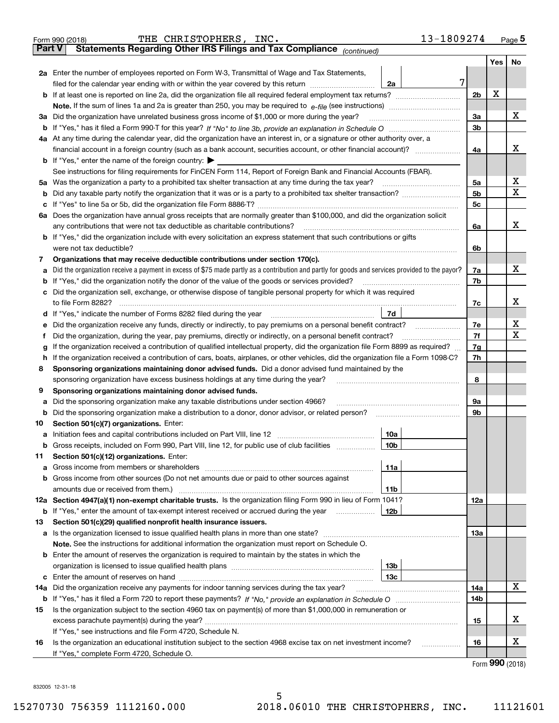|               | 13-1809274<br>THE CHRISTOPHERS, INC.<br>Form 990 (2018)                                                                                         |                |                             | $Page$ <sup>5</sup> |  |  |  |  |
|---------------|-------------------------------------------------------------------------------------------------------------------------------------------------|----------------|-----------------------------|---------------------|--|--|--|--|
| <b>Part V</b> | Statements Regarding Other IRS Filings and Tax Compliance (continued)                                                                           |                |                             |                     |  |  |  |  |
|               |                                                                                                                                                 |                | Yes                         | No                  |  |  |  |  |
|               | 2a Enter the number of employees reported on Form W-3, Transmittal of Wage and Tax Statements,                                                  |                |                             |                     |  |  |  |  |
|               | 7<br>filed for the calendar year ending with or within the year covered by this return <i>manumumumum</i><br>2a                                 |                |                             |                     |  |  |  |  |
|               |                                                                                                                                                 | 2 <sub>b</sub> | X                           |                     |  |  |  |  |
|               |                                                                                                                                                 |                |                             |                     |  |  |  |  |
|               | 3a Did the organization have unrelated business gross income of \$1,000 or more during the year?                                                | За             |                             | х                   |  |  |  |  |
|               |                                                                                                                                                 | 3 <sub>b</sub> |                             |                     |  |  |  |  |
|               | 4a At any time during the calendar year, did the organization have an interest in, or a signature or other authority over, a                    |                |                             |                     |  |  |  |  |
|               |                                                                                                                                                 | 4a             |                             | x                   |  |  |  |  |
|               | <b>b</b> If "Yes," enter the name of the foreign country: $\blacktriangleright$                                                                 |                |                             |                     |  |  |  |  |
|               | See instructions for filing requirements for FinCEN Form 114, Report of Foreign Bank and Financial Accounts (FBAR).                             |                |                             |                     |  |  |  |  |
|               | 5a Was the organization a party to a prohibited tax shelter transaction at any time during the tax year?                                        | 5a             |                             | X                   |  |  |  |  |
|               |                                                                                                                                                 |                |                             |                     |  |  |  |  |
|               |                                                                                                                                                 | 5c             |                             |                     |  |  |  |  |
|               | 6a Does the organization have annual gross receipts that are normally greater than \$100,000, and did the organization solicit                  |                |                             |                     |  |  |  |  |
|               | any contributions that were not tax deductible as charitable contributions?                                                                     | 6a             |                             | x                   |  |  |  |  |
|               | <b>b</b> If "Yes," did the organization include with every solicitation an express statement that such contributions or gifts                   |                |                             |                     |  |  |  |  |
|               | were not tax deductible?                                                                                                                        | 6b             |                             |                     |  |  |  |  |
| 7             | Organizations that may receive deductible contributions under section 170(c).                                                                   |                |                             |                     |  |  |  |  |
| а             | Did the organization receive a payment in excess of \$75 made partly as a contribution and partly for goods and services provided to the payor? | 7a             |                             | x                   |  |  |  |  |
|               | <b>b</b> If "Yes," did the organization notify the donor of the value of the goods or services provided?                                        | 7b             |                             |                     |  |  |  |  |
|               | c Did the organization sell, exchange, or otherwise dispose of tangible personal property for which it was required                             |                |                             |                     |  |  |  |  |
|               |                                                                                                                                                 | 7c             |                             | х                   |  |  |  |  |
|               | 7d                                                                                                                                              |                |                             |                     |  |  |  |  |
|               | e Did the organization receive any funds, directly or indirectly, to pay premiums on a personal benefit contract?                               | 7e             |                             | х                   |  |  |  |  |
| Ť             | Did the organization, during the year, pay premiums, directly or indirectly, on a personal benefit contract?                                    | 7f             |                             | х                   |  |  |  |  |
| g             | If the organization received a contribution of qualified intellectual property, did the organization file Form 8899 as required?                | 7g             |                             |                     |  |  |  |  |
|               | h If the organization received a contribution of cars, boats, airplanes, or other vehicles, did the organization file a Form 1098-C?            |                |                             |                     |  |  |  |  |
| 8             | Sponsoring organizations maintaining donor advised funds. Did a donor advised fund maintained by the                                            | 7h             |                             |                     |  |  |  |  |
|               | sponsoring organization have excess business holdings at any time during the year?                                                              | 8              |                             |                     |  |  |  |  |
| 9             | Sponsoring organizations maintaining donor advised funds.                                                                                       |                |                             |                     |  |  |  |  |
| а             | Did the sponsoring organization make any taxable distributions under section 4966?                                                              | 9а             |                             |                     |  |  |  |  |
|               |                                                                                                                                                 | 9b             |                             |                     |  |  |  |  |
| 10            | Section 501(c)(7) organizations. Enter:                                                                                                         |                |                             |                     |  |  |  |  |
|               | 10a                                                                                                                                             |                |                             |                     |  |  |  |  |
|               | <b>b</b> Gross receipts, included on Form 990, Part VIII, line 12, for public use of club facilities <i>manument</i><br>10b                     |                |                             |                     |  |  |  |  |
| 11            | Section 501(c)(12) organizations. Enter:                                                                                                        |                |                             |                     |  |  |  |  |
|               | 11a                                                                                                                                             |                |                             |                     |  |  |  |  |
|               | <b>b</b> Gross income from other sources (Do not net amounts due or paid to other sources against                                               |                |                             |                     |  |  |  |  |
|               | amounts due or received from them.)<br>11b                                                                                                      |                |                             |                     |  |  |  |  |
|               | 12a Section 4947(a)(1) non-exempt charitable trusts. Is the organization filing Form 990 in lieu of Form 1041?                                  | 12a            |                             |                     |  |  |  |  |
|               | <b>b</b> If "Yes," enter the amount of tax-exempt interest received or accrued during the year<br>12b                                           |                |                             |                     |  |  |  |  |
| 13            | Section 501(c)(29) qualified nonprofit health insurance issuers.                                                                                |                |                             |                     |  |  |  |  |
|               | a Is the organization licensed to issue qualified health plans in more than one state?                                                          | 13а            |                             |                     |  |  |  |  |
|               | Note. See the instructions for additional information the organization must report on Schedule O.                                               |                |                             |                     |  |  |  |  |
|               | <b>b</b> Enter the amount of reserves the organization is required to maintain by the states in which the                                       |                |                             |                     |  |  |  |  |
|               | 13 <sub>b</sub>                                                                                                                                 |                |                             |                     |  |  |  |  |
|               | 13с                                                                                                                                             |                |                             |                     |  |  |  |  |
| 14a           | Did the organization receive any payments for indoor tanning services during the tax year?                                                      | 14a            |                             | х                   |  |  |  |  |
|               |                                                                                                                                                 | 14b            |                             |                     |  |  |  |  |
| 15            | Is the organization subject to the section 4960 tax on payment(s) of more than \$1,000,000 in remuneration or                                   |                |                             |                     |  |  |  |  |
|               |                                                                                                                                                 | 15             |                             | х                   |  |  |  |  |
|               | If "Yes," see instructions and file Form 4720, Schedule N.                                                                                      |                |                             |                     |  |  |  |  |
| 16            | Is the organization an educational institution subject to the section 4968 excise tax on net investment income?                                 | 16             |                             | х                   |  |  |  |  |
|               | .<br>If "Yes," complete Form 4720, Schedule O.                                                                                                  |                |                             |                     |  |  |  |  |
|               |                                                                                                                                                 |                | $F_{\text{arm}}$ 990 (2019) |                     |  |  |  |  |

5

Form (2018) **990**

832005 12-31-18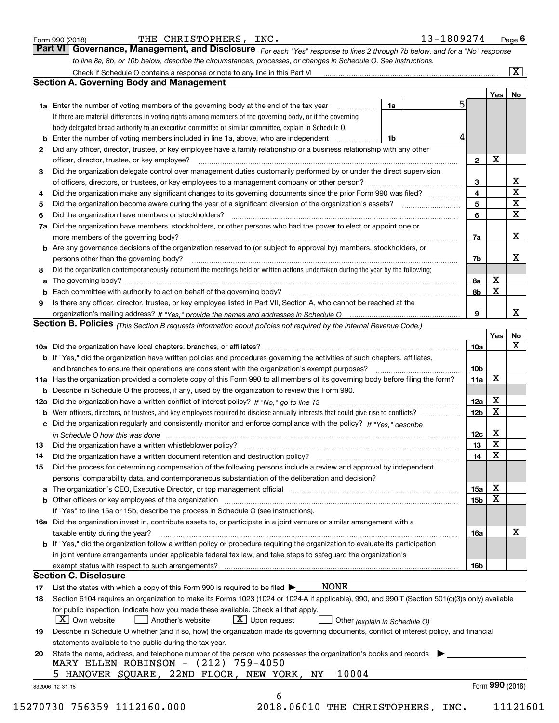| Form 990 (2018) |  |  |
|-----------------|--|--|
|                 |  |  |

|                        | <b>Management, and Disclosure</b> For each "Yos" response to lines 2 through 7b holow, and for a "No" re |
|------------------------|----------------------------------------------------------------------------------------------------------|
| THE CHRISTOPHERS, INC. | 13-1809274                                                                                               |

| Form 990 (2018) | THE CHRISTOPHERS, INC. | 13-1809274                                                                                                                  | $P$ <sub>age</sub> 6 |
|-----------------|------------------------|-----------------------------------------------------------------------------------------------------------------------------|----------------------|
|                 |                        | Part VI Governance, Management, and Disclosure For each "Yes" response to lines 2 through 7b below, and for a "No" response |                      |
|                 |                        | to line 8a, 8b, or 10b below, describe the circumstances, processes, or changes in Schedule O. See instructions.            |                      |

|     | <b>Section A. Governing Body and Management</b>                                                                                                                                                                                |    |                 |                 |             |
|-----|--------------------------------------------------------------------------------------------------------------------------------------------------------------------------------------------------------------------------------|----|-----------------|-----------------|-------------|
|     | 1a                                                                                                                                                                                                                             | 5. |                 | Yes             | No          |
|     | <b>1a</b> Enter the number of voting members of the governing body at the end of the tax year <i>manumum</i><br>If there are material differences in voting rights among members of the governing body, or if the governing    |    |                 |                 |             |
|     |                                                                                                                                                                                                                                |    |                 |                 |             |
|     | body delegated broad authority to an executive committee or similar committee, explain in Schedule O.                                                                                                                          | 4  |                 |                 |             |
|     | Enter the number of voting members included in line 1a, above, who are independent<br>1b                                                                                                                                       |    |                 |                 |             |
| 2   | Did any officer, director, trustee, or key employee have a family relationship or a business relationship with any other                                                                                                       |    |                 |                 |             |
|     |                                                                                                                                                                                                                                |    | $\overline{2}$  | х               |             |
| 3   | Did the organization delegate control over management duties customarily performed by or under the direct supervision                                                                                                          |    |                 |                 |             |
|     |                                                                                                                                                                                                                                |    | 3               |                 | х           |
| 4   | Did the organization make any significant changes to its governing documents since the prior Form 990 was filed?                                                                                                               |    | 4               |                 | $\mathbf x$ |
| 5   |                                                                                                                                                                                                                                |    | 5               |                 | X           |
| 6   | Did the organization have members or stockholders?                                                                                                                                                                             |    | 6               |                 | $\mathbf X$ |
| 7a  | Did the organization have members, stockholders, or other persons who had the power to elect or appoint one or                                                                                                                 |    |                 |                 |             |
|     |                                                                                                                                                                                                                                |    | 7a              |                 | х           |
|     | <b>b</b> Are any governance decisions of the organization reserved to (or subject to approval by) members, stockholders, or                                                                                                    |    |                 |                 |             |
|     | persons other than the governing body?                                                                                                                                                                                         |    | 7b              |                 | х           |
| 8   | Did the organization contemporaneously document the meetings held or written actions undertaken during the year by the following:                                                                                              |    |                 |                 |             |
| а   |                                                                                                                                                                                                                                |    | 8а              | х               |             |
|     | Each committee with authority to act on behalf of the governing body? [11] manufacture manufacture with authority to act on behalf of the governing body? [11] manufacture manufacture with authority of the state with an int |    | 8b              | X               |             |
| 9   | Is there any officer, director, trustee, or key employee listed in Part VII, Section A, who cannot be reached at the                                                                                                           |    |                 |                 |             |
|     |                                                                                                                                                                                                                                |    | 9               |                 | x           |
|     | Section B. Policies <sub>(This Section B requests information about policies not required by the Internal Revenue Code.)</sub>                                                                                                 |    |                 |                 |             |
|     |                                                                                                                                                                                                                                |    |                 | Yes             | <b>No</b>   |
|     |                                                                                                                                                                                                                                |    | 10a             |                 | X           |
|     | b If "Yes," did the organization have written policies and procedures governing the activities of such chapters, affiliates,                                                                                                   |    |                 |                 |             |
|     |                                                                                                                                                                                                                                |    | 10 <sub>b</sub> |                 |             |
|     | 11a Has the organization provided a complete copy of this Form 990 to all members of its governing body before filing the form?                                                                                                |    | 11a             | X               |             |
| b   | Describe in Schedule O the process, if any, used by the organization to review this Form 990.                                                                                                                                  |    |                 |                 |             |
| 12a |                                                                                                                                                                                                                                |    | 12a             | х               |             |
| b   |                                                                                                                                                                                                                                |    | 12 <sub>b</sub> | $\mathbf X$     |             |
| с   | Did the organization regularly and consistently monitor and enforce compliance with the policy? If "Yes," describe                                                                                                             |    |                 |                 |             |
|     | in Schedule O how this was done <i>manual content of the content of the state of the content of the content of the</i>                                                                                                         |    | 12c             | х               |             |
| 13  |                                                                                                                                                                                                                                |    | 13              | $\mathbf X$     |             |
| 14  |                                                                                                                                                                                                                                |    | 14              | X               |             |
| 15  | Did the process for determining compensation of the following persons include a review and approval by independent                                                                                                             |    |                 |                 |             |
|     | persons, comparability data, and contemporaneous substantiation of the deliberation and decision?                                                                                                                              |    |                 |                 |             |
| а   |                                                                                                                                                                                                                                |    | 15a             | х               |             |
|     | <b>b</b> Other officers or key employees of the organization                                                                                                                                                                   |    | 15b             | $\mathbf X$     |             |
|     | If "Yes" to line 15a or 15b, describe the process in Schedule O (see instructions).                                                                                                                                            |    |                 |                 |             |
|     | 16a Did the organization invest in, contribute assets to, or participate in a joint venture or similar arrangement with a                                                                                                      |    |                 |                 |             |
|     | taxable entity during the year?                                                                                                                                                                                                |    | 16a             |                 | х           |
|     | b If "Yes," did the organization follow a written policy or procedure requiring the organization to evaluate its participation                                                                                                 |    |                 |                 |             |
|     | in joint venture arrangements under applicable federal tax law, and take steps to safeguard the organization's                                                                                                                 |    |                 |                 |             |
|     |                                                                                                                                                                                                                                |    | 16b             |                 |             |
|     | <b>Section C. Disclosure</b>                                                                                                                                                                                                   |    |                 |                 |             |
| 17  | <b>NONE</b><br>List the states with which a copy of this Form 990 is required to be filed $\blacktriangleright$                                                                                                                |    |                 |                 |             |
| 18  | Section 6104 requires an organization to make its Forms 1023 (1024 or 1024-A if applicable), 990, and 990-T (Section 501(c)(3)s only) available                                                                                |    |                 |                 |             |
|     | for public inspection. Indicate how you made these available. Check all that apply.                                                                                                                                            |    |                 |                 |             |
|     | X Own website<br>$\boxed{\textbf{X}}$ Upon request<br>Another's website<br>Other (explain in Schedule O)                                                                                                                       |    |                 |                 |             |
| 19  | Describe in Schedule O whether (and if so, how) the organization made its governing documents, conflict of interest policy, and financial                                                                                      |    |                 |                 |             |
|     | statements available to the public during the tax year.                                                                                                                                                                        |    |                 |                 |             |
| 20  | State the name, address, and telephone number of the person who possesses the organization's books and records                                                                                                                 |    |                 |                 |             |
|     | MARY ELLEN ROBINSON - (212) 759-4050                                                                                                                                                                                           |    |                 |                 |             |
|     | 10004<br>5 HANOVER SQUARE, 22ND FLOOR, NEW YORK, NY                                                                                                                                                                            |    |                 |                 |             |
|     |                                                                                                                                                                                                                                |    |                 | Form 990 (2018) |             |
|     | 832006 12-31-18                                                                                                                                                                                                                |    |                 |                 |             |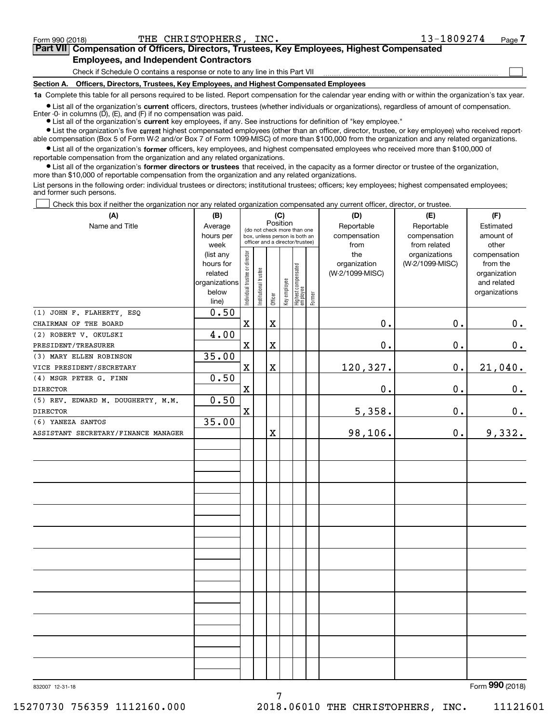|  | Form 990 (2018) |  |
|--|-----------------|--|
|  |                 |  |

 $\mathcal{L}^{\text{max}}$ 

| Form 990 (2018) | THE CHRISTOPHERS, INC.                        | 13-1809274                                                                                 | Page 7 |
|-----------------|-----------------------------------------------|--------------------------------------------------------------------------------------------|--------|
|                 |                                               | Part VII Compensation of Officers, Directors, Trustees, Key Employees, Highest Compensated |        |
|                 | <b>Employees, and Independent Contractors</b> |                                                                                            |        |

Check if Schedule O contains a response or note to any line in this Part VII

**Section A. Officers, Directors, Trustees, Key Employees, and Highest Compensated Employees**

**1a**  Complete this table for all persons required to be listed. Report compensation for the calendar year ending with or within the organization's tax year.

**•** List all of the organization's current officers, directors, trustees (whether individuals or organizations), regardless of amount of compensation. Enter -0- in columns  $(D)$ ,  $(E)$ , and  $(F)$  if no compensation was paid.

● List all of the organization's **current** key employees, if any. See instructions for definition of "key employee."

**•** List the organization's five current highest compensated employees (other than an officer, director, trustee, or key employee) who received reportable compensation (Box 5 of Form W-2 and/or Box 7 of Form 1099-MISC) of more than \$100,000 from the organization and any related organizations.

 $\bullet$  List all of the organization's **former** officers, key employees, and highest compensated employees who received more than \$100,000 of reportable compensation from the organization and any related organizations.

**•** List all of the organization's former directors or trustees that received, in the capacity as a former director or trustee of the organization, more than \$10,000 of reportable compensation from the organization and any related organizations.

List persons in the following order: individual trustees or directors; institutional trustees; officers; key employees; highest compensated employees; and former such persons.

Check this box if neither the organization nor any related organization compensated any current officer, director, or trustee.  $\mathcal{L}^{\text{max}}$ 

| (A)                                 | (B)                    |                                         |                       |             | (C)          |                                                                  |        | (D)                 | (E)                              | (F)                      |
|-------------------------------------|------------------------|-----------------------------------------|-----------------------|-------------|--------------|------------------------------------------------------------------|--------|---------------------|----------------------------------|--------------------------|
| Name and Title                      | Average                | Position<br>(do not check more than one |                       | Reportable  | Reportable   | Estimated                                                        |        |                     |                                  |                          |
|                                     | hours per              |                                         |                       |             |              | box, unless person is both an<br>officer and a director/trustee) |        | compensation        | compensation                     | amount of                |
|                                     | week                   |                                         |                       |             |              |                                                                  |        | from                | from related                     | other                    |
|                                     | (list any<br>hours for |                                         |                       |             |              |                                                                  |        | the<br>organization | organizations<br>(W-2/1099-MISC) | compensation<br>from the |
|                                     | related                |                                         |                       |             |              |                                                                  |        | (W-2/1099-MISC)     |                                  | organization             |
|                                     | organizations          |                                         |                       |             |              |                                                                  |        |                     |                                  | and related              |
|                                     | below                  | Individual trustee or director          | Institutional trustee |             | Key employee |                                                                  |        |                     |                                  | organizations            |
|                                     | line)                  |                                         |                       | Officer     |              | Highest compensated<br> employee                                 | Former |                     |                                  |                          |
| (1) JOHN F. FLAHERTY, ESQ           | 0.50                   |                                         |                       |             |              |                                                                  |        |                     |                                  |                          |
| CHAIRMAN OF THE BOARD               |                        | $\rm X$                                 |                       | $\mathbf X$ |              |                                                                  |        | $0$ .               | $\mathbf 0$ .                    | 0.                       |
| (2) ROBERT V. OKULSKI               | 4.00                   |                                         |                       |             |              |                                                                  |        |                     |                                  |                          |
| PRESIDENT/TREASURER                 |                        | $\rm X$                                 |                       | $\mathbf X$ |              |                                                                  |        | $\mathbf 0$ .       | $\mathfrak o$ .                  | 0.                       |
| (3) MARY ELLEN ROBINSON             | 35.00                  |                                         |                       |             |              |                                                                  |        |                     |                                  |                          |
| VICE PRESIDENT/SECRETARY            |                        | $\rm X$                                 |                       | $\mathbf X$ |              |                                                                  |        | 120,327.            | $0$ .                            | 21,040.                  |
| (4) MSGR PETER G. FINN              | 0.50                   |                                         |                       |             |              |                                                                  |        |                     |                                  |                          |
| <b>DIRECTOR</b>                     |                        | $\overline{\mathbf{X}}$                 |                       |             |              |                                                                  |        | $0$ .               | $0$ .                            | 0.                       |
| (5) REV. EDWARD M. DOUGHERTY, M.M.  | 0.50                   |                                         |                       |             |              |                                                                  |        |                     |                                  |                          |
| <b>DIRECTOR</b>                     |                        | $\mathbf X$                             |                       |             |              |                                                                  |        | 5,358.              | $0$ .                            | 0.                       |
| (6) YANEZA SANTOS                   | 35.00                  |                                         |                       |             |              |                                                                  |        |                     |                                  |                          |
| ASSISTANT SECRETARY/FINANCE MANAGER |                        |                                         |                       | $\mathbf X$ |              |                                                                  |        | 98,106.             | $0$ .                            | 9,332.                   |
|                                     |                        |                                         |                       |             |              |                                                                  |        |                     |                                  |                          |
|                                     |                        |                                         |                       |             |              |                                                                  |        |                     |                                  |                          |
|                                     |                        |                                         |                       |             |              |                                                                  |        |                     |                                  |                          |
|                                     |                        |                                         |                       |             |              |                                                                  |        |                     |                                  |                          |
|                                     |                        |                                         |                       |             |              |                                                                  |        |                     |                                  |                          |
|                                     |                        |                                         |                       |             |              |                                                                  |        |                     |                                  |                          |
|                                     |                        |                                         |                       |             |              |                                                                  |        |                     |                                  |                          |
|                                     |                        |                                         |                       |             |              |                                                                  |        |                     |                                  |                          |
|                                     |                        |                                         |                       |             |              |                                                                  |        |                     |                                  |                          |
|                                     |                        |                                         |                       |             |              |                                                                  |        |                     |                                  |                          |
|                                     |                        |                                         |                       |             |              |                                                                  |        |                     |                                  |                          |
|                                     |                        |                                         |                       |             |              |                                                                  |        |                     |                                  |                          |
|                                     |                        |                                         |                       |             |              |                                                                  |        |                     |                                  |                          |
|                                     |                        |                                         |                       |             |              |                                                                  |        |                     |                                  |                          |
|                                     |                        |                                         |                       |             |              |                                                                  |        |                     |                                  |                          |
|                                     |                        |                                         |                       |             |              |                                                                  |        |                     |                                  |                          |
|                                     |                        |                                         |                       |             |              |                                                                  |        |                     |                                  |                          |
|                                     |                        |                                         |                       |             |              |                                                                  |        |                     |                                  |                          |
|                                     |                        |                                         |                       |             |              |                                                                  |        |                     |                                  |                          |
|                                     |                        |                                         |                       |             |              |                                                                  |        |                     |                                  |                          |
|                                     |                        |                                         |                       |             |              |                                                                  |        |                     |                                  |                          |
|                                     |                        |                                         |                       |             |              |                                                                  |        |                     |                                  | $\overline{2}$           |

7

Form (2018) **990**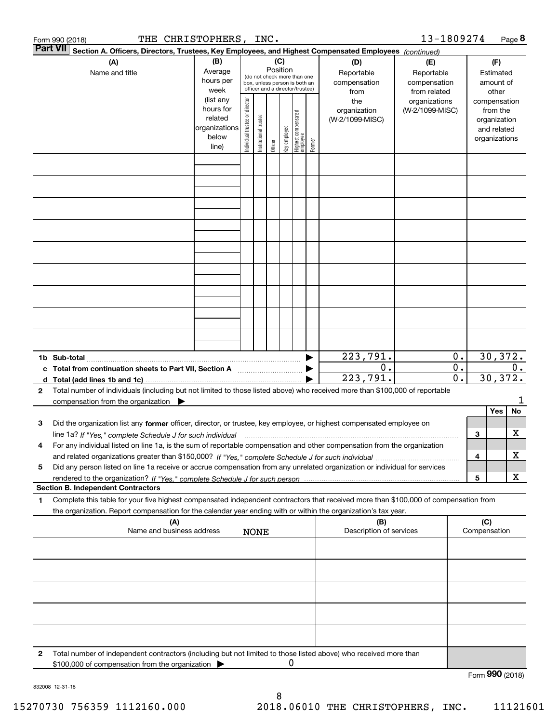|              | THE CHRISTOPHERS, INC.<br>Form 990 (2018)                                                                                                                                                |                                                         |                                                                                                                                                     |                       |         |                 |                                 |        |                                                  | 13-1809274                                                         |                             |                     |                                                          | Page 8 |
|--------------|------------------------------------------------------------------------------------------------------------------------------------------------------------------------------------------|---------------------------------------------------------|-----------------------------------------------------------------------------------------------------------------------------------------------------|-----------------------|---------|-----------------|---------------------------------|--------|--------------------------------------------------|--------------------------------------------------------------------|-----------------------------|---------------------|----------------------------------------------------------|--------|
|              | <b>Part VII</b><br>Section A. Officers, Directors, Trustees, Key Employees, and Highest Compensated Employees (continued)                                                                |                                                         |                                                                                                                                                     |                       |         |                 |                                 |        |                                                  |                                                                    |                             |                     |                                                          |        |
|              | (A)<br>Name and title                                                                                                                                                                    |                                                         | (B)<br>Average<br>(do not check more than one<br>hours per<br>box, unless person is both an<br>officer and a director/trustee)<br>week<br>(list any |                       |         | (C)<br>Position |                                 |        | (D)<br>Reportable<br>compensation<br>from<br>the | (E)<br>Reportable<br>compensation<br>from related<br>organizations |                             |                     | (F)<br>Estimated<br>amount of<br>other<br>compensation   |        |
|              |                                                                                                                                                                                          | hours for<br>related<br>organizations<br>below<br>line) | Individual trustee or director                                                                                                                      | Institutional trustee | Officer | key employee    | Highest compensated<br>employee | Former | organization<br>(W-2/1099-MISC)                  | (W-2/1099-MISC)                                                    |                             |                     | from the<br>organization<br>and related<br>organizations |        |
|              |                                                                                                                                                                                          |                                                         |                                                                                                                                                     |                       |         |                 |                                 |        |                                                  |                                                                    |                             |                     |                                                          |        |
|              |                                                                                                                                                                                          |                                                         |                                                                                                                                                     |                       |         |                 |                                 |        |                                                  |                                                                    |                             |                     |                                                          |        |
|              |                                                                                                                                                                                          |                                                         |                                                                                                                                                     |                       |         |                 |                                 |        |                                                  |                                                                    |                             |                     |                                                          |        |
|              |                                                                                                                                                                                          |                                                         |                                                                                                                                                     |                       |         |                 |                                 |        |                                                  |                                                                    |                             |                     |                                                          |        |
|              |                                                                                                                                                                                          |                                                         |                                                                                                                                                     |                       |         |                 |                                 |        |                                                  |                                                                    |                             |                     |                                                          |        |
|              |                                                                                                                                                                                          |                                                         |                                                                                                                                                     |                       |         |                 |                                 |        |                                                  |                                                                    |                             |                     |                                                          |        |
|              |                                                                                                                                                                                          |                                                         |                                                                                                                                                     |                       |         |                 |                                 |        |                                                  |                                                                    |                             |                     |                                                          |        |
|              | c Total from continuation sheets to Part VII, Section A <b>Constanting the Continuum</b>                                                                                                 |                                                         |                                                                                                                                                     |                       |         |                 |                                 |        | 223,791.<br>0.                                   |                                                                    | 0.<br>$\overline{0}$ .      |                     | 30,372.                                                  | $0$ .  |
|              |                                                                                                                                                                                          |                                                         |                                                                                                                                                     |                       |         |                 |                                 |        | 223,791.                                         |                                                                    | $\overline{\mathfrak{0}}$ . | 30,372.             |                                                          |        |
| $\mathbf{2}$ | Total number of individuals (including but not limited to those listed above) who received more than \$100,000 of reportable<br>compensation from the organization $\blacktriangleright$ |                                                         |                                                                                                                                                     |                       |         |                 |                                 |        |                                                  |                                                                    |                             |                     |                                                          |        |
|              |                                                                                                                                                                                          |                                                         |                                                                                                                                                     |                       |         |                 |                                 |        |                                                  |                                                                    |                             |                     | Yes                                                      | No     |
| з            | Did the organization list any former officer, director, or trustee, key employee, or highest compensated employee on                                                                     |                                                         |                                                                                                                                                     |                       |         |                 |                                 |        |                                                  |                                                                    |                             | 3                   |                                                          | х      |
| 4            | For any individual listed on line 1a, is the sum of reportable compensation and other compensation from the organization                                                                 |                                                         |                                                                                                                                                     |                       |         |                 |                                 |        |                                                  |                                                                    |                             |                     |                                                          |        |
| 5            | Did any person listed on line 1a receive or accrue compensation from any unrelated organization or individual for services                                                               |                                                         |                                                                                                                                                     |                       |         |                 |                                 |        |                                                  |                                                                    |                             | 4                   |                                                          | х      |
|              |                                                                                                                                                                                          |                                                         |                                                                                                                                                     |                       |         |                 |                                 |        |                                                  |                                                                    |                             | 5                   |                                                          | X      |
| 1            | <b>Section B. Independent Contractors</b><br>Complete this table for your five highest compensated independent contractors that received more than \$100,000 of compensation from        |                                                         |                                                                                                                                                     |                       |         |                 |                                 |        |                                                  |                                                                    |                             |                     |                                                          |        |
|              | the organization. Report compensation for the calendar year ending with or within the organization's tax year.                                                                           |                                                         |                                                                                                                                                     |                       |         |                 |                                 |        |                                                  |                                                                    |                             |                     |                                                          |        |
|              | (A)<br>Name and business address                                                                                                                                                         |                                                         |                                                                                                                                                     | <b>NONE</b>           |         |                 |                                 |        | (B)<br>Description of services                   |                                                                    |                             | (C)<br>Compensation |                                                          |        |
|              |                                                                                                                                                                                          |                                                         |                                                                                                                                                     |                       |         |                 |                                 |        |                                                  |                                                                    |                             |                     |                                                          |        |
|              |                                                                                                                                                                                          |                                                         |                                                                                                                                                     |                       |         |                 |                                 |        |                                                  |                                                                    |                             |                     |                                                          |        |
|              |                                                                                                                                                                                          |                                                         |                                                                                                                                                     |                       |         |                 |                                 |        |                                                  |                                                                    |                             |                     |                                                          |        |
|              |                                                                                                                                                                                          |                                                         |                                                                                                                                                     |                       |         |                 |                                 |        |                                                  |                                                                    |                             |                     |                                                          |        |
| 2            | Total number of independent contractors (including but not limited to those listed above) who received more than<br>\$100,000 of compensation from the organization                      |                                                         |                                                                                                                                                     |                       |         | 0               |                                 |        |                                                  |                                                                    |                             |                     |                                                          |        |
|              |                                                                                                                                                                                          |                                                         |                                                                                                                                                     |                       |         |                 |                                 |        |                                                  |                                                                    |                             | Form 990 (2018)     |                                                          |        |

832008 12-31-18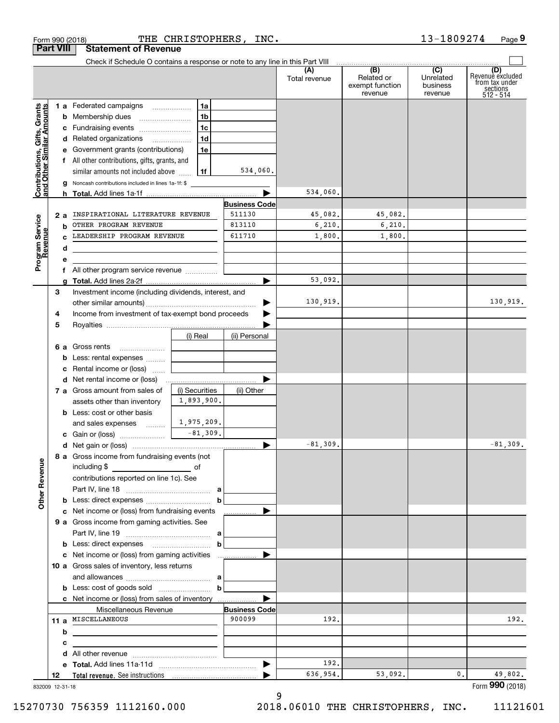|                                                           | <b>Part VIII</b> | <b>Statement of Revenue</b>                                                   |                |                      |                      |                                                              |                                                    |                                                                    |
|-----------------------------------------------------------|------------------|-------------------------------------------------------------------------------|----------------|----------------------|----------------------|--------------------------------------------------------------|----------------------------------------------------|--------------------------------------------------------------------|
|                                                           |                  | Check if Schedule O contains a response or note to any line in this Part VIII |                |                      | (A)<br>Total revenue | $\overline{(B)}$<br>Related or<br>exempt function<br>revenue | $\overline{C}$<br>Unrelated<br>business<br>revenue | (D)<br>Revenuè excluded<br>from tax under<br>sections<br>512 - 514 |
|                                                           |                  | 1 a Federated campaigns                                                       | 1a             |                      |                      |                                                              |                                                    |                                                                    |
| Contributions, Gifts, Grants<br>and Other Similar Amounts | b                | Membership dues                                                               | 1b             |                      |                      |                                                              |                                                    |                                                                    |
|                                                           | c                | Fundraising events                                                            | 1 <sub>c</sub> |                      |                      |                                                              |                                                    |                                                                    |
|                                                           |                  | d Related organizations                                                       | 1 <sub>d</sub> |                      |                      |                                                              |                                                    |                                                                    |
|                                                           |                  | Government grants (contributions)                                             | 1e             |                      |                      |                                                              |                                                    |                                                                    |
|                                                           |                  | f All other contributions, gifts, grants, and                                 |                |                      |                      |                                                              |                                                    |                                                                    |
|                                                           |                  | similar amounts not included above                                            | 1f             | 534,060.             |                      |                                                              |                                                    |                                                                    |
|                                                           |                  | Noncash contributions included in lines 1a-1f: \$                             |                |                      |                      |                                                              |                                                    |                                                                    |
|                                                           | g<br>h           |                                                                               |                |                      | 534,060.             |                                                              |                                                    |                                                                    |
|                                                           |                  |                                                                               |                | <b>Business Code</b> |                      |                                                              |                                                    |                                                                    |
|                                                           |                  | INSPIRATIONAL LITERATURE REVENUE                                              |                | 511130               | 45,082.              | 45,082.                                                      |                                                    |                                                                    |
|                                                           | 2a               | OTHER PROGRAM REVENUE                                                         |                | 813110               | 6, 210.              | 6,210.                                                       |                                                    |                                                                    |
|                                                           | b                | LEADERSHIP PROGRAM REVENUE                                                    |                | 611710               | 1,800.               | 1,800.                                                       |                                                    |                                                                    |
|                                                           | C.               |                                                                               |                |                      |                      |                                                              |                                                    |                                                                    |
| Program Service<br>Revenue                                | d                |                                                                               |                |                      |                      |                                                              |                                                    |                                                                    |
|                                                           | е                |                                                                               |                |                      |                      |                                                              |                                                    |                                                                    |
|                                                           | f                | All other program service revenue                                             |                | ▶                    | 53,092.              |                                                              |                                                    |                                                                    |
|                                                           | a<br>3           |                                                                               |                |                      |                      |                                                              |                                                    |                                                                    |
|                                                           |                  | Investment income (including dividends, interest, and                         |                |                      | 130,919.             |                                                              |                                                    | 130,919.                                                           |
|                                                           |                  | Income from investment of tax-exempt bond proceeds                            |                |                      |                      |                                                              |                                                    |                                                                    |
|                                                           | 4                |                                                                               |                |                      |                      |                                                              |                                                    |                                                                    |
|                                                           | 5                |                                                                               |                |                      |                      |                                                              |                                                    |                                                                    |
|                                                           |                  |                                                                               | (i) Real       | (ii) Personal        |                      |                                                              |                                                    |                                                                    |
|                                                           |                  | 6 a Gross rents                                                               |                |                      |                      |                                                              |                                                    |                                                                    |
|                                                           | b                | Less: rental expenses                                                         |                |                      |                      |                                                              |                                                    |                                                                    |
|                                                           | с                | Rental income or (loss)                                                       |                |                      |                      |                                                              |                                                    |                                                                    |
|                                                           | d                |                                                                               |                |                      |                      |                                                              |                                                    |                                                                    |
|                                                           |                  | 7 a Gross amount from sales of                                                | (i) Securities | (ii) Other           |                      |                                                              |                                                    |                                                                    |
|                                                           |                  | assets other than inventory                                                   | 1,893,900.     |                      |                      |                                                              |                                                    |                                                                    |
|                                                           |                  | <b>b</b> Less: cost or other basis                                            |                |                      |                      |                                                              |                                                    |                                                                    |
|                                                           |                  | and sales expenses $\frac{1}{2}$ , 975, 209.                                  | $-81,309.$     |                      |                      |                                                              |                                                    |                                                                    |
|                                                           |                  |                                                                               |                |                      |                      |                                                              |                                                    |                                                                    |
|                                                           |                  |                                                                               |                | ▶                    | $-81,309.$           |                                                              |                                                    | $-81,309.$                                                         |
|                                                           |                  | 8 a Gross income from fundraising events (not                                 |                |                      |                      |                                                              |                                                    |                                                                    |
|                                                           |                  | including \$                                                                  |                |                      |                      |                                                              |                                                    |                                                                    |
|                                                           |                  | contributions reported on line 1c). See                                       |                |                      |                      |                                                              |                                                    |                                                                    |
| <b>Other Revenue</b>                                      |                  |                                                                               |                |                      |                      |                                                              |                                                    |                                                                    |
|                                                           |                  |                                                                               |                | $\mathbf b$          |                      |                                                              |                                                    |                                                                    |
|                                                           |                  | c Net income or (loss) from fundraising events                                |                | ▶<br>.               |                      |                                                              |                                                    |                                                                    |
|                                                           |                  | 9 a Gross income from gaming activities. See                                  |                |                      |                      |                                                              |                                                    |                                                                    |
|                                                           |                  |                                                                               |                |                      |                      |                                                              |                                                    |                                                                    |
|                                                           |                  |                                                                               |                | $\mathbf b$          |                      |                                                              |                                                    |                                                                    |
|                                                           |                  |                                                                               |                |                      |                      |                                                              |                                                    |                                                                    |
|                                                           |                  | 10 a Gross sales of inventory, less returns                                   |                |                      |                      |                                                              |                                                    |                                                                    |
|                                                           |                  |                                                                               |                |                      |                      |                                                              |                                                    |                                                                    |
|                                                           |                  |                                                                               |                | $\mathbf b$          |                      |                                                              |                                                    |                                                                    |
|                                                           |                  |                                                                               |                | ▶                    |                      |                                                              |                                                    |                                                                    |
|                                                           |                  | Miscellaneous Revenue                                                         |                | <b>Business Code</b> |                      |                                                              |                                                    |                                                                    |
|                                                           |                  | 11 a MISCELLANEOUS                                                            |                | 900099               | 192.                 |                                                              |                                                    | 192.                                                               |
|                                                           | b                |                                                                               |                |                      |                      |                                                              |                                                    |                                                                    |
|                                                           | c                |                                                                               |                |                      |                      |                                                              |                                                    |                                                                    |
|                                                           | d                |                                                                               |                |                      |                      |                                                              |                                                    |                                                                    |
|                                                           | е                |                                                                               |                | ▶                    | 192.<br>636,954.     | 53,092.                                                      | 0.                                                 | 49,802.                                                            |
|                                                           | 12               |                                                                               |                |                      |                      |                                                              |                                                    |                                                                    |

Form 990 (2018) THE CHRISTOPHERS, INC. 1 $3$ - $1809274$  Page

**9** 13-1809274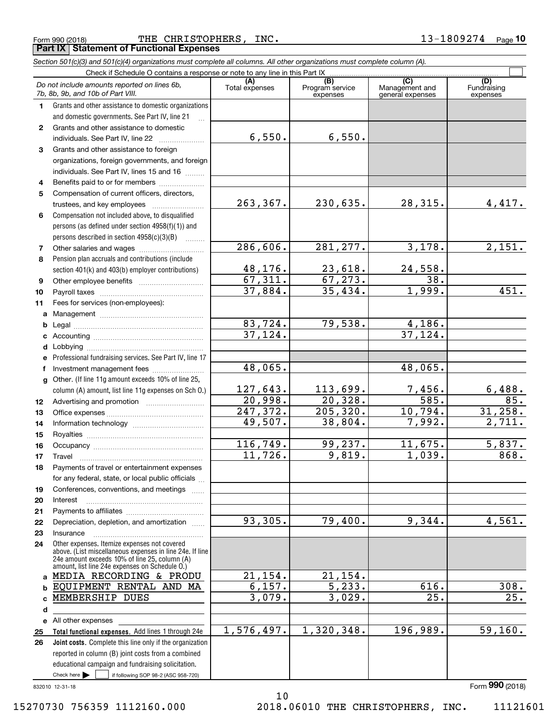Form 990 (2018) Page THE CHRISTOPHERS, INC. 13-1809274 **Part IX Statement of Functional Expenses**

|                  | Section 501(c)(3) and 501(c)(4) organizations must complete all columns. All other organizations must complete column (A).                                                                                  |                       |                                    |                                    |                                |
|------------------|-------------------------------------------------------------------------------------------------------------------------------------------------------------------------------------------------------------|-----------------------|------------------------------------|------------------------------------|--------------------------------|
|                  | Check if Schedule O contains a response or note to any line in this Part IX                                                                                                                                 |                       |                                    | (C)                                |                                |
|                  | Do not include amounts reported on lines 6b,<br>7b, 8b, 9b, and 10b of Part VIII.                                                                                                                           | (A)<br>Total expenses | (B)<br>Program service<br>expenses | Management and<br>general expenses | (D)<br>Fundraising<br>expenses |
| 1.               | Grants and other assistance to domestic organizations                                                                                                                                                       |                       |                                    |                                    |                                |
|                  | and domestic governments. See Part IV, line 21                                                                                                                                                              |                       |                                    |                                    |                                |
| $\mathbf{2}$     | Grants and other assistance to domestic                                                                                                                                                                     |                       |                                    |                                    |                                |
|                  | individuals. See Part IV, line 22                                                                                                                                                                           | 6,550.                | 6,550.                             |                                    |                                |
| 3                | Grants and other assistance to foreign                                                                                                                                                                      |                       |                                    |                                    |                                |
|                  | organizations, foreign governments, and foreign                                                                                                                                                             |                       |                                    |                                    |                                |
|                  | individuals. See Part IV, lines 15 and 16                                                                                                                                                                   |                       |                                    |                                    |                                |
| 4                | Benefits paid to or for members                                                                                                                                                                             |                       |                                    |                                    |                                |
| 5                | Compensation of current officers, directors,                                                                                                                                                                |                       |                                    |                                    |                                |
|                  | trustees, and key employees                                                                                                                                                                                 | 263,367.              | 230,635.                           | 28,315.                            | 4,417.                         |
| 6                | Compensation not included above, to disqualified                                                                                                                                                            |                       |                                    |                                    |                                |
|                  | persons (as defined under section 4958(f)(1)) and                                                                                                                                                           |                       |                                    |                                    |                                |
|                  | persons described in section 4958(c)(3)(B)                                                                                                                                                                  |                       |                                    |                                    |                                |
| 7                |                                                                                                                                                                                                             | 286,606.              | 281, 277.                          | 3,178.                             | $\overline{2,151.}$            |
| 8                | Pension plan accruals and contributions (include                                                                                                                                                            |                       |                                    |                                    |                                |
|                  | section 401(k) and 403(b) employer contributions)                                                                                                                                                           | 48,176.               | 23,618.                            | 24,558.                            |                                |
| 9                |                                                                                                                                                                                                             | 67,311.               | 67, 273.                           | 38.                                |                                |
| 10               |                                                                                                                                                                                                             | 37,884.               | 35,434.                            | 1,999.                             | 451.                           |
| 11               | Fees for services (non-employees):                                                                                                                                                                          |                       |                                    |                                    |                                |
| a                |                                                                                                                                                                                                             |                       |                                    |                                    |                                |
| b                |                                                                                                                                                                                                             | 83,724.               | 79,538.                            | 4,186.                             |                                |
| c                |                                                                                                                                                                                                             | 37,124.               |                                    | 37,124.                            |                                |
| d                |                                                                                                                                                                                                             |                       |                                    |                                    |                                |
| е                | Professional fundraising services. See Part IV, line 17                                                                                                                                                     |                       |                                    |                                    |                                |
| f                | Investment management fees                                                                                                                                                                                  | 48,065.               |                                    | 48,065.                            |                                |
|                  | g Other. (If line 11g amount exceeds 10% of line 25,                                                                                                                                                        |                       |                                    |                                    |                                |
|                  | column (A) amount, list line 11g expenses on Sch O.)                                                                                                                                                        | 127,643.              | 113,699.                           | 7,456.                             | $\frac{6,488.}{85.}$           |
| 12 <sup>12</sup> |                                                                                                                                                                                                             | 20,998.               | 20, 328.                           | $\overline{585}$ .                 |                                |
| 13               |                                                                                                                                                                                                             | 247,372.              | 205, 320.                          | 10,794.                            | 31,258.                        |
| 14               |                                                                                                                                                                                                             | 49,507.               | 38,804.                            | 7,992.                             | 2,711.                         |
| 15               |                                                                                                                                                                                                             |                       |                                    |                                    |                                |
| 16               |                                                                                                                                                                                                             | 116, 749.             | 99,237.                            | 11,675.                            | 5,837.                         |
| 17               |                                                                                                                                                                                                             | 11,726.               | 9,819.                             | 1,039.                             | 868.                           |
| 18               | Payments of travel or entertainment expenses                                                                                                                                                                |                       |                                    |                                    |                                |
|                  | for any federal, state, or local public officials                                                                                                                                                           |                       |                                    |                                    |                                |
| 19               | Conferences, conventions, and meetings                                                                                                                                                                      |                       |                                    |                                    |                                |
| 20               | Interest                                                                                                                                                                                                    |                       |                                    |                                    |                                |
| 21               |                                                                                                                                                                                                             |                       |                                    |                                    |                                |
| 22               | Depreciation, depletion, and amortization                                                                                                                                                                   | 93,305.               | 79,400.                            | 9,344.                             | 4,561.                         |
| 23               | Insurance                                                                                                                                                                                                   |                       |                                    |                                    |                                |
| 24               | Other expenses. Itemize expenses not covered<br>above. (List miscellaneous expenses in line 24e. If line<br>24e amount exceeds 10% of line 25, column (A)<br>amount, list line 24e expenses on Schedule O.) |                       |                                    |                                    |                                |
|                  | a MEDIA RECORDING & PRODU                                                                                                                                                                                   | 21, 154.              | 21, 154.                           |                                    |                                |
| b                | EQUIPMENT RENTAL AND MA                                                                                                                                                                                     | 6,157.                | 5,233.                             | 616.                               | 308.                           |
| c                | MEMBERSHIP DUES                                                                                                                                                                                             | 3,079.                | 3,029.                             | 25.                                | 25.                            |
| d                |                                                                                                                                                                                                             |                       |                                    |                                    |                                |
|                  | e All other expenses                                                                                                                                                                                        |                       |                                    |                                    |                                |
| 25               | Total functional expenses. Add lines 1 through 24e                                                                                                                                                          | 1,576,497.            | 1,320,348.                         | 196,989.                           | 59, 160.                       |
| 26               | Joint costs. Complete this line only if the organization                                                                                                                                                    |                       |                                    |                                    |                                |
|                  | reported in column (B) joint costs from a combined                                                                                                                                                          |                       |                                    |                                    |                                |
|                  | educational campaign and fundraising solicitation.                                                                                                                                                          |                       |                                    |                                    |                                |
|                  | Check here $\blacktriangleright$<br>if following SOP 98-2 (ASC 958-720)                                                                                                                                     |                       |                                    |                                    |                                |

10

832010 12-31-18

15270730 756359 1112160.000 2018.06010 THE CHRISTOPHERS, INC. 11121601

Form (2018) **990**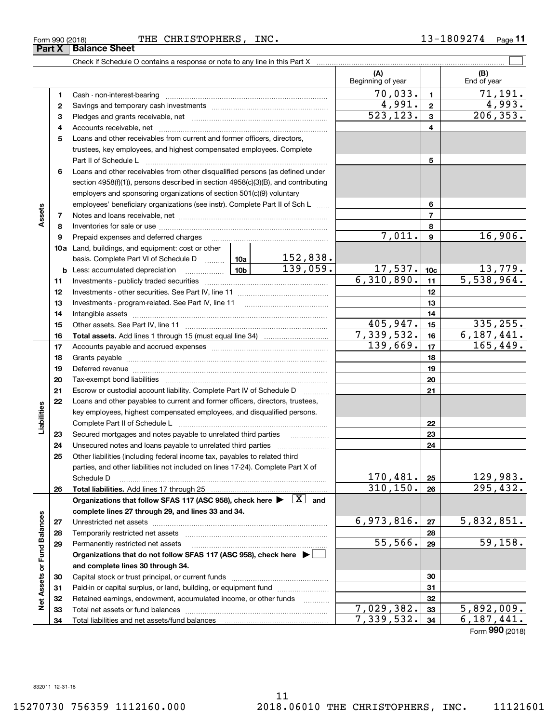832011 12-31-18

**Part X Balance Sheet**

Check if Schedule O contains a response or note to any line in this Part X

| 70,033.<br>71,191.<br>$\blacksquare$<br>1<br>4,991.<br>4,993.<br>$\mathbf{2}$<br>2<br>$\overline{523,}123.$<br>$\overline{206, 353}$ .<br>3<br>з<br>4<br>4<br>Loans and other receivables from current and former officers, directors,<br>5<br>trustees, key employees, and highest compensated employees. Complete<br>5<br>Loans and other receivables from other disqualified persons (as defined under<br>6<br>section 4958(f)(1)), persons described in section 4958(c)(3)(B), and contributing<br>employers and sponsoring organizations of section 501(c)(9) voluntary<br>employees' beneficiary organizations (see instr). Complete Part II of Sch L<br>6<br>Assets<br>$\overline{7}$<br>7<br>8<br>8<br>7,011.<br>16,906.<br>9<br>9<br>Prepaid expenses and deferred charges<br>10a Land, buildings, and equipment: cost or other<br>basis. Complete Part VI of Schedule D    10a   152,838.<br>$\overline{139,059}$ .<br>17,537.<br>$\frac{13,779}{5,538,964.}$<br>10 <sub>c</sub><br>b<br>6,310,890.<br>11<br>11<br>12<br>12<br>13<br>13<br>14<br>14<br>405,947.<br>335, 255.<br>15<br>15<br>7,339,532.<br>6, 187, 441.<br>16<br>16<br>139,669.<br>165,449.<br>17<br>17<br>18<br>18<br>19<br>19<br>Deferred revenue information and contact the contract of the contract of the contract of the contract of the contract of the contract of the contract of the contract of the contract of the contract of the contract of the c<br>20<br>20<br>21<br>Escrow or custodial account liability. Complete Part IV of Schedule D<br>21<br>.<br>Loans and other payables to current and former officers, directors, trustees,<br>22<br>Liabilities<br>key employees, highest compensated employees, and disqualified persons.<br>22<br>23<br>Secured mortgages and notes payable to unrelated third parties<br>23<br>24<br>24<br>25<br>Other liabilities (including federal income tax, payables to related third<br>parties, and other liabilities not included on lines 17-24). Complete Part X of<br>170,481.<br>129, 983.<br>25<br>Schedule D<br>310, 150.<br>295,432.<br>26<br>26<br>Total liabilities. Add lines 17 through 25<br>Organizations that follow SFAS 117 (ASC 958), check here $\blacktriangleright \boxed{X}$ and<br>complete lines 27 through 29, and lines 33 and 34.<br>Net Assets or Fund Balances<br>5,832,851.<br>6,973,816.<br>27<br>27<br>Temporarily restricted net assets<br>28<br>28<br>$\overline{55,566}$ .<br>59, 158.<br>29<br>29<br>Permanently restricted net assets<br>Organizations that do not follow SFAS 117 (ASC 958), check here ▶ □<br>and complete lines 30 through 34.<br>30<br>30<br>Paid-in or capital surplus, or land, building, or equipment fund<br>31<br>31<br>Retained earnings, endowment, accumulated income, or other funds<br>32<br>32<br>1.1.1.1.1.1.1.1.1<br>$\overline{7,029}$ , 382.<br>5,892,009.<br>33<br>33<br>7,339,532.<br>34<br>34 |  |  |  | (A)<br>Beginning of year | (B)<br>End of year |
|------------------------------------------------------------------------------------------------------------------------------------------------------------------------------------------------------------------------------------------------------------------------------------------------------------------------------------------------------------------------------------------------------------------------------------------------------------------------------------------------------------------------------------------------------------------------------------------------------------------------------------------------------------------------------------------------------------------------------------------------------------------------------------------------------------------------------------------------------------------------------------------------------------------------------------------------------------------------------------------------------------------------------------------------------------------------------------------------------------------------------------------------------------------------------------------------------------------------------------------------------------------------------------------------------------------------------------------------------------------------------------------------------------------------------------------------------------------------------------------------------------------------------------------------------------------------------------------------------------------------------------------------------------------------------------------------------------------------------------------------------------------------------------------------------------------------------------------------------------------------------------------------------------------------------------------------------------------------------------------------------------------------------------------------------------------------------------------------------------------------------------------------------------------------------------------------------------------------------------------------------------------------------------------------------------------------------------------------------------------------------------------------------------------------------------------------------------------------------------------------------------------------------------------------------------------------------------------------------------------------------------------------------------------------------------------------------------------------------------------------------------------------------------------------------------------------------------------------------------------------------------------------------------|--|--|--|--------------------------|--------------------|
|                                                                                                                                                                                                                                                                                                                                                                                                                                                                                                                                                                                                                                                                                                                                                                                                                                                                                                                                                                                                                                                                                                                                                                                                                                                                                                                                                                                                                                                                                                                                                                                                                                                                                                                                                                                                                                                                                                                                                                                                                                                                                                                                                                                                                                                                                                                                                                                                                                                                                                                                                                                                                                                                                                                                                                                                                                                                                                            |  |  |  |                          |                    |
|                                                                                                                                                                                                                                                                                                                                                                                                                                                                                                                                                                                                                                                                                                                                                                                                                                                                                                                                                                                                                                                                                                                                                                                                                                                                                                                                                                                                                                                                                                                                                                                                                                                                                                                                                                                                                                                                                                                                                                                                                                                                                                                                                                                                                                                                                                                                                                                                                                                                                                                                                                                                                                                                                                                                                                                                                                                                                                            |  |  |  |                          |                    |
|                                                                                                                                                                                                                                                                                                                                                                                                                                                                                                                                                                                                                                                                                                                                                                                                                                                                                                                                                                                                                                                                                                                                                                                                                                                                                                                                                                                                                                                                                                                                                                                                                                                                                                                                                                                                                                                                                                                                                                                                                                                                                                                                                                                                                                                                                                                                                                                                                                                                                                                                                                                                                                                                                                                                                                                                                                                                                                            |  |  |  |                          |                    |
|                                                                                                                                                                                                                                                                                                                                                                                                                                                                                                                                                                                                                                                                                                                                                                                                                                                                                                                                                                                                                                                                                                                                                                                                                                                                                                                                                                                                                                                                                                                                                                                                                                                                                                                                                                                                                                                                                                                                                                                                                                                                                                                                                                                                                                                                                                                                                                                                                                                                                                                                                                                                                                                                                                                                                                                                                                                                                                            |  |  |  |                          |                    |
|                                                                                                                                                                                                                                                                                                                                                                                                                                                                                                                                                                                                                                                                                                                                                                                                                                                                                                                                                                                                                                                                                                                                                                                                                                                                                                                                                                                                                                                                                                                                                                                                                                                                                                                                                                                                                                                                                                                                                                                                                                                                                                                                                                                                                                                                                                                                                                                                                                                                                                                                                                                                                                                                                                                                                                                                                                                                                                            |  |  |  |                          |                    |
|                                                                                                                                                                                                                                                                                                                                                                                                                                                                                                                                                                                                                                                                                                                                                                                                                                                                                                                                                                                                                                                                                                                                                                                                                                                                                                                                                                                                                                                                                                                                                                                                                                                                                                                                                                                                                                                                                                                                                                                                                                                                                                                                                                                                                                                                                                                                                                                                                                                                                                                                                                                                                                                                                                                                                                                                                                                                                                            |  |  |  |                          |                    |
|                                                                                                                                                                                                                                                                                                                                                                                                                                                                                                                                                                                                                                                                                                                                                                                                                                                                                                                                                                                                                                                                                                                                                                                                                                                                                                                                                                                                                                                                                                                                                                                                                                                                                                                                                                                                                                                                                                                                                                                                                                                                                                                                                                                                                                                                                                                                                                                                                                                                                                                                                                                                                                                                                                                                                                                                                                                                                                            |  |  |  |                          |                    |
|                                                                                                                                                                                                                                                                                                                                                                                                                                                                                                                                                                                                                                                                                                                                                                                                                                                                                                                                                                                                                                                                                                                                                                                                                                                                                                                                                                                                                                                                                                                                                                                                                                                                                                                                                                                                                                                                                                                                                                                                                                                                                                                                                                                                                                                                                                                                                                                                                                                                                                                                                                                                                                                                                                                                                                                                                                                                                                            |  |  |  |                          |                    |
|                                                                                                                                                                                                                                                                                                                                                                                                                                                                                                                                                                                                                                                                                                                                                                                                                                                                                                                                                                                                                                                                                                                                                                                                                                                                                                                                                                                                                                                                                                                                                                                                                                                                                                                                                                                                                                                                                                                                                                                                                                                                                                                                                                                                                                                                                                                                                                                                                                                                                                                                                                                                                                                                                                                                                                                                                                                                                                            |  |  |  |                          |                    |
|                                                                                                                                                                                                                                                                                                                                                                                                                                                                                                                                                                                                                                                                                                                                                                                                                                                                                                                                                                                                                                                                                                                                                                                                                                                                                                                                                                                                                                                                                                                                                                                                                                                                                                                                                                                                                                                                                                                                                                                                                                                                                                                                                                                                                                                                                                                                                                                                                                                                                                                                                                                                                                                                                                                                                                                                                                                                                                            |  |  |  |                          |                    |
|                                                                                                                                                                                                                                                                                                                                                                                                                                                                                                                                                                                                                                                                                                                                                                                                                                                                                                                                                                                                                                                                                                                                                                                                                                                                                                                                                                                                                                                                                                                                                                                                                                                                                                                                                                                                                                                                                                                                                                                                                                                                                                                                                                                                                                                                                                                                                                                                                                                                                                                                                                                                                                                                                                                                                                                                                                                                                                            |  |  |  |                          |                    |
|                                                                                                                                                                                                                                                                                                                                                                                                                                                                                                                                                                                                                                                                                                                                                                                                                                                                                                                                                                                                                                                                                                                                                                                                                                                                                                                                                                                                                                                                                                                                                                                                                                                                                                                                                                                                                                                                                                                                                                                                                                                                                                                                                                                                                                                                                                                                                                                                                                                                                                                                                                                                                                                                                                                                                                                                                                                                                                            |  |  |  |                          |                    |
|                                                                                                                                                                                                                                                                                                                                                                                                                                                                                                                                                                                                                                                                                                                                                                                                                                                                                                                                                                                                                                                                                                                                                                                                                                                                                                                                                                                                                                                                                                                                                                                                                                                                                                                                                                                                                                                                                                                                                                                                                                                                                                                                                                                                                                                                                                                                                                                                                                                                                                                                                                                                                                                                                                                                                                                                                                                                                                            |  |  |  |                          |                    |
|                                                                                                                                                                                                                                                                                                                                                                                                                                                                                                                                                                                                                                                                                                                                                                                                                                                                                                                                                                                                                                                                                                                                                                                                                                                                                                                                                                                                                                                                                                                                                                                                                                                                                                                                                                                                                                                                                                                                                                                                                                                                                                                                                                                                                                                                                                                                                                                                                                                                                                                                                                                                                                                                                                                                                                                                                                                                                                            |  |  |  |                          |                    |
|                                                                                                                                                                                                                                                                                                                                                                                                                                                                                                                                                                                                                                                                                                                                                                                                                                                                                                                                                                                                                                                                                                                                                                                                                                                                                                                                                                                                                                                                                                                                                                                                                                                                                                                                                                                                                                                                                                                                                                                                                                                                                                                                                                                                                                                                                                                                                                                                                                                                                                                                                                                                                                                                                                                                                                                                                                                                                                            |  |  |  |                          |                    |
|                                                                                                                                                                                                                                                                                                                                                                                                                                                                                                                                                                                                                                                                                                                                                                                                                                                                                                                                                                                                                                                                                                                                                                                                                                                                                                                                                                                                                                                                                                                                                                                                                                                                                                                                                                                                                                                                                                                                                                                                                                                                                                                                                                                                                                                                                                                                                                                                                                                                                                                                                                                                                                                                                                                                                                                                                                                                                                            |  |  |  |                          |                    |
|                                                                                                                                                                                                                                                                                                                                                                                                                                                                                                                                                                                                                                                                                                                                                                                                                                                                                                                                                                                                                                                                                                                                                                                                                                                                                                                                                                                                                                                                                                                                                                                                                                                                                                                                                                                                                                                                                                                                                                                                                                                                                                                                                                                                                                                                                                                                                                                                                                                                                                                                                                                                                                                                                                                                                                                                                                                                                                            |  |  |  |                          |                    |
|                                                                                                                                                                                                                                                                                                                                                                                                                                                                                                                                                                                                                                                                                                                                                                                                                                                                                                                                                                                                                                                                                                                                                                                                                                                                                                                                                                                                                                                                                                                                                                                                                                                                                                                                                                                                                                                                                                                                                                                                                                                                                                                                                                                                                                                                                                                                                                                                                                                                                                                                                                                                                                                                                                                                                                                                                                                                                                            |  |  |  |                          |                    |
|                                                                                                                                                                                                                                                                                                                                                                                                                                                                                                                                                                                                                                                                                                                                                                                                                                                                                                                                                                                                                                                                                                                                                                                                                                                                                                                                                                                                                                                                                                                                                                                                                                                                                                                                                                                                                                                                                                                                                                                                                                                                                                                                                                                                                                                                                                                                                                                                                                                                                                                                                                                                                                                                                                                                                                                                                                                                                                            |  |  |  |                          |                    |
|                                                                                                                                                                                                                                                                                                                                                                                                                                                                                                                                                                                                                                                                                                                                                                                                                                                                                                                                                                                                                                                                                                                                                                                                                                                                                                                                                                                                                                                                                                                                                                                                                                                                                                                                                                                                                                                                                                                                                                                                                                                                                                                                                                                                                                                                                                                                                                                                                                                                                                                                                                                                                                                                                                                                                                                                                                                                                                            |  |  |  |                          |                    |
|                                                                                                                                                                                                                                                                                                                                                                                                                                                                                                                                                                                                                                                                                                                                                                                                                                                                                                                                                                                                                                                                                                                                                                                                                                                                                                                                                                                                                                                                                                                                                                                                                                                                                                                                                                                                                                                                                                                                                                                                                                                                                                                                                                                                                                                                                                                                                                                                                                                                                                                                                                                                                                                                                                                                                                                                                                                                                                            |  |  |  |                          |                    |
|                                                                                                                                                                                                                                                                                                                                                                                                                                                                                                                                                                                                                                                                                                                                                                                                                                                                                                                                                                                                                                                                                                                                                                                                                                                                                                                                                                                                                                                                                                                                                                                                                                                                                                                                                                                                                                                                                                                                                                                                                                                                                                                                                                                                                                                                                                                                                                                                                                                                                                                                                                                                                                                                                                                                                                                                                                                                                                            |  |  |  |                          |                    |
|                                                                                                                                                                                                                                                                                                                                                                                                                                                                                                                                                                                                                                                                                                                                                                                                                                                                                                                                                                                                                                                                                                                                                                                                                                                                                                                                                                                                                                                                                                                                                                                                                                                                                                                                                                                                                                                                                                                                                                                                                                                                                                                                                                                                                                                                                                                                                                                                                                                                                                                                                                                                                                                                                                                                                                                                                                                                                                            |  |  |  |                          |                    |
|                                                                                                                                                                                                                                                                                                                                                                                                                                                                                                                                                                                                                                                                                                                                                                                                                                                                                                                                                                                                                                                                                                                                                                                                                                                                                                                                                                                                                                                                                                                                                                                                                                                                                                                                                                                                                                                                                                                                                                                                                                                                                                                                                                                                                                                                                                                                                                                                                                                                                                                                                                                                                                                                                                                                                                                                                                                                                                            |  |  |  |                          |                    |
|                                                                                                                                                                                                                                                                                                                                                                                                                                                                                                                                                                                                                                                                                                                                                                                                                                                                                                                                                                                                                                                                                                                                                                                                                                                                                                                                                                                                                                                                                                                                                                                                                                                                                                                                                                                                                                                                                                                                                                                                                                                                                                                                                                                                                                                                                                                                                                                                                                                                                                                                                                                                                                                                                                                                                                                                                                                                                                            |  |  |  |                          |                    |
|                                                                                                                                                                                                                                                                                                                                                                                                                                                                                                                                                                                                                                                                                                                                                                                                                                                                                                                                                                                                                                                                                                                                                                                                                                                                                                                                                                                                                                                                                                                                                                                                                                                                                                                                                                                                                                                                                                                                                                                                                                                                                                                                                                                                                                                                                                                                                                                                                                                                                                                                                                                                                                                                                                                                                                                                                                                                                                            |  |  |  |                          |                    |
|                                                                                                                                                                                                                                                                                                                                                                                                                                                                                                                                                                                                                                                                                                                                                                                                                                                                                                                                                                                                                                                                                                                                                                                                                                                                                                                                                                                                                                                                                                                                                                                                                                                                                                                                                                                                                                                                                                                                                                                                                                                                                                                                                                                                                                                                                                                                                                                                                                                                                                                                                                                                                                                                                                                                                                                                                                                                                                            |  |  |  |                          |                    |
|                                                                                                                                                                                                                                                                                                                                                                                                                                                                                                                                                                                                                                                                                                                                                                                                                                                                                                                                                                                                                                                                                                                                                                                                                                                                                                                                                                                                                                                                                                                                                                                                                                                                                                                                                                                                                                                                                                                                                                                                                                                                                                                                                                                                                                                                                                                                                                                                                                                                                                                                                                                                                                                                                                                                                                                                                                                                                                            |  |  |  |                          |                    |
|                                                                                                                                                                                                                                                                                                                                                                                                                                                                                                                                                                                                                                                                                                                                                                                                                                                                                                                                                                                                                                                                                                                                                                                                                                                                                                                                                                                                                                                                                                                                                                                                                                                                                                                                                                                                                                                                                                                                                                                                                                                                                                                                                                                                                                                                                                                                                                                                                                                                                                                                                                                                                                                                                                                                                                                                                                                                                                            |  |  |  |                          |                    |
|                                                                                                                                                                                                                                                                                                                                                                                                                                                                                                                                                                                                                                                                                                                                                                                                                                                                                                                                                                                                                                                                                                                                                                                                                                                                                                                                                                                                                                                                                                                                                                                                                                                                                                                                                                                                                                                                                                                                                                                                                                                                                                                                                                                                                                                                                                                                                                                                                                                                                                                                                                                                                                                                                                                                                                                                                                                                                                            |  |  |  |                          |                    |
|                                                                                                                                                                                                                                                                                                                                                                                                                                                                                                                                                                                                                                                                                                                                                                                                                                                                                                                                                                                                                                                                                                                                                                                                                                                                                                                                                                                                                                                                                                                                                                                                                                                                                                                                                                                                                                                                                                                                                                                                                                                                                                                                                                                                                                                                                                                                                                                                                                                                                                                                                                                                                                                                                                                                                                                                                                                                                                            |  |  |  |                          |                    |
|                                                                                                                                                                                                                                                                                                                                                                                                                                                                                                                                                                                                                                                                                                                                                                                                                                                                                                                                                                                                                                                                                                                                                                                                                                                                                                                                                                                                                                                                                                                                                                                                                                                                                                                                                                                                                                                                                                                                                                                                                                                                                                                                                                                                                                                                                                                                                                                                                                                                                                                                                                                                                                                                                                                                                                                                                                                                                                            |  |  |  |                          |                    |
|                                                                                                                                                                                                                                                                                                                                                                                                                                                                                                                                                                                                                                                                                                                                                                                                                                                                                                                                                                                                                                                                                                                                                                                                                                                                                                                                                                                                                                                                                                                                                                                                                                                                                                                                                                                                                                                                                                                                                                                                                                                                                                                                                                                                                                                                                                                                                                                                                                                                                                                                                                                                                                                                                                                                                                                                                                                                                                            |  |  |  |                          |                    |
|                                                                                                                                                                                                                                                                                                                                                                                                                                                                                                                                                                                                                                                                                                                                                                                                                                                                                                                                                                                                                                                                                                                                                                                                                                                                                                                                                                                                                                                                                                                                                                                                                                                                                                                                                                                                                                                                                                                                                                                                                                                                                                                                                                                                                                                                                                                                                                                                                                                                                                                                                                                                                                                                                                                                                                                                                                                                                                            |  |  |  |                          |                    |
|                                                                                                                                                                                                                                                                                                                                                                                                                                                                                                                                                                                                                                                                                                                                                                                                                                                                                                                                                                                                                                                                                                                                                                                                                                                                                                                                                                                                                                                                                                                                                                                                                                                                                                                                                                                                                                                                                                                                                                                                                                                                                                                                                                                                                                                                                                                                                                                                                                                                                                                                                                                                                                                                                                                                                                                                                                                                                                            |  |  |  |                          |                    |
|                                                                                                                                                                                                                                                                                                                                                                                                                                                                                                                                                                                                                                                                                                                                                                                                                                                                                                                                                                                                                                                                                                                                                                                                                                                                                                                                                                                                                                                                                                                                                                                                                                                                                                                                                                                                                                                                                                                                                                                                                                                                                                                                                                                                                                                                                                                                                                                                                                                                                                                                                                                                                                                                                                                                                                                                                                                                                                            |  |  |  |                          |                    |
|                                                                                                                                                                                                                                                                                                                                                                                                                                                                                                                                                                                                                                                                                                                                                                                                                                                                                                                                                                                                                                                                                                                                                                                                                                                                                                                                                                                                                                                                                                                                                                                                                                                                                                                                                                                                                                                                                                                                                                                                                                                                                                                                                                                                                                                                                                                                                                                                                                                                                                                                                                                                                                                                                                                                                                                                                                                                                                            |  |  |  |                          |                    |
|                                                                                                                                                                                                                                                                                                                                                                                                                                                                                                                                                                                                                                                                                                                                                                                                                                                                                                                                                                                                                                                                                                                                                                                                                                                                                                                                                                                                                                                                                                                                                                                                                                                                                                                                                                                                                                                                                                                                                                                                                                                                                                                                                                                                                                                                                                                                                                                                                                                                                                                                                                                                                                                                                                                                                                                                                                                                                                            |  |  |  |                          |                    |
|                                                                                                                                                                                                                                                                                                                                                                                                                                                                                                                                                                                                                                                                                                                                                                                                                                                                                                                                                                                                                                                                                                                                                                                                                                                                                                                                                                                                                                                                                                                                                                                                                                                                                                                                                                                                                                                                                                                                                                                                                                                                                                                                                                                                                                                                                                                                                                                                                                                                                                                                                                                                                                                                                                                                                                                                                                                                                                            |  |  |  |                          |                    |
|                                                                                                                                                                                                                                                                                                                                                                                                                                                                                                                                                                                                                                                                                                                                                                                                                                                                                                                                                                                                                                                                                                                                                                                                                                                                                                                                                                                                                                                                                                                                                                                                                                                                                                                                                                                                                                                                                                                                                                                                                                                                                                                                                                                                                                                                                                                                                                                                                                                                                                                                                                                                                                                                                                                                                                                                                                                                                                            |  |  |  |                          |                    |
|                                                                                                                                                                                                                                                                                                                                                                                                                                                                                                                                                                                                                                                                                                                                                                                                                                                                                                                                                                                                                                                                                                                                                                                                                                                                                                                                                                                                                                                                                                                                                                                                                                                                                                                                                                                                                                                                                                                                                                                                                                                                                                                                                                                                                                                                                                                                                                                                                                                                                                                                                                                                                                                                                                                                                                                                                                                                                                            |  |  |  |                          |                    |
|                                                                                                                                                                                                                                                                                                                                                                                                                                                                                                                                                                                                                                                                                                                                                                                                                                                                                                                                                                                                                                                                                                                                                                                                                                                                                                                                                                                                                                                                                                                                                                                                                                                                                                                                                                                                                                                                                                                                                                                                                                                                                                                                                                                                                                                                                                                                                                                                                                                                                                                                                                                                                                                                                                                                                                                                                                                                                                            |  |  |  |                          |                    |
|                                                                                                                                                                                                                                                                                                                                                                                                                                                                                                                                                                                                                                                                                                                                                                                                                                                                                                                                                                                                                                                                                                                                                                                                                                                                                                                                                                                                                                                                                                                                                                                                                                                                                                                                                                                                                                                                                                                                                                                                                                                                                                                                                                                                                                                                                                                                                                                                                                                                                                                                                                                                                                                                                                                                                                                                                                                                                                            |  |  |  |                          |                    |
|                                                                                                                                                                                                                                                                                                                                                                                                                                                                                                                                                                                                                                                                                                                                                                                                                                                                                                                                                                                                                                                                                                                                                                                                                                                                                                                                                                                                                                                                                                                                                                                                                                                                                                                                                                                                                                                                                                                                                                                                                                                                                                                                                                                                                                                                                                                                                                                                                                                                                                                                                                                                                                                                                                                                                                                                                                                                                                            |  |  |  |                          |                    |
|                                                                                                                                                                                                                                                                                                                                                                                                                                                                                                                                                                                                                                                                                                                                                                                                                                                                                                                                                                                                                                                                                                                                                                                                                                                                                                                                                                                                                                                                                                                                                                                                                                                                                                                                                                                                                                                                                                                                                                                                                                                                                                                                                                                                                                                                                                                                                                                                                                                                                                                                                                                                                                                                                                                                                                                                                                                                                                            |  |  |  |                          |                    |
|                                                                                                                                                                                                                                                                                                                                                                                                                                                                                                                                                                                                                                                                                                                                                                                                                                                                                                                                                                                                                                                                                                                                                                                                                                                                                                                                                                                                                                                                                                                                                                                                                                                                                                                                                                                                                                                                                                                                                                                                                                                                                                                                                                                                                                                                                                                                                                                                                                                                                                                                                                                                                                                                                                                                                                                                                                                                                                            |  |  |  |                          |                    |
|                                                                                                                                                                                                                                                                                                                                                                                                                                                                                                                                                                                                                                                                                                                                                                                                                                                                                                                                                                                                                                                                                                                                                                                                                                                                                                                                                                                                                                                                                                                                                                                                                                                                                                                                                                                                                                                                                                                                                                                                                                                                                                                                                                                                                                                                                                                                                                                                                                                                                                                                                                                                                                                                                                                                                                                                                                                                                                            |  |  |  |                          |                    |
|                                                                                                                                                                                                                                                                                                                                                                                                                                                                                                                                                                                                                                                                                                                                                                                                                                                                                                                                                                                                                                                                                                                                                                                                                                                                                                                                                                                                                                                                                                                                                                                                                                                                                                                                                                                                                                                                                                                                                                                                                                                                                                                                                                                                                                                                                                                                                                                                                                                                                                                                                                                                                                                                                                                                                                                                                                                                                                            |  |  |  |                          | 6, 187, 441.       |

Form (2018) **990**

 $\mathcal{L}^{\text{max}}$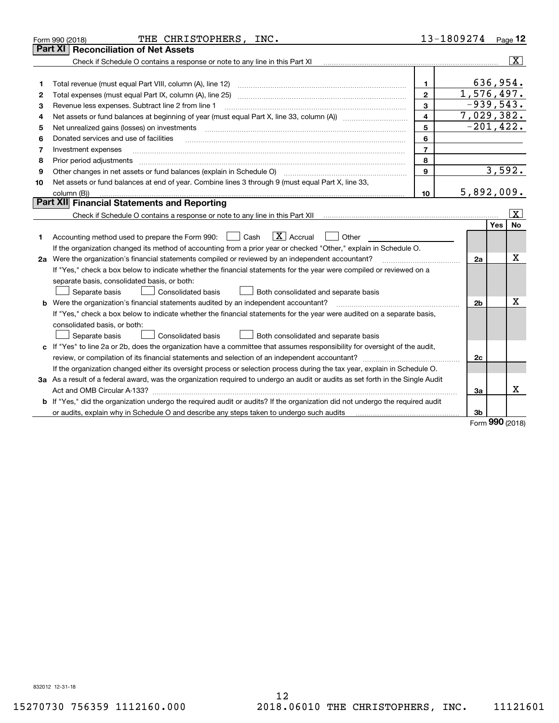|    | THE CHRISTOPHERS, INC.<br>Form 990 (2018)                                                                                                                           |                         | 13-1809274 Page 12 |            |                         |
|----|---------------------------------------------------------------------------------------------------------------------------------------------------------------------|-------------------------|--------------------|------------|-------------------------|
|    | <b>Part XI   Reconciliation of Net Assets</b>                                                                                                                       |                         |                    |            |                         |
|    | Check if Schedule O contains a response or note to any line in this Part XI                                                                                         |                         |                    |            | $\overline{\mathtt{x}}$ |
|    |                                                                                                                                                                     |                         |                    |            |                         |
| 1  | Total revenue (must equal Part VIII, column (A), line 12)                                                                                                           | 1.                      |                    | 636,954.   |                         |
| 2  |                                                                                                                                                                     | $\mathbf{2}$            | 1,576,497.         |            |                         |
| 3  | Revenue less expenses. Subtract line 2 from line 1                                                                                                                  | 3                       | $-939,543.$        |            |                         |
| 4  |                                                                                                                                                                     | $\overline{\mathbf{4}}$ | 7,029,382.         |            |                         |
| 5  | Net unrealized gains (losses) on investments                                                                                                                        | 5                       | $-201, 422.$       |            |                         |
| 6  | Donated services and use of facilities                                                                                                                              | 6                       |                    |            |                         |
| 7  | Investment expenses                                                                                                                                                 | $\overline{7}$          |                    |            |                         |
| 8  | Prior period adjustments                                                                                                                                            | 8                       |                    |            |                         |
| 9  |                                                                                                                                                                     | 9                       |                    | 3,592.     |                         |
| 10 | Net assets or fund balances at end of year. Combine lines 3 through 9 (must equal Part X, line 33,                                                                  |                         |                    |            |                         |
|    | column (B))                                                                                                                                                         | 10                      | 5,892,009.         |            |                         |
|    | Part XII Financial Statements and Reporting                                                                                                                         |                         |                    |            |                         |
|    | Check if Schedule O contains a response or note to any line in this Part XII [11] [12] Check if Schedule O contains a response or note to any line in this Part XII |                         |                    |            | $\overline{\mathbf{X}}$ |
|    |                                                                                                                                                                     |                         |                    | Yes        | <b>No</b>               |
| 1. | $ X $ Accrual<br>Other<br>Accounting method used to prepare the Form 990:     Cash                                                                                  |                         |                    |            |                         |
|    | If the organization changed its method of accounting from a prior year or checked "Other," explain in Schedule O.                                                   |                         |                    |            |                         |
|    | 2a Were the organization's financial statements compiled or reviewed by an independent accountant?                                                                  |                         | 2a                 |            | x                       |
|    | If "Yes," check a box below to indicate whether the financial statements for the year were compiled or reviewed on a                                                |                         |                    |            |                         |
|    | separate basis, consolidated basis, or both:                                                                                                                        |                         |                    |            |                         |
|    | Separate basis<br>Consolidated basis<br>Both consolidated and separate basis                                                                                        |                         |                    |            |                         |
|    | <b>b</b> Were the organization's financial statements audited by an independent accountant?                                                                         |                         | 2 <sub>b</sub>     |            | х                       |
|    | If "Yes," check a box below to indicate whether the financial statements for the year were audited on a separate basis,                                             |                         |                    |            |                         |
|    | consolidated basis, or both:                                                                                                                                        |                         |                    |            |                         |
|    | <b>Consolidated basis</b><br>Both consolidated and separate basis<br>Separate basis                                                                                 |                         |                    |            |                         |
|    | c If "Yes" to line 2a or 2b, does the organization have a committee that assumes responsibility for oversight of the audit,                                         |                         |                    |            |                         |
|    | review, or compilation of its financial statements and selection of an independent accountant?                                                                      |                         | 2c                 |            |                         |
|    | If the organization changed either its oversight process or selection process during the tax year, explain in Schedule O.                                           |                         |                    |            |                         |
|    | 3a As a result of a federal award, was the organization required to undergo an audit or audits as set forth in the Single Audit                                     |                         |                    |            |                         |
|    |                                                                                                                                                                     |                         | За                 |            | x                       |
|    | b If "Yes," did the organization undergo the required audit or audits? If the organization did not undergo the required audit                                       |                         |                    |            |                         |
|    | or audits, explain why in Schedule O and describe any steps taken to undergo such audits                                                                            |                         | 3b                 | <b>nnn</b> |                         |

Form (2018) **990**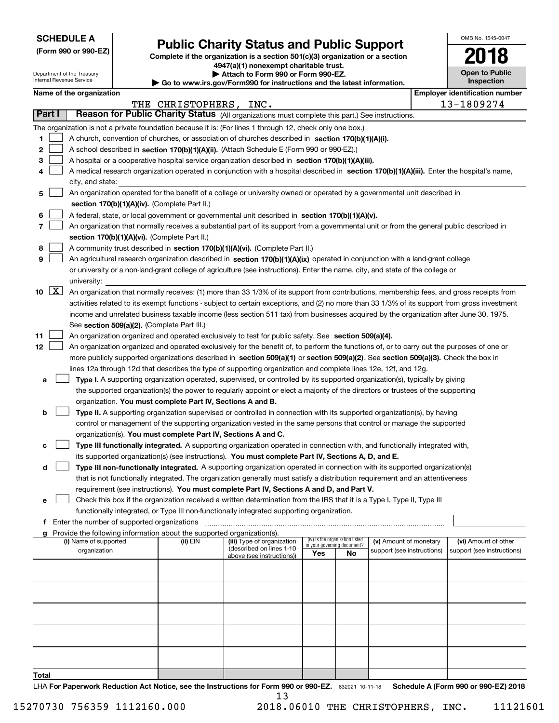| <b>SCHEDULE A</b> |
|-------------------|
|-------------------|

Department of the Treasury Internal Revenue Service

**(Form 990 or 990-EZ)**

# **Public Charity Status and Public Support**

**Complete if the organization is a section 501(c)(3) organization or a section 4947(a)(1) nonexempt charitable trust.**

**| Attach to Form 990 or Form 990-EZ.** 

**| Go to www.irs.gov/Form990 for instructions and the latest information.**

| OMB No. 1545-0047     |
|-----------------------|
| 2018                  |
| <b>Open to Public</b> |

| <b>Inspection</b> |
|-------------------|
| .                 |

|  | Name of the organization |  |
|--|--------------------------|--|
|  |                          |  |
|  |                          |  |

|       |                     | Name of the organization                                                                                                                      |                   |                                                        |                             |                                 |                            |  | <b>Employer identification number</b> |  |
|-------|---------------------|-----------------------------------------------------------------------------------------------------------------------------------------------|-------------------|--------------------------------------------------------|-----------------------------|---------------------------------|----------------------------|--|---------------------------------------|--|
|       |                     |                                                                                                                                               | THE CHRISTOPHERS, | INC.                                                   |                             |                                 |                            |  | 13-1809274                            |  |
|       | Part I              | Reason for Public Charity Status (All organizations must complete this part.) See instructions.                                               |                   |                                                        |                             |                                 |                            |  |                                       |  |
|       |                     | The organization is not a private foundation because it is: (For lines 1 through 12, check only one box.)                                     |                   |                                                        |                             |                                 |                            |  |                                       |  |
| 1     |                     | A church, convention of churches, or association of churches described in section $170(b)(1)(A)(i)$ .                                         |                   |                                                        |                             |                                 |                            |  |                                       |  |
| 2     |                     | A school described in section 170(b)(1)(A)(ii). (Attach Schedule E (Form 990 or 990-EZ).)                                                     |                   |                                                        |                             |                                 |                            |  |                                       |  |
| з     |                     | A hospital or a cooperative hospital service organization described in section 170(b)(1)(A)(iii).                                             |                   |                                                        |                             |                                 |                            |  |                                       |  |
| 4     |                     | A medical research organization operated in conjunction with a hospital described in section 170(b)(1)(A)(iii). Enter the hospital's name,    |                   |                                                        |                             |                                 |                            |  |                                       |  |
|       |                     | city, and state:                                                                                                                              |                   |                                                        |                             |                                 |                            |  |                                       |  |
| 5     |                     | An organization operated for the benefit of a college or university owned or operated by a governmental unit described in                     |                   |                                                        |                             |                                 |                            |  |                                       |  |
|       |                     | section 170(b)(1)(A)(iv). (Complete Part II.)                                                                                                 |                   |                                                        |                             |                                 |                            |  |                                       |  |
| 6     |                     | A federal, state, or local government or governmental unit described in section 170(b)(1)(A)(v).                                              |                   |                                                        |                             |                                 |                            |  |                                       |  |
| 7     |                     | An organization that normally receives a substantial part of its support from a governmental unit or from the general public described in     |                   |                                                        |                             |                                 |                            |  |                                       |  |
|       |                     | section 170(b)(1)(A)(vi). (Complete Part II.)                                                                                                 |                   |                                                        |                             |                                 |                            |  |                                       |  |
| 8     |                     | A community trust described in section 170(b)(1)(A)(vi). (Complete Part II.)                                                                  |                   |                                                        |                             |                                 |                            |  |                                       |  |
| 9     |                     | An agricultural research organization described in section 170(b)(1)(A)(ix) operated in conjunction with a land-grant college                 |                   |                                                        |                             |                                 |                            |  |                                       |  |
|       |                     | or university or a non-land-grant college of agriculture (see instructions). Enter the name, city, and state of the college or                |                   |                                                        |                             |                                 |                            |  |                                       |  |
|       |                     | university:                                                                                                                                   |                   |                                                        |                             |                                 |                            |  |                                       |  |
| 10    | $\lfloor x \rfloor$ | An organization that normally receives: (1) more than 33 1/3% of its support from contributions, membership fees, and gross receipts from     |                   |                                                        |                             |                                 |                            |  |                                       |  |
|       |                     | activities related to its exempt functions - subject to certain exceptions, and (2) no more than 33 1/3% of its support from gross investment |                   |                                                        |                             |                                 |                            |  |                                       |  |
|       |                     | income and unrelated business taxable income (less section 511 tax) from businesses acquired by the organization after June 30, 1975.         |                   |                                                        |                             |                                 |                            |  |                                       |  |
|       |                     | See section 509(a)(2). (Complete Part III.)                                                                                                   |                   |                                                        |                             |                                 |                            |  |                                       |  |
| 11    |                     | An organization organized and operated exclusively to test for public safety. See section 509(a)(4).                                          |                   |                                                        |                             |                                 |                            |  |                                       |  |
| 12    |                     | An organization organized and operated exclusively for the benefit of, to perform the functions of, or to carry out the purposes of one or    |                   |                                                        |                             |                                 |                            |  |                                       |  |
|       |                     | more publicly supported organizations described in section 509(a)(1) or section 509(a)(2). See section 509(a)(3). Check the box in            |                   |                                                        |                             |                                 |                            |  |                                       |  |
|       |                     | lines 12a through 12d that describes the type of supporting organization and complete lines 12e, 12f, and 12g.                                |                   |                                                        |                             |                                 |                            |  |                                       |  |
|       |                     |                                                                                                                                               |                   |                                                        |                             |                                 |                            |  |                                       |  |
| a     |                     | Type I. A supporting organization operated, supervised, or controlled by its supported organization(s), typically by giving                   |                   |                                                        |                             |                                 |                            |  |                                       |  |
|       |                     | the supported organization(s) the power to regularly appoint or elect a majority of the directors or trustees of the supporting               |                   |                                                        |                             |                                 |                            |  |                                       |  |
|       |                     | organization. You must complete Part IV, Sections A and B.                                                                                    |                   |                                                        |                             |                                 |                            |  |                                       |  |
| b     |                     | Type II. A supporting organization supervised or controlled in connection with its supported organization(s), by having                       |                   |                                                        |                             |                                 |                            |  |                                       |  |
|       |                     | control or management of the supporting organization vested in the same persons that control or manage the supported                          |                   |                                                        |                             |                                 |                            |  |                                       |  |
|       |                     | organization(s). You must complete Part IV, Sections A and C.                                                                                 |                   |                                                        |                             |                                 |                            |  |                                       |  |
| c     |                     | Type III functionally integrated. A supporting organization operated in connection with, and functionally integrated with,                    |                   |                                                        |                             |                                 |                            |  |                                       |  |
|       |                     | its supported organization(s) (see instructions). You must complete Part IV, Sections A, D, and E.                                            |                   |                                                        |                             |                                 |                            |  |                                       |  |
| d     |                     | Type III non-functionally integrated. A supporting organization operated in connection with its supported organization(s)                     |                   |                                                        |                             |                                 |                            |  |                                       |  |
|       |                     | that is not functionally integrated. The organization generally must satisfy a distribution requirement and an attentiveness                  |                   |                                                        |                             |                                 |                            |  |                                       |  |
|       |                     | requirement (see instructions). You must complete Part IV, Sections A and D, and Part V.                                                      |                   |                                                        |                             |                                 |                            |  |                                       |  |
|       |                     | Check this box if the organization received a written determination from the IRS that it is a Type I, Type II, Type III                       |                   |                                                        |                             |                                 |                            |  |                                       |  |
|       |                     | functionally integrated, or Type III non-functionally integrated supporting organization.                                                     |                   |                                                        |                             |                                 |                            |  |                                       |  |
|       |                     | <b>f</b> Enter the number of supported organizations                                                                                          |                   |                                                        |                             |                                 |                            |  |                                       |  |
|       |                     | Provide the following information about the supported organization(s).                                                                        |                   |                                                        |                             |                                 |                            |  |                                       |  |
|       |                     | (i) Name of supported                                                                                                                         | (ii) EIN          | (iii) Type of organization<br>(described on lines 1-10 | in your governing document? | (iv) Is the organization listed | (v) Amount of monetary     |  | (vi) Amount of other                  |  |
|       |                     | organization                                                                                                                                  |                   | above (see instructions))                              | Yes                         | No                              | support (see instructions) |  | support (see instructions)            |  |
|       |                     |                                                                                                                                               |                   |                                                        |                             |                                 |                            |  |                                       |  |
|       |                     |                                                                                                                                               |                   |                                                        |                             |                                 |                            |  |                                       |  |
|       |                     |                                                                                                                                               |                   |                                                        |                             |                                 |                            |  |                                       |  |
|       |                     |                                                                                                                                               |                   |                                                        |                             |                                 |                            |  |                                       |  |
|       |                     |                                                                                                                                               |                   |                                                        |                             |                                 |                            |  |                                       |  |
|       |                     |                                                                                                                                               |                   |                                                        |                             |                                 |                            |  |                                       |  |
|       |                     |                                                                                                                                               |                   |                                                        |                             |                                 |                            |  |                                       |  |
|       |                     |                                                                                                                                               |                   |                                                        |                             |                                 |                            |  |                                       |  |
|       |                     |                                                                                                                                               |                   |                                                        |                             |                                 |                            |  |                                       |  |
|       |                     |                                                                                                                                               |                   |                                                        |                             |                                 |                            |  |                                       |  |
| Total |                     |                                                                                                                                               |                   |                                                        |                             |                                 |                            |  |                                       |  |
|       |                     | LHA For Paperwork Reduction Act Notice, see the Instructions for Form 990 or 990-EZ. 832021 10-11-18                                          |                   |                                                        |                             |                                 |                            |  | Schedule A (Form 990 or 990-EZ) 2018  |  |

13 15270730 756359 1112160.000 2018.06010 THE CHRISTOPHERS, INC. 11121601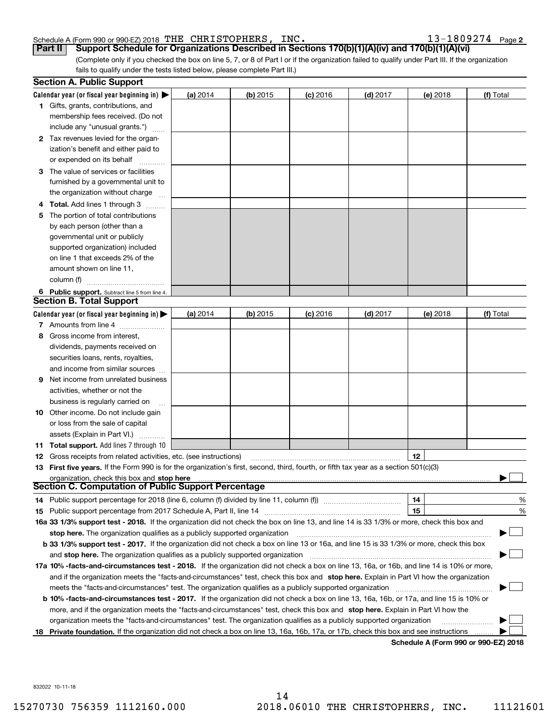#### Schedule A (Form 990 or 990-EZ) 2018 Page THE CHRISTOPHERS, INC. 13-1809274

**2**

(Complete only if you checked the box on line 5, 7, or 8 of Part I or if the organization failed to qualify under Part III. If the organization fails to qualify under the tests listed below, please complete Part III.) **Part II Support Schedule for Organizations Described in Sections 170(b)(1)(A)(iv) and 170(b)(1)(A)(vi)**

|    | <b>Section A. Public Support</b>                                                                                                               |          |            |            |            |                                      |           |
|----|------------------------------------------------------------------------------------------------------------------------------------------------|----------|------------|------------|------------|--------------------------------------|-----------|
|    | Calendar year (or fiscal year beginning in) $\blacktriangleright$                                                                              | (a) 2014 | $(b)$ 2015 | $(c)$ 2016 | $(d)$ 2017 | (e) 2018                             | (f) Total |
|    | 1 Gifts, grants, contributions, and                                                                                                            |          |            |            |            |                                      |           |
|    | membership fees received. (Do not                                                                                                              |          |            |            |            |                                      |           |
|    | include any "unusual grants.")                                                                                                                 |          |            |            |            |                                      |           |
|    | 2 Tax revenues levied for the organ-                                                                                                           |          |            |            |            |                                      |           |
|    | ization's benefit and either paid to                                                                                                           |          |            |            |            |                                      |           |
|    | or expended on its behalf                                                                                                                      |          |            |            |            |                                      |           |
|    | 3 The value of services or facilities                                                                                                          |          |            |            |            |                                      |           |
|    | furnished by a governmental unit to                                                                                                            |          |            |            |            |                                      |           |
|    | the organization without charge                                                                                                                |          |            |            |            |                                      |           |
|    | 4 Total. Add lines 1 through 3                                                                                                                 |          |            |            |            |                                      |           |
| 5. | The portion of total contributions                                                                                                             |          |            |            |            |                                      |           |
|    | by each person (other than a                                                                                                                   |          |            |            |            |                                      |           |
|    | governmental unit or publicly                                                                                                                  |          |            |            |            |                                      |           |
|    | supported organization) included                                                                                                               |          |            |            |            |                                      |           |
|    | on line 1 that exceeds 2% of the                                                                                                               |          |            |            |            |                                      |           |
|    | amount shown on line 11,                                                                                                                       |          |            |            |            |                                      |           |
|    | column (f)                                                                                                                                     |          |            |            |            |                                      |           |
|    | 6 Public support. Subtract line 5 from line 4.                                                                                                 |          |            |            |            |                                      |           |
|    | <b>Section B. Total Support</b>                                                                                                                |          |            |            |            |                                      |           |
|    | Calendar year (or fiscal year beginning in)                                                                                                    | (a) 2014 | $(b)$ 2015 | $(c)$ 2016 | $(d)$ 2017 | (e) 2018                             | (f) Total |
|    | 7 Amounts from line 4                                                                                                                          |          |            |            |            |                                      |           |
| 8  | Gross income from interest,                                                                                                                    |          |            |            |            |                                      |           |
|    | dividends, payments received on                                                                                                                |          |            |            |            |                                      |           |
|    | securities loans, rents, royalties,                                                                                                            |          |            |            |            |                                      |           |
|    | and income from similar sources                                                                                                                |          |            |            |            |                                      |           |
|    | <b>9</b> Net income from unrelated business                                                                                                    |          |            |            |            |                                      |           |
|    | activities, whether or not the                                                                                                                 |          |            |            |            |                                      |           |
|    | business is regularly carried on                                                                                                               |          |            |            |            |                                      |           |
|    | <b>10</b> Other income. Do not include gain                                                                                                    |          |            |            |            |                                      |           |
|    | or loss from the sale of capital                                                                                                               |          |            |            |            |                                      |           |
|    | assets (Explain in Part VI.)                                                                                                                   |          |            |            |            |                                      |           |
|    | <b>11 Total support.</b> Add lines 7 through 10                                                                                                |          |            |            |            |                                      |           |
|    | <b>12</b> Gross receipts from related activities, etc. (see instructions)                                                                      |          |            |            |            | 12                                   |           |
|    | 13 First five years. If the Form 990 is for the organization's first, second, third, fourth, or fifth tax year as a section 501(c)(3)          |          |            |            |            |                                      |           |
|    | organization, check this box and stop here                                                                                                     |          |            |            |            |                                      |           |
|    | <b>Section C. Computation of Public Support Percentage</b>                                                                                     |          |            |            |            |                                      |           |
|    | 14 Public support percentage for 2018 (line 6, column (f) divided by line 11, column (f) <i>marrourcommum</i>                                  |          |            |            |            | 14                                   | %         |
|    |                                                                                                                                                |          |            |            |            | 15                                   | %         |
|    | 16a 33 1/3% support test - 2018. If the organization did not check the box on line 13, and line 14 is 33 1/3% or more, check this box and      |          |            |            |            |                                      |           |
|    | stop here. The organization qualifies as a publicly supported organization                                                                     |          |            |            |            |                                      |           |
|    | b 33 1/3% support test - 2017. If the organization did not check a box on line 13 or 16a, and line 15 is 33 1/3% or more, check this box       |          |            |            |            |                                      |           |
|    | and stop here. The organization qualifies as a publicly supported organization                                                                 |          |            |            |            |                                      |           |
|    | 17a 10% -facts-and-circumstances test - 2018. If the organization did not check a box on line 13, 16a, or 16b, and line 14 is 10% or more,     |          |            |            |            |                                      |           |
|    | and if the organization meets the "facts-and-circumstances" test, check this box and stop here. Explain in Part VI how the organization        |          |            |            |            |                                      |           |
|    | meets the "facts-and-circumstances" test. The organization qualifies as a publicly supported organization                                      |          |            |            |            |                                      |           |
|    | <b>b 10% -facts-and-circumstances test - 2017.</b> If the organization did not check a box on line 13, 16a, 16b, or 17a, and line 15 is 10% or |          |            |            |            |                                      |           |
|    | more, and if the organization meets the "facts-and-circumstances" test, check this box and stop here. Explain in Part VI how the               |          |            |            |            |                                      |           |
|    | organization meets the "facts-and-circumstances" test. The organization qualifies as a publicly supported organization                         |          |            |            |            |                                      |           |
|    | 18 Private foundation. If the organization did not check a box on line 13, 16a, 16b, 17a, or 17b, check this box and see instructions          |          |            |            |            |                                      |           |
|    |                                                                                                                                                |          |            |            |            | Schodule A (Form 000 or 000 F7) 2019 |           |

**Schedule A (Form 990 or 990-EZ) 2018**

832022 10-11-18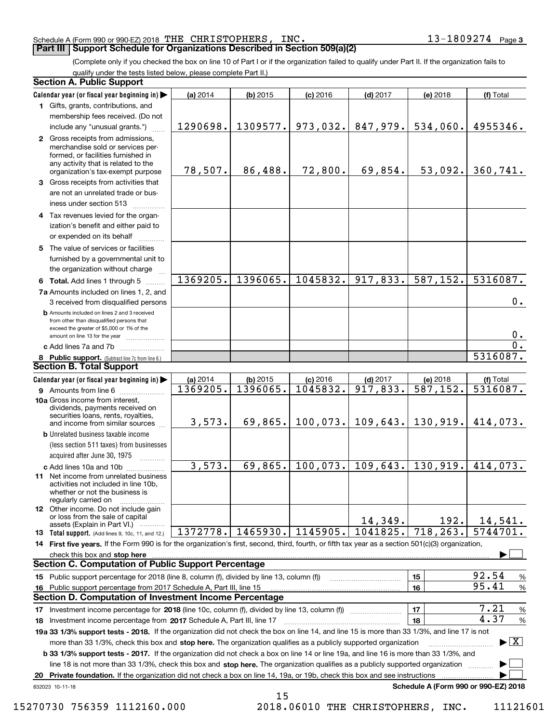#### Schedule A (Form 990 or 990-EZ) 2018 Page THE CHRISTOPHERS, INC. 13-1809274

#### **Part III Support Schedule for Organizations Described in Section 509(a)(2)**

(Complete only if you checked the box on line 10 of Part I or if the organization failed to qualify under Part II. If the organization fails to qualify under the tests listed below, please complete Part II.)

|    | <b>Section A. Public Support</b>                                                                                                                                                         |                      |                        |                        |                        |                                      |                                          |  |
|----|------------------------------------------------------------------------------------------------------------------------------------------------------------------------------------------|----------------------|------------------------|------------------------|------------------------|--------------------------------------|------------------------------------------|--|
|    | Calendar year (or fiscal year beginning in)                                                                                                                                              | (a) 2014             | $(b)$ 2015             | $(c)$ 2016             | $(d)$ 2017             | (e) 2018                             | (f) Total                                |  |
|    | 1 Gifts, grants, contributions, and                                                                                                                                                      |                      |                        |                        |                        |                                      |                                          |  |
|    | membership fees received. (Do not                                                                                                                                                        |                      |                        |                        |                        |                                      |                                          |  |
|    | include any "unusual grants.")                                                                                                                                                           | 1290698.             | 1309577.               | 973,032.               | 847,979.               | 534,060.                             | 4955346.                                 |  |
|    | 2 Gross receipts from admissions,<br>merchandise sold or services per-<br>formed, or facilities furnished in<br>any activity that is related to the<br>organization's tax-exempt purpose | 78,507.              | 86,488.                | 72,800.                | 69,854.                | 53,092.                              | 360,741.                                 |  |
|    | 3 Gross receipts from activities that<br>are not an unrelated trade or bus-                                                                                                              |                      |                        |                        |                        |                                      |                                          |  |
|    | iness under section 513                                                                                                                                                                  |                      |                        |                        |                        |                                      |                                          |  |
|    | 4 Tax revenues levied for the organ-<br>ization's benefit and either paid to                                                                                                             |                      |                        |                        |                        |                                      |                                          |  |
|    | or expended on its behalf                                                                                                                                                                |                      |                        |                        |                        |                                      |                                          |  |
|    | 5 The value of services or facilities<br>furnished by a governmental unit to                                                                                                             |                      |                        |                        |                        |                                      |                                          |  |
|    | the organization without charge                                                                                                                                                          | 1369205.             | 1396065.               | 1045832.               | 917,833.               | 587,152.                             | 5316087.                                 |  |
|    | 6 Total. Add lines 1 through 5<br>7a Amounts included on lines 1, 2, and                                                                                                                 |                      |                        |                        |                        |                                      |                                          |  |
|    | 3 received from disqualified persons                                                                                                                                                     |                      |                        |                        |                        |                                      | 0.                                       |  |
|    | <b>b</b> Amounts included on lines 2 and 3 received<br>from other than disqualified persons that<br>exceed the greater of \$5,000 or 1% of the                                           |                      |                        |                        |                        |                                      |                                          |  |
|    | amount on line 13 for the year                                                                                                                                                           |                      |                        |                        |                        |                                      | 0.                                       |  |
|    | c Add lines 7a and 7b                                                                                                                                                                    |                      |                        |                        |                        |                                      | $\overline{0}$ .                         |  |
|    | 8 Public support. (Subtract line 7c from line 6.)<br><b>Section B. Total Support</b>                                                                                                     |                      |                        |                        |                        |                                      | 5316087.                                 |  |
|    |                                                                                                                                                                                          |                      |                        |                        |                        |                                      |                                          |  |
|    | Calendar year (or fiscal year beginning in)                                                                                                                                              | (a) 2014<br>1369205. | $(b)$ 2015<br>1396065. | $(c)$ 2016<br>1045832. | $(d)$ 2017<br>917,833. | (e) 2018<br>$\overline{587,152}$ .   | (f) Total<br>5316087.                    |  |
|    | <b>9</b> Amounts from line 6<br>10a Gross income from interest,                                                                                                                          |                      |                        |                        |                        |                                      |                                          |  |
|    | dividends, payments received on<br>securities loans, rents, royalties,<br>and income from similar sources                                                                                | 3,573.               | 69,865.                | 100,073.               | 109,643.               | 130,919.                             | 414,073.                                 |  |
|    | <b>b</b> Unrelated business taxable income                                                                                                                                               |                      |                        |                        |                        |                                      |                                          |  |
|    | (less section 511 taxes) from businesses<br>acquired after June 30, 1975<br>$\mathcal{L}$ . The contract of $\mathcal{L}$                                                                |                      |                        |                        |                        |                                      |                                          |  |
|    | c Add lines 10a and 10b                                                                                                                                                                  | 3,573.               | 69,865.                | 100,073.               | 109,643.               | 130,919.                             | $\overline{41}4,073.$                    |  |
|    | 11 Net income from unrelated business<br>activities not included in line 10b,<br>whether or not the business is<br>regularly carried on                                                  |                      |                        |                        |                        |                                      |                                          |  |
|    | <b>12</b> Other income. Do not include gain<br>or loss from the sale of capital<br>assets (Explain in Part VI.)                                                                          |                      |                        |                        | 14,349.                | 192.                                 | 14,541.                                  |  |
|    | 13 Total support. (Add lines 9, 10c, 11, and 12.)                                                                                                                                        | 1372778.             | 1465930.               | 1145905.               | 1041825.               | 718, 263.                            | 5744701.                                 |  |
|    | 14 First five years. If the Form 990 is for the organization's first, second, third, fourth, or fifth tax year as a section 501(c)(3) organization,                                      |                      |                        |                        |                        |                                      |                                          |  |
|    | check this box and stop here                                                                                                                                                             |                      |                        |                        |                        |                                      |                                          |  |
|    | <b>Section C. Computation of Public Support Percentage</b>                                                                                                                               |                      |                        |                        |                        |                                      |                                          |  |
|    | 15 Public support percentage for 2018 (line 8, column (f), divided by line 13, column (f))                                                                                               |                      |                        |                        |                        | 15                                   | 92.54<br>%                               |  |
|    | 95.41<br>16<br>16 Public support percentage from 2017 Schedule A, Part III, line 15                                                                                                      |                      |                        |                        |                        |                                      |                                          |  |
|    | Section D. Computation of Investment Income Percentage                                                                                                                                   |                      |                        |                        |                        |                                      |                                          |  |
|    | 7.21<br>17<br>17 Investment income percentage for 2018 (line 10c, column (f), divided by line 13, column (f))<br>%                                                                       |                      |                        |                        |                        |                                      |                                          |  |
|    | 4.37<br>18<br>$\%$<br>18 Investment income percentage from 2017 Schedule A, Part III, line 17                                                                                            |                      |                        |                        |                        |                                      |                                          |  |
|    | 19a 33 1/3% support tests - 2018. If the organization did not check the box on line 14, and line 15 is more than 33 1/3%, and line 17 is not                                             |                      |                        |                        |                        |                                      |                                          |  |
|    | more than 33 1/3%, check this box and stop here. The organization qualifies as a publicly supported organization                                                                         |                      |                        |                        |                        |                                      | $\blacktriangleright$ $\boxed{\text{X}}$ |  |
|    | b 33 1/3% support tests - 2017. If the organization did not check a box on line 14 or line 19a, and line 16 is more than 33 1/3%, and                                                    |                      |                        |                        |                        |                                      |                                          |  |
|    | line 18 is not more than 33 1/3%, check this box and stop here. The organization qualifies as a publicly supported organization                                                          |                      |                        |                        |                        |                                      |                                          |  |
| 20 | <b>Private foundation.</b> If the organization did not check a box on line 14, 19a, or 19b, check this box and see instructions                                                          |                      |                        |                        |                        |                                      |                                          |  |
|    | 832023 10-11-18                                                                                                                                                                          |                      |                        |                        |                        | Schedule A (Form 990 or 990-EZ) 2018 |                                          |  |

15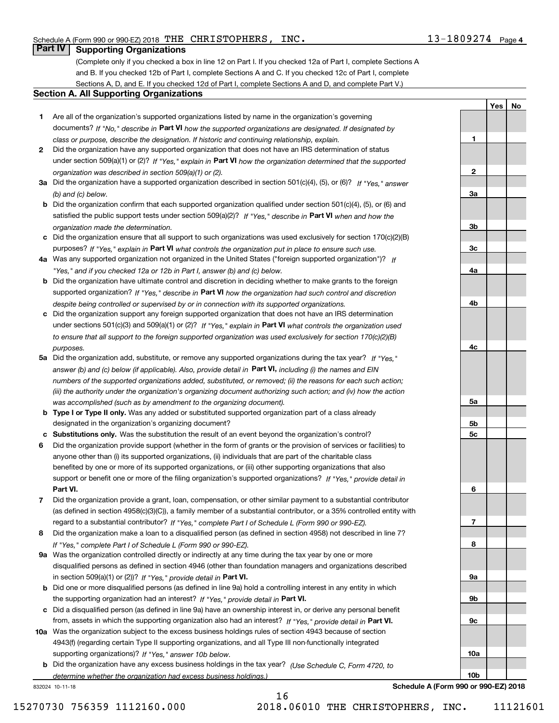**1**

**2**

**3a**

**3b**

**3c**

**4a**

**4b**

**4c**

**5a**

**5b5c**

**6**

**7**

**8**

**9a**

**9b**

**9c**

**10a**

**10b**

**YesNo**

### **Part IV Supporting Organizations**

(Complete only if you checked a box in line 12 on Part I. If you checked 12a of Part I, complete Sections A and B. If you checked 12b of Part I, complete Sections A and C. If you checked 12c of Part I, complete Sections A, D, and E. If you checked 12d of Part I, complete Sections A and D, and complete Part V.)

#### **Section A. All Supporting Organizations**

- **1** Are all of the organization's supported organizations listed by name in the organization's governing documents? If "No," describe in **Part VI** how the supported organizations are designated. If designated by *class or purpose, describe the designation. If historic and continuing relationship, explain.*
- **2** Did the organization have any supported organization that does not have an IRS determination of status under section 509(a)(1) or (2)? If "Yes," explain in Part VI how the organization determined that the supported *organization was described in section 509(a)(1) or (2).*
- **3a** Did the organization have a supported organization described in section 501(c)(4), (5), or (6)? If "Yes," answer *(b) and (c) below.*
- **b** Did the organization confirm that each supported organization qualified under section 501(c)(4), (5), or (6) and satisfied the public support tests under section 509(a)(2)? If "Yes," describe in **Part VI** when and how the *organization made the determination.*
- **c**Did the organization ensure that all support to such organizations was used exclusively for section 170(c)(2)(B) purposes? If "Yes," explain in **Part VI** what controls the organization put in place to ensure such use.
- **4a***If* Was any supported organization not organized in the United States ("foreign supported organization")? *"Yes," and if you checked 12a or 12b in Part I, answer (b) and (c) below.*
- **b** Did the organization have ultimate control and discretion in deciding whether to make grants to the foreign supported organization? If "Yes," describe in **Part VI** how the organization had such control and discretion *despite being controlled or supervised by or in connection with its supported organizations.*
- **c** Did the organization support any foreign supported organization that does not have an IRS determination under sections 501(c)(3) and 509(a)(1) or (2)? If "Yes," explain in **Part VI** what controls the organization used *to ensure that all support to the foreign supported organization was used exclusively for section 170(c)(2)(B) purposes.*
- **5a** Did the organization add, substitute, or remove any supported organizations during the tax year? If "Yes," answer (b) and (c) below (if applicable). Also, provide detail in **Part VI,** including (i) the names and EIN *numbers of the supported organizations added, substituted, or removed; (ii) the reasons for each such action; (iii) the authority under the organization's organizing document authorizing such action; and (iv) how the action was accomplished (such as by amendment to the organizing document).*
- **b** Type I or Type II only. Was any added or substituted supported organization part of a class already designated in the organization's organizing document?
- **cSubstitutions only.**  Was the substitution the result of an event beyond the organization's control?
- **6** Did the organization provide support (whether in the form of grants or the provision of services or facilities) to **Part VI.** *If "Yes," provide detail in* support or benefit one or more of the filing organization's supported organizations? anyone other than (i) its supported organizations, (ii) individuals that are part of the charitable class benefited by one or more of its supported organizations, or (iii) other supporting organizations that also
- **7**Did the organization provide a grant, loan, compensation, or other similar payment to a substantial contributor *If "Yes," complete Part I of Schedule L (Form 990 or 990-EZ).* regard to a substantial contributor? (as defined in section 4958(c)(3)(C)), a family member of a substantial contributor, or a 35% controlled entity with
- **8** Did the organization make a loan to a disqualified person (as defined in section 4958) not described in line 7? *If "Yes," complete Part I of Schedule L (Form 990 or 990-EZ).*
- **9a** Was the organization controlled directly or indirectly at any time during the tax year by one or more in section 509(a)(1) or (2))? If "Yes," *provide detail in* <code>Part VI.</code> disqualified persons as defined in section 4946 (other than foundation managers and organizations described
- **b** Did one or more disqualified persons (as defined in line 9a) hold a controlling interest in any entity in which the supporting organization had an interest? If "Yes," provide detail in P**art VI**.
- **c**Did a disqualified person (as defined in line 9a) have an ownership interest in, or derive any personal benefit from, assets in which the supporting organization also had an interest? If "Yes," provide detail in P**art VI.**
- **10a** Was the organization subject to the excess business holdings rules of section 4943 because of section supporting organizations)? If "Yes," answer 10b below. 4943(f) (regarding certain Type II supporting organizations, and all Type III non-functionally integrated
- **b** Did the organization have any excess business holdings in the tax year? (Use Schedule C, Form 4720, to *determine whether the organization had excess business holdings.)*

16

832024 10-11-18

**Schedule A (Form 990 or 990-EZ) 2018**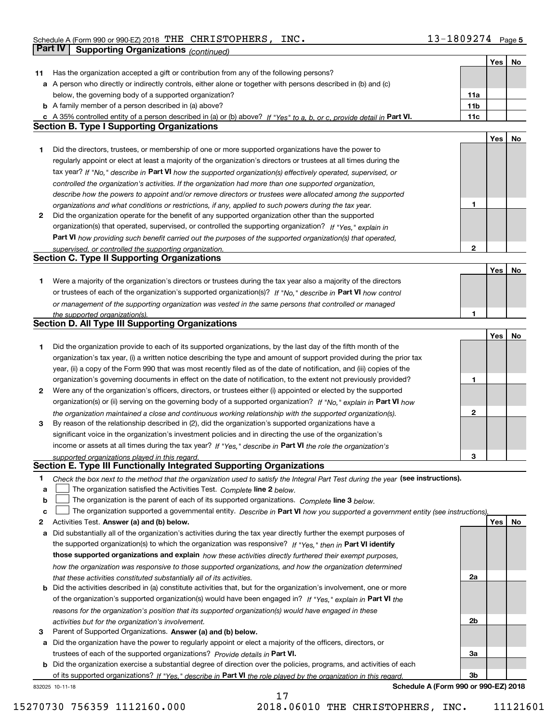|    | <b>Part IV</b><br><b>Supporting Organizations (continued)</b>                                                                                                                |                 |     |           |
|----|------------------------------------------------------------------------------------------------------------------------------------------------------------------------------|-----------------|-----|-----------|
|    |                                                                                                                                                                              |                 | Yes | No        |
| 11 | Has the organization accepted a gift or contribution from any of the following persons?                                                                                      |                 |     |           |
|    | a A person who directly or indirectly controls, either alone or together with persons described in (b) and (c)                                                               |                 |     |           |
|    | below, the governing body of a supported organization?                                                                                                                       | 11a             |     |           |
|    | <b>b</b> A family member of a person described in (a) above?                                                                                                                 | 11 <sub>b</sub> |     |           |
|    |                                                                                                                                                                              |                 |     |           |
|    | c A 35% controlled entity of a person described in (a) or (b) above? If "Yes" to a, b, or c, provide detail in Part VI.<br><b>Section B. Type I Supporting Organizations</b> | 11c             |     |           |
|    |                                                                                                                                                                              |                 |     |           |
|    |                                                                                                                                                                              |                 | Yes | No        |
| 1  | Did the directors, trustees, or membership of one or more supported organizations have the power to                                                                          |                 |     |           |
|    | regularly appoint or elect at least a majority of the organization's directors or trustees at all times during the                                                           |                 |     |           |
|    | tax year? If "No," describe in Part VI how the supported organization(s) effectively operated, supervised, or                                                                |                 |     |           |
|    | controlled the organization's activities. If the organization had more than one supported organization,                                                                      |                 |     |           |
|    | describe how the powers to appoint and/or remove directors or trustees were allocated among the supported                                                                    |                 |     |           |
|    | organizations and what conditions or restrictions, if any, applied to such powers during the tax year.                                                                       | 1               |     |           |
| 2  | Did the organization operate for the benefit of any supported organization other than the supported                                                                          |                 |     |           |
|    | organization(s) that operated, supervised, or controlled the supporting organization? If "Yes," explain in                                                                   |                 |     |           |
|    | Part VI how providing such benefit carried out the purposes of the supported organization(s) that operated,                                                                  |                 |     |           |
|    | supervised, or controlled the supporting organization.                                                                                                                       | $\mathbf{2}$    |     |           |
|    | <b>Section C. Type II Supporting Organizations</b>                                                                                                                           |                 |     |           |
|    |                                                                                                                                                                              |                 | Yes | No        |
| 1  | Were a majority of the organization's directors or trustees during the tax year also a majority of the directors                                                             |                 |     |           |
|    | or trustees of each of the organization's supported organization(s)? If "No," describe in Part VI how control                                                                |                 |     |           |
|    |                                                                                                                                                                              |                 |     |           |
|    | or management of the supporting organization was vested in the same persons that controlled or managed                                                                       | 1               |     |           |
|    | the supported organization(s).<br><b>Section D. All Type III Supporting Organizations</b>                                                                                    |                 |     |           |
|    |                                                                                                                                                                              |                 |     |           |
|    |                                                                                                                                                                              |                 | Yes | No        |
| 1  | Did the organization provide to each of its supported organizations, by the last day of the fifth month of the                                                               |                 |     |           |
|    | organization's tax year, (i) a written notice describing the type and amount of support provided during the prior tax                                                        |                 |     |           |
|    | year, (ii) a copy of the Form 990 that was most recently filed as of the date of notification, and (iii) copies of the                                                       |                 |     |           |
|    | organization's governing documents in effect on the date of notification, to the extent not previously provided?                                                             | 1               |     |           |
| 2  | Were any of the organization's officers, directors, or trustees either (i) appointed or elected by the supported                                                             |                 |     |           |
|    | organization(s) or (ii) serving on the governing body of a supported organization? If "No," explain in Part VI how                                                           |                 |     |           |
|    | the organization maintained a close and continuous working relationship with the supported organization(s).                                                                  | 2               |     |           |
| 3  | By reason of the relationship described in (2), did the organization's supported organizations have a                                                                        |                 |     |           |
|    | significant voice in the organization's investment policies and in directing the use of the organization's                                                                   |                 |     |           |
|    | income or assets at all times during the tax year? If "Yes," describe in Part VI the role the organization's                                                                 |                 |     |           |
|    | supported organizations played in this regard.                                                                                                                               | З               |     |           |
|    | Section E. Type III Functionally Integrated Supporting Organizations                                                                                                         |                 |     |           |
| 1  | Check the box next to the method that the organization used to satisfy the Integral Part Test during the year (see instructions).                                            |                 |     |           |
| а  | The organization satisfied the Activities Test. Complete line 2 below.                                                                                                       |                 |     |           |
| b  | The organization is the parent of each of its supported organizations. Complete line 3 below.                                                                                |                 |     |           |
| C  | The organization supported a governmental entity. Describe in Part VI how you supported a government entity (see instructions),                                              |                 |     |           |
| 2  | Activities Test. Answer (a) and (b) below.                                                                                                                                   |                 | Yes | <u>No</u> |
| а  | Did substantially all of the organization's activities during the tax year directly further the exempt purposes of                                                           |                 |     |           |
|    |                                                                                                                                                                              |                 |     |           |
|    | the supported organization(s) to which the organization was responsive? If "Yes," then in Part VI identify                                                                   |                 |     |           |
|    | those supported organizations and explain how these activities directly furthered their exempt purposes,                                                                     |                 |     |           |
|    | how the organization was responsive to those supported organizations, and how the organization determined                                                                    |                 |     |           |
|    | that these activities constituted substantially all of its activities.                                                                                                       | 2a              |     |           |
|    | <b>b</b> Did the activities described in (a) constitute activities that, but for the organization's involvement, one or more                                                 |                 |     |           |
|    | of the organization's supported organization(s) would have been engaged in? If "Yes," explain in Part VI the                                                                 |                 |     |           |
|    | reasons for the organization's position that its supported organization(s) would have engaged in these                                                                       |                 |     |           |
|    | activities but for the organization's involvement.                                                                                                                           | 2b              |     |           |
| 3  | Parent of Supported Organizations. Answer (a) and (b) below.                                                                                                                 |                 |     |           |
|    | a Did the organization have the power to regularly appoint or elect a majority of the officers, directors, or                                                                |                 |     |           |
|    | trustees of each of the supported organizations? Provide details in Part VI.                                                                                                 | За              |     |           |
|    | <b>b</b> Did the organization exercise a substantial degree of direction over the policies, programs, and activities of each                                                 |                 |     |           |
|    | of its supported organizations? If "Yes." describe in Part VI the role played by the organization in this regard.                                                            | 3b              |     |           |
|    | Schedule A (Form 990 or 990-EZ) 2018<br>832025 10-11-18                                                                                                                      |                 |     |           |

15270730 756359 1112160.000 2018.06010 THE CHRISTOPHERS, INC. 11121601

17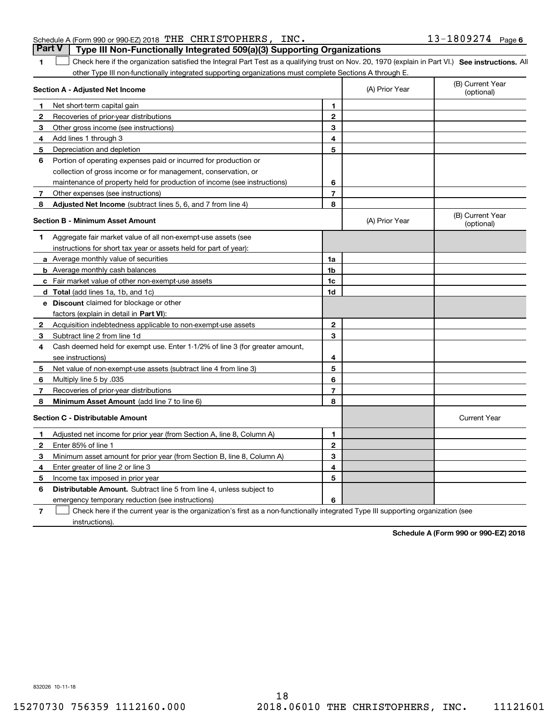#### Schedule A (Form 990 or 990-EZ) 2018 Page THE CHRISTOPHERS, INC. 13-1809274 **Part V Type III Non-Functionally Integrated 509(a)(3) Supporting Organizations**

1 Check here if the organization satisfied the Integral Part Test as a qualifying trust on Nov. 20, 1970 (explain in Part VI.) See instructions. All other Type III non-functionally integrated supporting organizations must complete Sections A through E.

|   | Section A - Adjusted Net Income                                                                                                   |                | (A) Prior Year | (B) Current Year<br>(optional) |
|---|-----------------------------------------------------------------------------------------------------------------------------------|----------------|----------------|--------------------------------|
| 1 | Net short-term capital gain                                                                                                       | 1              |                |                                |
| 2 | Recoveries of prior-year distributions                                                                                            | $\overline{2}$ |                |                                |
| з | Other gross income (see instructions)                                                                                             | 3              |                |                                |
| 4 | Add lines 1 through 3                                                                                                             | 4              |                |                                |
| 5 | Depreciation and depletion                                                                                                        | 5              |                |                                |
| 6 | Portion of operating expenses paid or incurred for production or                                                                  |                |                |                                |
|   | collection of gross income or for management, conservation, or                                                                    |                |                |                                |
|   | maintenance of property held for production of income (see instructions)                                                          | 6              |                |                                |
| 7 | Other expenses (see instructions)                                                                                                 | 7              |                |                                |
| 8 | Adjusted Net Income (subtract lines 5, 6, and 7 from line 4)                                                                      | 8              |                |                                |
|   | <b>Section B - Minimum Asset Amount</b>                                                                                           |                | (A) Prior Year | (B) Current Year<br>(optional) |
| 1 | Aggregate fair market value of all non-exempt-use assets (see                                                                     |                |                |                                |
|   | instructions for short tax year or assets held for part of year):                                                                 |                |                |                                |
|   | a Average monthly value of securities                                                                                             | 1a             |                |                                |
|   | <b>b</b> Average monthly cash balances                                                                                            | 1b             |                |                                |
|   | <b>c</b> Fair market value of other non-exempt-use assets                                                                         | 1c             |                |                                |
|   | d Total (add lines 1a, 1b, and 1c)                                                                                                | 1d             |                |                                |
|   | e Discount claimed for blockage or other                                                                                          |                |                |                                |
|   | factors (explain in detail in Part VI):                                                                                           |                |                |                                |
| 2 | Acquisition indebtedness applicable to non-exempt-use assets                                                                      | $\overline{2}$ |                |                                |
| 3 | Subtract line 2 from line 1d                                                                                                      | 3              |                |                                |
| 4 | Cash deemed held for exempt use. Enter 1-1/2% of line 3 (for greater amount,                                                      |                |                |                                |
|   | see instructions)                                                                                                                 | 4              |                |                                |
| 5 | Net value of non-exempt-use assets (subtract line 4 from line 3)                                                                  | 5              |                |                                |
| 6 | Multiply line 5 by .035                                                                                                           | 6              |                |                                |
| 7 | Recoveries of prior-year distributions                                                                                            | $\overline{7}$ |                |                                |
| 8 | Minimum Asset Amount (add line 7 to line 6)                                                                                       | 8              |                |                                |
|   | <b>Section C - Distributable Amount</b>                                                                                           |                |                | <b>Current Year</b>            |
| 1 | Adjusted net income for prior year (from Section A, line 8, Column A)                                                             | 1              |                |                                |
| 2 | Enter 85% of line 1                                                                                                               | $\overline{2}$ |                |                                |
| з | Minimum asset amount for prior year (from Section B, line 8, Column A)                                                            | 3              |                |                                |
| 4 | Enter greater of line 2 or line 3                                                                                                 | 4              |                |                                |
| 5 | Income tax imposed in prior year                                                                                                  | 5              |                |                                |
| 6 | <b>Distributable Amount.</b> Subtract line 5 from line 4, unless subject to                                                       |                |                |                                |
|   | emergency temporary reduction (see instructions)                                                                                  | 6              |                |                                |
| 7 | Check here if the current year is the organization's first as a non-functionally integrated Type III supporting organization (see |                |                |                                |

instructions).

**1**

**Schedule A (Form 990 or 990-EZ) 2018**

832026 10-11-18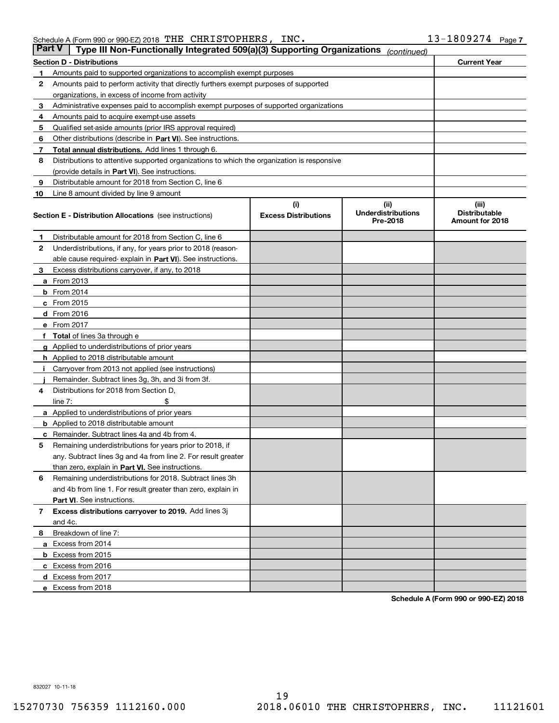Schedule A (Form 990 or 990-EZ) 2018 Page THE CHRISTOPHERS, INC. 13-1809274

| Part V | Type III Non-Functionally Integrated 509(a)(3) Supporting Organizations                    |                             | (continued)                           |                                         |  |  |  |  |  |  |
|--------|--------------------------------------------------------------------------------------------|-----------------------------|---------------------------------------|-----------------------------------------|--|--|--|--|--|--|
|        | <b>Section D - Distributions</b><br><b>Current Year</b>                                    |                             |                                       |                                         |  |  |  |  |  |  |
| 1      | Amounts paid to supported organizations to accomplish exempt purposes                      |                             |                                       |                                         |  |  |  |  |  |  |
| 2      | Amounts paid to perform activity that directly furthers exempt purposes of supported       |                             |                                       |                                         |  |  |  |  |  |  |
|        | organizations, in excess of income from activity                                           |                             |                                       |                                         |  |  |  |  |  |  |
| з      | Administrative expenses paid to accomplish exempt purposes of supported organizations      |                             |                                       |                                         |  |  |  |  |  |  |
| 4      | Amounts paid to acquire exempt-use assets                                                  |                             |                                       |                                         |  |  |  |  |  |  |
| 5      | Qualified set-aside amounts (prior IRS approval required)                                  |                             |                                       |                                         |  |  |  |  |  |  |
| 6      | Other distributions (describe in Part VI). See instructions.                               |                             |                                       |                                         |  |  |  |  |  |  |
| 7      | Total annual distributions. Add lines 1 through 6.                                         |                             |                                       |                                         |  |  |  |  |  |  |
| 8      | Distributions to attentive supported organizations to which the organization is responsive |                             |                                       |                                         |  |  |  |  |  |  |
|        | (provide details in Part VI). See instructions.                                            |                             |                                       |                                         |  |  |  |  |  |  |
| 9      | Distributable amount for 2018 from Section C, line 6                                       |                             |                                       |                                         |  |  |  |  |  |  |
| 10     | Line 8 amount divided by line 9 amount                                                     |                             |                                       |                                         |  |  |  |  |  |  |
|        |                                                                                            | (i)                         | (ii)                                  | (iii)                                   |  |  |  |  |  |  |
|        | <b>Section E - Distribution Allocations</b> (see instructions)                             | <b>Excess Distributions</b> | <b>Underdistributions</b><br>Pre-2018 | <b>Distributable</b><br>Amount for 2018 |  |  |  |  |  |  |
| 1      | Distributable amount for 2018 from Section C, line 6                                       |                             |                                       |                                         |  |  |  |  |  |  |
| 2      | Underdistributions, if any, for years prior to 2018 (reason-                               |                             |                                       |                                         |  |  |  |  |  |  |
|        | able cause required- explain in Part VI). See instructions.                                |                             |                                       |                                         |  |  |  |  |  |  |
| з      | Excess distributions carryover, if any, to 2018                                            |                             |                                       |                                         |  |  |  |  |  |  |
|        | <b>a</b> From 2013                                                                         |                             |                                       |                                         |  |  |  |  |  |  |
|        | <b>b</b> From 2014                                                                         |                             |                                       |                                         |  |  |  |  |  |  |
|        | $c$ From 2015                                                                              |                             |                                       |                                         |  |  |  |  |  |  |
|        | d From 2016                                                                                |                             |                                       |                                         |  |  |  |  |  |  |
|        | e From 2017                                                                                |                             |                                       |                                         |  |  |  |  |  |  |
| f      | <b>Total</b> of lines 3a through e                                                         |                             |                                       |                                         |  |  |  |  |  |  |
|        | <b>g</b> Applied to underdistributions of prior years                                      |                             |                                       |                                         |  |  |  |  |  |  |
|        | <b>h</b> Applied to 2018 distributable amount                                              |                             |                                       |                                         |  |  |  |  |  |  |
|        | Carryover from 2013 not applied (see instructions)                                         |                             |                                       |                                         |  |  |  |  |  |  |
|        | Remainder. Subtract lines 3g, 3h, and 3i from 3f.                                          |                             |                                       |                                         |  |  |  |  |  |  |
| 4      | Distributions for 2018 from Section D,                                                     |                             |                                       |                                         |  |  |  |  |  |  |
|        | line $7:$                                                                                  |                             |                                       |                                         |  |  |  |  |  |  |
|        | <b>a</b> Applied to underdistributions of prior years                                      |                             |                                       |                                         |  |  |  |  |  |  |
|        | <b>b</b> Applied to 2018 distributable amount                                              |                             |                                       |                                         |  |  |  |  |  |  |
| c      | Remainder. Subtract lines 4a and 4b from 4.                                                |                             |                                       |                                         |  |  |  |  |  |  |
| 5      | Remaining underdistributions for years prior to 2018, if                                   |                             |                                       |                                         |  |  |  |  |  |  |
|        | any. Subtract lines 3g and 4a from line 2. For result greater                              |                             |                                       |                                         |  |  |  |  |  |  |
|        | than zero, explain in Part VI. See instructions.                                           |                             |                                       |                                         |  |  |  |  |  |  |
| 6      | Remaining underdistributions for 2018. Subtract lines 3h                                   |                             |                                       |                                         |  |  |  |  |  |  |
|        | and 4b from line 1. For result greater than zero, explain in                               |                             |                                       |                                         |  |  |  |  |  |  |
|        | <b>Part VI.</b> See instructions.                                                          |                             |                                       |                                         |  |  |  |  |  |  |
|        |                                                                                            |                             |                                       |                                         |  |  |  |  |  |  |
| 7      | Excess distributions carryover to 2019. Add lines 3j                                       |                             |                                       |                                         |  |  |  |  |  |  |
|        | and 4c.                                                                                    |                             |                                       |                                         |  |  |  |  |  |  |
| 8      | Breakdown of line 7:                                                                       |                             |                                       |                                         |  |  |  |  |  |  |
|        | a Excess from 2014                                                                         |                             |                                       |                                         |  |  |  |  |  |  |
|        | b Excess from 2015                                                                         |                             |                                       |                                         |  |  |  |  |  |  |
|        | c Excess from 2016                                                                         |                             |                                       |                                         |  |  |  |  |  |  |
|        | d Excess from 2017                                                                         |                             |                                       |                                         |  |  |  |  |  |  |
|        | e Excess from 2018                                                                         |                             |                                       |                                         |  |  |  |  |  |  |

**Schedule A (Form 990 or 990-EZ) 2018**

832027 10-11-18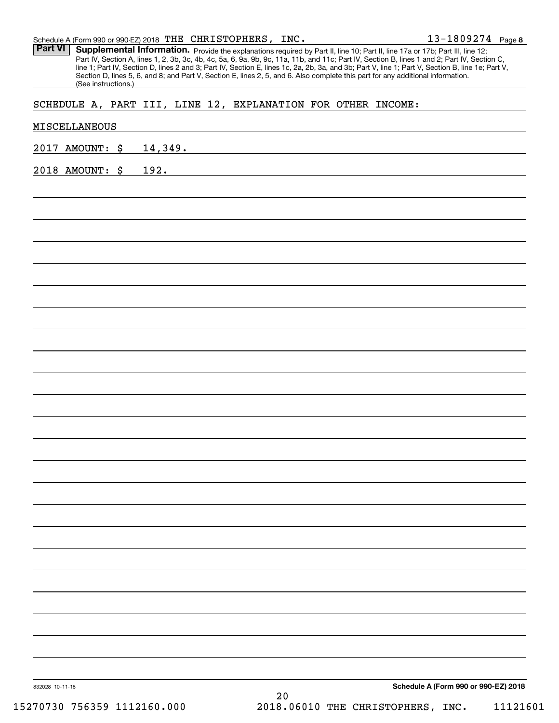| Schedule A (Form 990 or 990-EZ) 2018 $\hspace{0.1em}\text{THE}$ $\hspace{0.1em}\text{CHRISTOPHERS}$ , |  | INC. | $13 - 1809274$ Page 8 |  |
|-------------------------------------------------------------------------------------------------------|--|------|-----------------------|--|
|                                                                                                       |  |      |                       |  |

Part VI | Supplemental Information. Provide the explanations required by Part II, line 10; Part II, line 17a or 17b; Part III, line 12; Part IV, Section A, lines 1, 2, 3b, 3c, 4b, 4c, 5a, 6, 9a, 9b, 9c, 11a, 11b, and 11c; Part IV, Section B, lines 1 and 2; Part IV, Section C, line 1; Part IV, Section D, lines 2 and 3; Part IV, Section E, lines 1c, 2a, 2b, 3a, and 3b; Part V, line 1; Part V, Section B, line 1e; Part V, Section D, lines 5, 6, and 8; and Part V, Section E, lines 2, 5, and 6. Also complete this part for any additional information. (See instructions.)

### SCHEDULE A, PART III, LINE 12, EXPLANATION FOR OTHER INCOME:

|                 |                      | $2017$ AMOUNT: $\frac{6}{7}$ 14, 349.                                                                                |  |
|-----------------|----------------------|----------------------------------------------------------------------------------------------------------------------|--|
|                 | 2018 AMOUNT: \$ 192. | <u> 1989 - Johann Harry Barn, mars ar breist fan de Amerikaansk kommunent fan de Amerikaanske kommunent fan de A</u> |  |
|                 |                      |                                                                                                                      |  |
|                 |                      |                                                                                                                      |  |
|                 |                      |                                                                                                                      |  |
|                 |                      |                                                                                                                      |  |
|                 |                      |                                                                                                                      |  |
|                 |                      |                                                                                                                      |  |
|                 |                      |                                                                                                                      |  |
|                 |                      |                                                                                                                      |  |
|                 |                      |                                                                                                                      |  |
|                 |                      |                                                                                                                      |  |
|                 |                      |                                                                                                                      |  |
|                 |                      |                                                                                                                      |  |
|                 |                      |                                                                                                                      |  |
|                 |                      |                                                                                                                      |  |
|                 |                      |                                                                                                                      |  |
|                 |                      |                                                                                                                      |  |
|                 |                      |                                                                                                                      |  |
|                 |                      |                                                                                                                      |  |
|                 |                      |                                                                                                                      |  |
|                 |                      |                                                                                                                      |  |
|                 |                      |                                                                                                                      |  |
|                 |                      |                                                                                                                      |  |
|                 |                      |                                                                                                                      |  |
|                 |                      |                                                                                                                      |  |
| 832028 10-11-18 |                      | Schedule A (Form 990 or 990-EZ) 2018                                                                                 |  |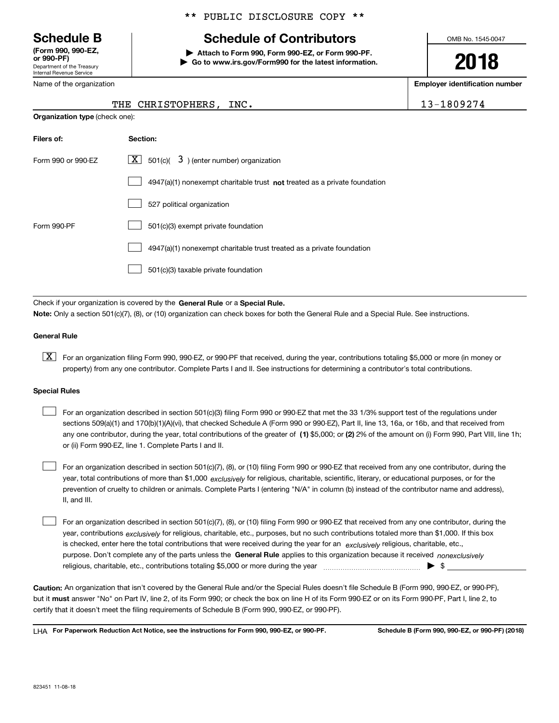Department of the Treasury Internal Revenue Service **(Form 990, 990-EZ, or 990-PF)**

Name of the organization

#### \*\* PUBLIC DISCLOSURE COPY \*\*

## **Schedule B Schedule of Contributors**

**| Attach to Form 990, Form 990-EZ, or Form 990-PF. | Go to www.irs.gov/Form990 for the latest information.** OMB No. 1545-0047

**2018**

**Employer identification number**

THE CHRISTOPHERS, INC. 13-1809274

|                                       | THE CHRISTOPHERS, INC.                                                      |
|---------------------------------------|-----------------------------------------------------------------------------|
| <b>Organization type (check one):</b> |                                                                             |
| Filers of:                            | Section:                                                                    |
| Form 990 or 990-EZ                    | $ \mathbf{X} $ 501(c)( 3) (enter number) organization                       |
|                                       | $4947(a)(1)$ nonexempt charitable trust not treated as a private foundation |
|                                       | 527 political organization                                                  |
| Form 990-PF                           | 501(c)(3) exempt private foundation                                         |

4947(a)(1) nonexempt charitable trust treated as a private foundation  $\mathcal{L}^{\text{max}}$ 

501(c)(3) taxable private foundation  $\mathcal{L}^{\text{max}}$ 

Check if your organization is covered by the **General Rule** or a **Special Rule. Note:**  Only a section 501(c)(7), (8), or (10) organization can check boxes for both the General Rule and a Special Rule. See instructions.

#### **General Rule**

 $\boxed{\textbf{X}}$  For an organization filing Form 990, 990-EZ, or 990-PF that received, during the year, contributions totaling \$5,000 or more (in money or property) from any one contributor. Complete Parts I and II. See instructions for determining a contributor's total contributions.

#### **Special Rules**

any one contributor, during the year, total contributions of the greater of  $\,$  (1) \$5,000; or **(2)** 2% of the amount on (i) Form 990, Part VIII, line 1h; For an organization described in section 501(c)(3) filing Form 990 or 990-EZ that met the 33 1/3% support test of the regulations under sections 509(a)(1) and 170(b)(1)(A)(vi), that checked Schedule A (Form 990 or 990-EZ), Part II, line 13, 16a, or 16b, and that received from or (ii) Form 990-EZ, line 1. Complete Parts I and II.  $\mathcal{L}^{\text{max}}$ 

year, total contributions of more than \$1,000 *exclusively* for religious, charitable, scientific, literary, or educational purposes, or for the For an organization described in section 501(c)(7), (8), or (10) filing Form 990 or 990-EZ that received from any one contributor, during the prevention of cruelty to children or animals. Complete Parts I (entering "N/A" in column (b) instead of the contributor name and address), II, and III.  $\mathcal{L}^{\text{max}}$ 

purpose. Don't complete any of the parts unless the **General Rule** applies to this organization because it received *nonexclusively* year, contributions <sub>exclusively</sub> for religious, charitable, etc., purposes, but no such contributions totaled more than \$1,000. If this box is checked, enter here the total contributions that were received during the year for an  $\;$ exclusively religious, charitable, etc., For an organization described in section 501(c)(7), (8), or (10) filing Form 990 or 990-EZ that received from any one contributor, during the religious, charitable, etc., contributions totaling \$5,000 or more during the year  $\Box$ — $\Box$  =  $\Box$  $\mathcal{L}^{\text{max}}$ 

**Caution:**  An organization that isn't covered by the General Rule and/or the Special Rules doesn't file Schedule B (Form 990, 990-EZ, or 990-PF),  **must** but it answer "No" on Part IV, line 2, of its Form 990; or check the box on line H of its Form 990-EZ or on its Form 990-PF, Part I, line 2, to certify that it doesn't meet the filing requirements of Schedule B (Form 990, 990-EZ, or 990-PF).

**For Paperwork Reduction Act Notice, see the instructions for Form 990, 990-EZ, or 990-PF. Schedule B (Form 990, 990-EZ, or 990-PF) (2018)** LHA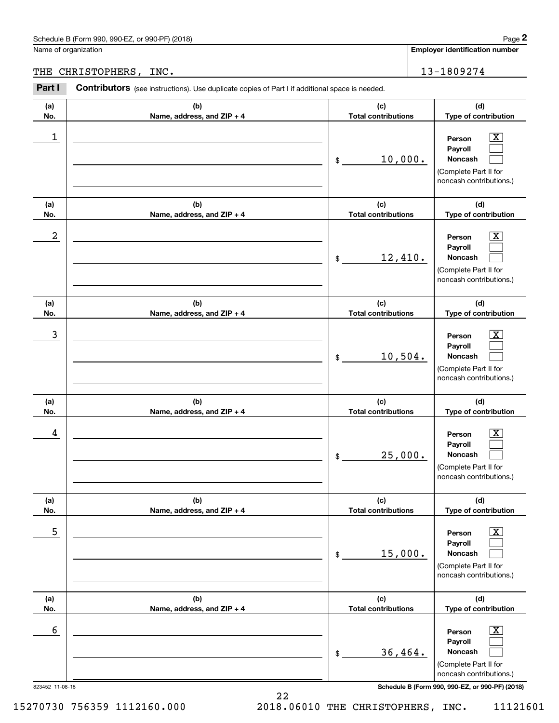|                 | Schedule B (Form 990, 990-EZ, or 990-PF) (2018)                                                |                                   | Page 2                                                                                                      |
|-----------------|------------------------------------------------------------------------------------------------|-----------------------------------|-------------------------------------------------------------------------------------------------------------|
|                 | Name of organization                                                                           |                                   | <b>Employer identification number</b>                                                                       |
|                 | THE CHRISTOPHERS, INC.                                                                         |                                   | 13-1809274                                                                                                  |
| Part I          | Contributors (see instructions). Use duplicate copies of Part I if additional space is needed. |                                   |                                                                                                             |
| (a)<br>No.      | (b)<br>Name, address, and ZIP + 4                                                              | (c)<br><b>Total contributions</b> | (d)<br>Type of contribution                                                                                 |
| 1               |                                                                                                | \$<br>10,000.                     | $\overline{\mathbf{X}}$<br>Person<br>Payroll<br>Noncash<br>(Complete Part II for<br>noncash contributions.) |
| (a)<br>No.      | (b)<br>Name, address, and ZIP + 4                                                              | (c)<br><b>Total contributions</b> | (d)<br>Type of contribution                                                                                 |
| 2               |                                                                                                | \$<br>12,410.                     | $\overline{\text{X}}$<br>Person<br>Payroll<br>Noncash<br>(Complete Part II for<br>noncash contributions.)   |
| (a)<br>No.      | (b)<br>Name, address, and ZIP + 4                                                              | (c)<br><b>Total contributions</b> | (d)<br>Type of contribution                                                                                 |
| 3               |                                                                                                | \$<br>10,504.                     | $\overline{\text{X}}$<br>Person<br>Payroll<br>Noncash<br>(Complete Part II for<br>noncash contributions.)   |
| (a)<br>No.      | (b)<br>Name, address, and ZIP + 4                                                              | (c)<br><b>Total contributions</b> | (d)<br>Type of contribution                                                                                 |
| 4               |                                                                                                | \$<br>25,000.                     | $\mathbf{X}$<br>Person<br>Payroll<br>Noncash<br>(Complete Part II for<br>noncash contributions.)            |
| (a)<br>No.      | (b)<br>Name, address, and ZIP + 4                                                              | (c)<br><b>Total contributions</b> | (d)<br>Type of contribution                                                                                 |
| 5               |                                                                                                | \$<br>15,000.                     | $\overline{\mathbf{X}}$<br>Person<br>Payroll<br>Noncash<br>(Complete Part II for<br>noncash contributions.) |
| (a)<br>No.      | (b)<br>Name, address, and ZIP + 4                                                              | (c)<br><b>Total contributions</b> | (d)<br>Type of contribution                                                                                 |
| 6               |                                                                                                | \$<br>36,464.                     | $\boxed{\text{X}}$<br>Person<br>Payroll<br>Noncash<br>(Complete Part II for<br>noncash contributions.)      |
| 823452 11-08-18 |                                                                                                |                                   | Schedule B (Form 990, 990-EZ, or 990-PF) (2018)                                                             |

22

15270730 756359 1112160.000 2018.06010 THE CHRISTOPHERS, INC. 11121601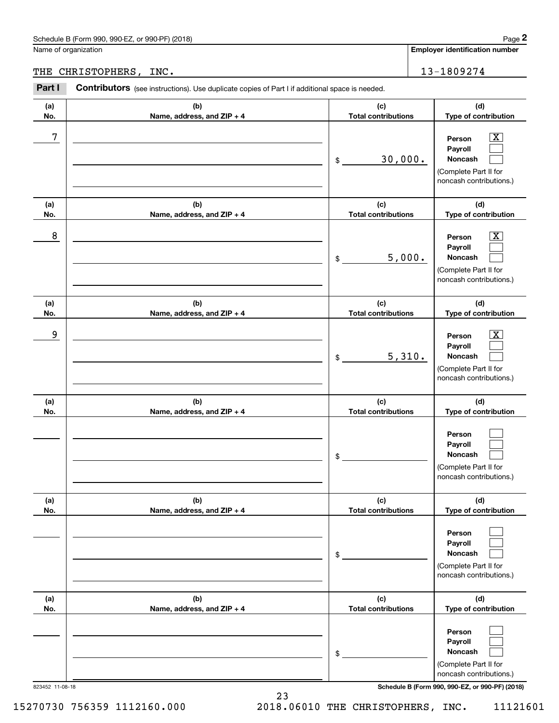|                      | Schedule B (Form 990, 990-EZ, or 990-PF) (2018)                                                |                                   | Page 2                                                                                                                              |
|----------------------|------------------------------------------------------------------------------------------------|-----------------------------------|-------------------------------------------------------------------------------------------------------------------------------------|
| Name of organization |                                                                                                |                                   | <b>Employer identification number</b>                                                                                               |
|                      | THE CHRISTOPHERS, INC.                                                                         |                                   | 13-1809274                                                                                                                          |
| Part I               | Contributors (see instructions). Use duplicate copies of Part I if additional space is needed. |                                   |                                                                                                                                     |
| (a)<br>No.           | (b)<br>Name, address, and ZIP + 4                                                              | (c)<br><b>Total contributions</b> | (d)<br>Type of contribution                                                                                                         |
| 7                    |                                                                                                | 30,000.<br>\$                     | $\overline{\mathbf{X}}$<br>Person<br>Payroll<br>Noncash<br>(Complete Part II for<br>noncash contributions.)                         |
| (a)<br>No.           | (b)<br>Name, address, and ZIP + 4                                                              | (c)<br><b>Total contributions</b> | (d)<br>Type of contribution                                                                                                         |
| 8                    |                                                                                                | 5,000.<br>\$                      | $\overline{\mathbf{X}}$<br>Person<br>Payroll<br>Noncash<br>(Complete Part II for<br>noncash contributions.)                         |
| (a)<br>No.           | (b)<br>Name, address, and ZIP + 4                                                              | (c)<br><b>Total contributions</b> | (d)<br>Type of contribution                                                                                                         |
| 9                    |                                                                                                | 5,310.<br>\$                      | $\overline{\mathbf{X}}$<br>Person<br>Payroll<br>Noncash<br>(Complete Part II for<br>noncash contributions.)                         |
| (a)<br>No.           | (b)<br>Name, address, and ZIP + 4                                                              | (c)<br><b>Total contributions</b> | (d)<br>Type of contribution                                                                                                         |
|                      |                                                                                                | \$                                | Person<br>Payroll<br>Noncash<br>(Complete Part II for<br>noncash contributions.)                                                    |
| (a)<br>No.           | (b)<br>Name, address, and ZIP + 4                                                              | (c)<br><b>Total contributions</b> | (d)<br>Type of contribution                                                                                                         |
|                      |                                                                                                | \$                                | Person<br>Payroll<br>Noncash<br>(Complete Part II for<br>noncash contributions.)                                                    |
| (a)<br>No.           | (b)<br>Name, address, and ZIP + 4                                                              | (c)<br><b>Total contributions</b> | (d)<br>Type of contribution                                                                                                         |
| 823452 11-08-18      |                                                                                                | \$                                | Person<br>Payroll<br>Noncash<br>(Complete Part II for<br>noncash contributions.)<br>Schedule B (Form 990, 990-EZ, or 990-PF) (2018) |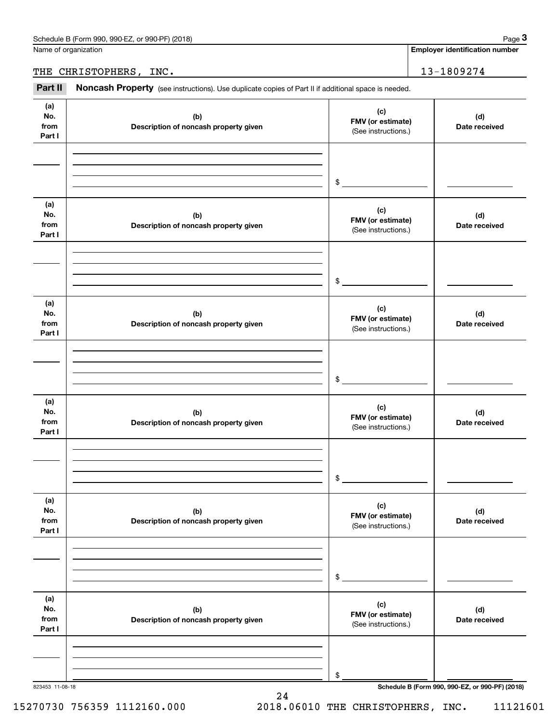**Employer identification number**

### THE CHRISTOPHERS, INC. 13-1809274

Chedule B (Form 990, 990-EZ, or 990-PF) (2018)<br>
lame of organization<br> **2Part II CHRISTOPHERS**, INC.<br> **Part II Noncash Property** (see instructions). Use duplicate copies of Part II if additional space is needed.

| (a)<br>(c)<br>No.<br>(b)<br>(d)<br>FMV (or estimate)<br>from<br>Description of noncash property given<br>Date received<br>(See instructions.)<br>Part I<br>$\sim$<br>(a)<br>(c)<br>No.<br>(b)<br>(d)<br>FMV (or estimate)<br>from<br>Description of noncash property given<br>Date received<br>(See instructions.)<br>Part I<br>$\sim$<br>(a)<br>(c)<br>No.<br>(b)<br>(d)<br>FMV (or estimate)<br>from<br>Description of noncash property given<br>Date received<br>(See instructions.)<br>Part I<br>$\frac{1}{2}$<br>(a)<br>(c)<br>No.<br>(b)<br>(d)<br>FMV (or estimate)<br>from<br>Description of noncash property given<br>Date received<br>(See instructions.)<br>Part I<br>$\frac{1}{2}$<br>(a)<br>(c)<br>No.<br>(b)<br>(d)<br>FMV (or estimate)<br>from<br>Description of noncash property given<br>Date received<br>(See instructions.)<br>Part I<br>\$<br>(a)<br>(c)<br>No.<br>(b)<br>(d)<br>FMV (or estimate)<br>from<br>Description of noncash property given<br>Date received<br>(See instructions.)<br>Part I<br>\$ |  |  |
|----------------------------------------------------------------------------------------------------------------------------------------------------------------------------------------------------------------------------------------------------------------------------------------------------------------------------------------------------------------------------------------------------------------------------------------------------------------------------------------------------------------------------------------------------------------------------------------------------------------------------------------------------------------------------------------------------------------------------------------------------------------------------------------------------------------------------------------------------------------------------------------------------------------------------------------------------------------------------------------------------------------------------------|--|--|
|                                                                                                                                                                                                                                                                                                                                                                                                                                                                                                                                                                                                                                                                                                                                                                                                                                                                                                                                                                                                                                  |  |  |
|                                                                                                                                                                                                                                                                                                                                                                                                                                                                                                                                                                                                                                                                                                                                                                                                                                                                                                                                                                                                                                  |  |  |
| Schedule B (Form 990, 990-EZ, or 990-PF) (2018)                                                                                                                                                                                                                                                                                                                                                                                                                                                                                                                                                                                                                                                                                                                                                                                                                                                                                                                                                                                  |  |  |
|                                                                                                                                                                                                                                                                                                                                                                                                                                                                                                                                                                                                                                                                                                                                                                                                                                                                                                                                                                                                                                  |  |  |
|                                                                                                                                                                                                                                                                                                                                                                                                                                                                                                                                                                                                                                                                                                                                                                                                                                                                                                                                                                                                                                  |  |  |
|                                                                                                                                                                                                                                                                                                                                                                                                                                                                                                                                                                                                                                                                                                                                                                                                                                                                                                                                                                                                                                  |  |  |
|                                                                                                                                                                                                                                                                                                                                                                                                                                                                                                                                                                                                                                                                                                                                                                                                                                                                                                                                                                                                                                  |  |  |
|                                                                                                                                                                                                                                                                                                                                                                                                                                                                                                                                                                                                                                                                                                                                                                                                                                                                                                                                                                                                                                  |  |  |
|                                                                                                                                                                                                                                                                                                                                                                                                                                                                                                                                                                                                                                                                                                                                                                                                                                                                                                                                                                                                                                  |  |  |
|                                                                                                                                                                                                                                                                                                                                                                                                                                                                                                                                                                                                                                                                                                                                                                                                                                                                                                                                                                                                                                  |  |  |
|                                                                                                                                                                                                                                                                                                                                                                                                                                                                                                                                                                                                                                                                                                                                                                                                                                                                                                                                                                                                                                  |  |  |
| 823453 11-08-18                                                                                                                                                                                                                                                                                                                                                                                                                                                                                                                                                                                                                                                                                                                                                                                                                                                                                                                                                                                                                  |  |  |

24

## 15270730 756359 1112160.000 2018.06010 THE CHRISTOPHERS, INC. 11121601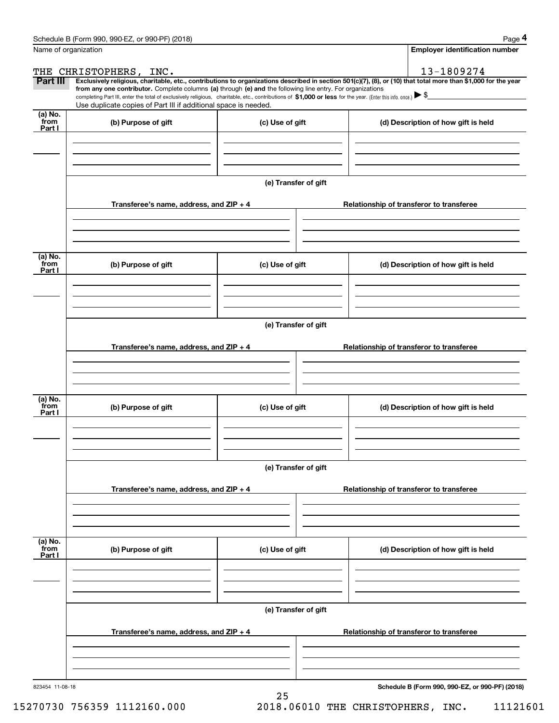|                 | Schedule B (Form 990, 990-EZ, or 990-PF) (2018)                                                                                                                                                                                                                              |                      |                                     | Page 4                                          |  |  |  |
|-----------------|------------------------------------------------------------------------------------------------------------------------------------------------------------------------------------------------------------------------------------------------------------------------------|----------------------|-------------------------------------|-------------------------------------------------|--|--|--|
|                 | Name of organization                                                                                                                                                                                                                                                         |                      |                                     | <b>Employer identification number</b>           |  |  |  |
|                 | THE CHRISTOPHERS, INC.                                                                                                                                                                                                                                                       |                      |                                     | 13-1809274                                      |  |  |  |
| Part III        | Exclusively religious, charitable, etc., contributions to organizations described in section 501(c)(7), (8), or (10) that total more than \$1,000 for the year<br>from any one contributor. Complete columns (a) through (e) and the following line entry. For organizations |                      |                                     |                                                 |  |  |  |
|                 | completing Part III, enter the total of exclusively religious, charitable, etc., contributions of \$1,000 or less for the year. (Enter this info. once.) \\$<br>Use duplicate copies of Part III if additional space is needed.                                              |                      |                                     |                                                 |  |  |  |
| $(a)$ No.       |                                                                                                                                                                                                                                                                              |                      |                                     |                                                 |  |  |  |
| from<br>Part I  | (b) Purpose of gift                                                                                                                                                                                                                                                          | (c) Use of gift      |                                     | (d) Description of how gift is held             |  |  |  |
|                 |                                                                                                                                                                                                                                                                              |                      |                                     |                                                 |  |  |  |
|                 |                                                                                                                                                                                                                                                                              |                      |                                     |                                                 |  |  |  |
|                 |                                                                                                                                                                                                                                                                              |                      |                                     |                                                 |  |  |  |
|                 |                                                                                                                                                                                                                                                                              | (e) Transfer of gift |                                     |                                                 |  |  |  |
|                 |                                                                                                                                                                                                                                                                              |                      |                                     |                                                 |  |  |  |
|                 | Transferee's name, address, and ZIP + 4                                                                                                                                                                                                                                      |                      |                                     | Relationship of transferor to transferee        |  |  |  |
|                 |                                                                                                                                                                                                                                                                              |                      |                                     |                                                 |  |  |  |
|                 |                                                                                                                                                                                                                                                                              |                      |                                     |                                                 |  |  |  |
| (a) No.         |                                                                                                                                                                                                                                                                              |                      |                                     |                                                 |  |  |  |
| from<br>Part I  | (b) Purpose of gift                                                                                                                                                                                                                                                          | (c) Use of gift      |                                     | (d) Description of how gift is held             |  |  |  |
|                 |                                                                                                                                                                                                                                                                              |                      |                                     |                                                 |  |  |  |
|                 |                                                                                                                                                                                                                                                                              |                      |                                     |                                                 |  |  |  |
|                 |                                                                                                                                                                                                                                                                              |                      |                                     |                                                 |  |  |  |
|                 | (e) Transfer of gift                                                                                                                                                                                                                                                         |                      |                                     |                                                 |  |  |  |
|                 |                                                                                                                                                                                                                                                                              |                      |                                     |                                                 |  |  |  |
|                 | Transferee's name, address, and ZIP + 4                                                                                                                                                                                                                                      |                      |                                     | Relationship of transferor to transferee        |  |  |  |
|                 |                                                                                                                                                                                                                                                                              |                      |                                     |                                                 |  |  |  |
|                 |                                                                                                                                                                                                                                                                              |                      |                                     |                                                 |  |  |  |
|                 |                                                                                                                                                                                                                                                                              |                      |                                     |                                                 |  |  |  |
| (a) No.<br>from | (b) Purpose of gift                                                                                                                                                                                                                                                          | (c) Use of gift      | (d) Description of how gift is held |                                                 |  |  |  |
| Part I          |                                                                                                                                                                                                                                                                              |                      |                                     |                                                 |  |  |  |
|                 |                                                                                                                                                                                                                                                                              |                      |                                     |                                                 |  |  |  |
|                 |                                                                                                                                                                                                                                                                              |                      |                                     |                                                 |  |  |  |
|                 |                                                                                                                                                                                                                                                                              | (e) Transfer of gift |                                     |                                                 |  |  |  |
|                 |                                                                                                                                                                                                                                                                              |                      |                                     |                                                 |  |  |  |
|                 | Transferee's name, address, and ZIP + 4                                                                                                                                                                                                                                      |                      |                                     | Relationship of transferor to transferee        |  |  |  |
|                 |                                                                                                                                                                                                                                                                              |                      |                                     |                                                 |  |  |  |
|                 |                                                                                                                                                                                                                                                                              |                      |                                     |                                                 |  |  |  |
|                 |                                                                                                                                                                                                                                                                              |                      |                                     |                                                 |  |  |  |
| (a) No.<br>from | (b) Purpose of gift                                                                                                                                                                                                                                                          | (c) Use of gift      |                                     | (d) Description of how gift is held             |  |  |  |
| Part I          |                                                                                                                                                                                                                                                                              |                      |                                     |                                                 |  |  |  |
|                 |                                                                                                                                                                                                                                                                              |                      |                                     |                                                 |  |  |  |
|                 |                                                                                                                                                                                                                                                                              |                      |                                     |                                                 |  |  |  |
|                 |                                                                                                                                                                                                                                                                              |                      |                                     |                                                 |  |  |  |
|                 | (e) Transfer of gift                                                                                                                                                                                                                                                         |                      |                                     |                                                 |  |  |  |
|                 | Transferee's name, address, and ZIP + 4                                                                                                                                                                                                                                      |                      |                                     | Relationship of transferor to transferee        |  |  |  |
|                 |                                                                                                                                                                                                                                                                              |                      |                                     |                                                 |  |  |  |
|                 |                                                                                                                                                                                                                                                                              |                      |                                     |                                                 |  |  |  |
|                 |                                                                                                                                                                                                                                                                              |                      |                                     |                                                 |  |  |  |
| 823454 11-08-18 |                                                                                                                                                                                                                                                                              |                      |                                     | Schedule B (Form 990, 990-EZ, or 990-PF) (2018) |  |  |  |

25

15270730 756359 1112160.000 2018.06010 THE CHRISTOPHERS, INC. 11121601

**Schedule B (Form 990, 990-EZ, or 990-PF) (2018)**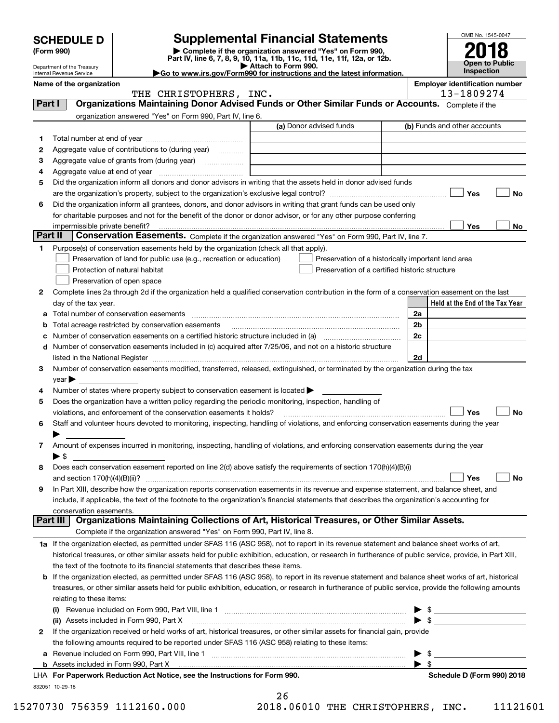|         | <b>SCHEDULE D</b>                                      |                                                                                                        | <b>Supplemental Financial Statements</b>                                                                                                                                                                                              |                         | OMB No. 1545-0047                     |
|---------|--------------------------------------------------------|--------------------------------------------------------------------------------------------------------|---------------------------------------------------------------------------------------------------------------------------------------------------------------------------------------------------------------------------------------|-------------------------|---------------------------------------|
|         | (Form 990)                                             |                                                                                                        | Complete if the organization answered "Yes" on Form 990,                                                                                                                                                                              |                         |                                       |
|         |                                                        |                                                                                                        | Part IV, line 6, 7, 8, 9, 10, 11a, 11b, 11c, 11d, 11e, 11f, 12a, or 12b.<br>Attach to Form 990.                                                                                                                                       |                         | <b>Open to Public</b>                 |
|         | Department of the Treasury<br>Internal Revenue Service |                                                                                                        | Go to www.irs.gov/Form990 for instructions and the latest information.                                                                                                                                                                |                         | Inspection                            |
|         | Name of the organization                               |                                                                                                        |                                                                                                                                                                                                                                       |                         | <b>Employer identification number</b> |
|         |                                                        | THE CHRISTOPHERS, INC.                                                                                 |                                                                                                                                                                                                                                       |                         | 13-1809274                            |
| Part I  |                                                        |                                                                                                        | Organizations Maintaining Donor Advised Funds or Other Similar Funds or Accounts. Complete if the                                                                                                                                     |                         |                                       |
|         |                                                        | organization answered "Yes" on Form 990, Part IV, line 6.                                              |                                                                                                                                                                                                                                       |                         |                                       |
|         |                                                        |                                                                                                        | (a) Donor advised funds                                                                                                                                                                                                               |                         | (b) Funds and other accounts          |
| 1       |                                                        |                                                                                                        |                                                                                                                                                                                                                                       |                         |                                       |
| 2       |                                                        | Aggregate value of contributions to (during year)                                                      |                                                                                                                                                                                                                                       |                         |                                       |
| з       |                                                        |                                                                                                        |                                                                                                                                                                                                                                       |                         |                                       |
| 4       |                                                        |                                                                                                        |                                                                                                                                                                                                                                       |                         |                                       |
| 5       |                                                        |                                                                                                        | Did the organization inform all donors and donor advisors in writing that the assets held in donor advised funds                                                                                                                      |                         |                                       |
|         |                                                        |                                                                                                        |                                                                                                                                                                                                                                       |                         | Yes<br>No                             |
| 6       |                                                        |                                                                                                        | Did the organization inform all grantees, donors, and donor advisors in writing that grant funds can be used only                                                                                                                     |                         |                                       |
|         |                                                        |                                                                                                        | for charitable purposes and not for the benefit of the donor or donor advisor, or for any other purpose conferring                                                                                                                    |                         |                                       |
|         | impermissible private benefit?                         |                                                                                                        |                                                                                                                                                                                                                                       |                         | Yes<br>No                             |
| Part II |                                                        |                                                                                                        | Conservation Easements. Complete if the organization answered "Yes" on Form 990, Part IV, line 7.                                                                                                                                     |                         |                                       |
| 1       |                                                        | Purpose(s) of conservation easements held by the organization (check all that apply).                  |                                                                                                                                                                                                                                       |                         |                                       |
|         |                                                        | Preservation of land for public use (e.g., recreation or education)                                    | Preservation of a historically important land area                                                                                                                                                                                    |                         |                                       |
|         |                                                        | Protection of natural habitat                                                                          | Preservation of a certified historic structure                                                                                                                                                                                        |                         |                                       |
|         |                                                        | Preservation of open space                                                                             |                                                                                                                                                                                                                                       |                         |                                       |
| 2       |                                                        |                                                                                                        | Complete lines 2a through 2d if the organization held a qualified conservation contribution in the form of a conservation easement on the last                                                                                        |                         |                                       |
|         | day of the tax year.                                   |                                                                                                        |                                                                                                                                                                                                                                       |                         | Held at the End of the Tax Year       |
|         |                                                        |                                                                                                        |                                                                                                                                                                                                                                       | 2a                      |                                       |
|         |                                                        | Total acreage restricted by conservation easements                                                     |                                                                                                                                                                                                                                       | 2 <sub>b</sub>          |                                       |
|         |                                                        |                                                                                                        |                                                                                                                                                                                                                                       | 2c                      |                                       |
| d       |                                                        |                                                                                                        | Number of conservation easements included in (c) acquired after 7/25/06, and not on a historic structure                                                                                                                              |                         |                                       |
|         |                                                        |                                                                                                        | listed in the National Register [11, 1200] [12] The National Register [11, 1200] [12] The National Register [11, 1200] [12] The National Register [11, 1200] [12] The National Register [11, 1200] [12] The National Register         | 2d                      |                                       |
| з       |                                                        |                                                                                                        | Number of conservation easements modified, transferred, released, extinguished, or terminated by the organization during the tax                                                                                                      |                         |                                       |
|         | $\vee$ ear $\blacktriangleright$                       |                                                                                                        |                                                                                                                                                                                                                                       |                         |                                       |
| 4       |                                                        | Number of states where property subject to conservation easement is located $\blacktriangleright$      |                                                                                                                                                                                                                                       |                         |                                       |
| 5       |                                                        | Does the organization have a written policy regarding the periodic monitoring, inspection, handling of |                                                                                                                                                                                                                                       |                         |                                       |
|         |                                                        | violations, and enforcement of the conservation easements it holds?                                    |                                                                                                                                                                                                                                       |                         | No<br>Yes                             |
| 6       |                                                        |                                                                                                        | Staff and volunteer hours devoted to monitoring, inspecting, handling of violations, and enforcing conservation easements during the year                                                                                             |                         |                                       |
|         |                                                        |                                                                                                        |                                                                                                                                                                                                                                       |                         |                                       |
| 7       |                                                        |                                                                                                        | Amount of expenses incurred in monitoring, inspecting, handling of violations, and enforcing conservation easements during the year                                                                                                   |                         |                                       |
|         | ▶\$                                                    |                                                                                                        |                                                                                                                                                                                                                                       |                         |                                       |
| 8       |                                                        |                                                                                                        | Does each conservation easement reported on line 2(d) above satisfy the requirements of section 170(h)(4)(B)(i)                                                                                                                       |                         |                                       |
|         |                                                        |                                                                                                        |                                                                                                                                                                                                                                       |                         | Yes<br>No                             |
| 9       |                                                        |                                                                                                        | In Part XIII, describe how the organization reports conservation easements in its revenue and expense statement, and balance sheet, and                                                                                               |                         |                                       |
|         |                                                        |                                                                                                        | include, if applicable, the text of the footnote to the organization's financial statements that describes the organization's accounting for                                                                                          |                         |                                       |
|         | conservation easements.                                |                                                                                                        |                                                                                                                                                                                                                                       |                         |                                       |
|         | Part III l                                             |                                                                                                        | Organizations Maintaining Collections of Art, Historical Treasures, or Other Similar Assets.                                                                                                                                          |                         |                                       |
|         |                                                        | Complete if the organization answered "Yes" on Form 990, Part IV, line 8.                              |                                                                                                                                                                                                                                       |                         |                                       |
|         |                                                        |                                                                                                        | 1a If the organization elected, as permitted under SFAS 116 (ASC 958), not to report in its revenue statement and balance sheet works of art,                                                                                         |                         |                                       |
|         |                                                        |                                                                                                        | historical treasures, or other similar assets held for public exhibition, education, or research in furtherance of public service, provide, in Part XIII,                                                                             |                         |                                       |
|         |                                                        | the text of the footnote to its financial statements that describes these items.                       |                                                                                                                                                                                                                                       |                         |                                       |
|         |                                                        |                                                                                                        | <b>b</b> If the organization elected, as permitted under SFAS 116 (ASC 958), to report in its revenue statement and balance sheet works of art, historical                                                                            |                         |                                       |
|         |                                                        |                                                                                                        | treasures, or other similar assets held for public exhibition, education, or research in furtherance of public service, provide the following amounts                                                                                 |                         |                                       |
|         | relating to these items:                               |                                                                                                        |                                                                                                                                                                                                                                       |                         |                                       |
|         |                                                        |                                                                                                        | (i) Revenue included on Form 990, Part VIII, line 1 [2000] [2010] Contract the included on Form 990, Part VIII, line 1                                                                                                                |                         |                                       |
|         |                                                        | (ii) Assets included in Form 990, Part X                                                               |                                                                                                                                                                                                                                       |                         |                                       |
| 2       |                                                        |                                                                                                        | If the organization received or held works of art, historical treasures, or other similar assets for financial gain, provide                                                                                                          |                         |                                       |
|         |                                                        | the following amounts required to be reported under SFAS 116 (ASC 958) relating to these items:        |                                                                                                                                                                                                                                       |                         |                                       |
|         |                                                        |                                                                                                        |                                                                                                                                                                                                                                       | \$                      |                                       |
|         |                                                        |                                                                                                        | b Assets incl <u>uded in Form 990, Part X [11] [11] notine in the inclusion of Assets included in Form 990, Part X [11] notine in the increase included in Form 990, Part X [11] notation in the increase in the increase of Asse</u> | $\blacktriangleright$ s |                                       |
|         |                                                        | LHA For Paperwork Reduction Act Notice, see the Instructions for Form 990.                             |                                                                                                                                                                                                                                       |                         | Schedule D (Form 990) 2018            |
|         | 832051 10-29-18                                        |                                                                                                        |                                                                                                                                                                                                                                       |                         |                                       |

| 15270730 756359 1112160.00 |  |  |
|----------------------------|--|--|
|                            |  |  |

26

162715010 102018.06010 THE CHRISTOPHERS, INC. 11121601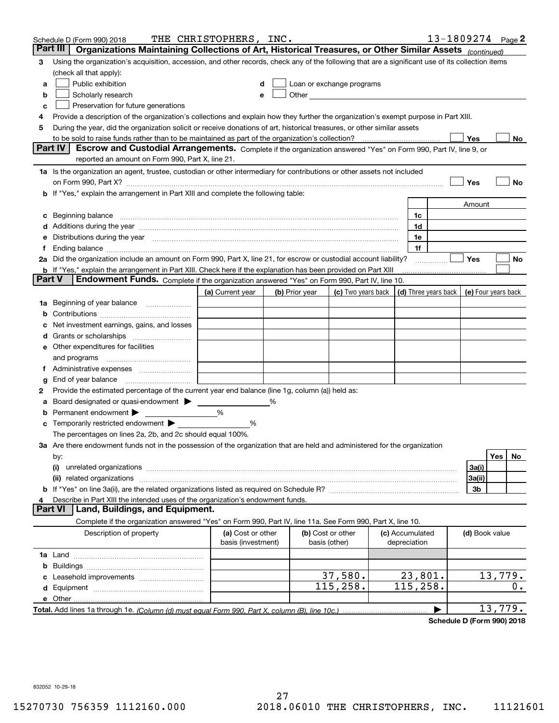|        | Schedule D (Form 990) 2018                                                                                                                                                                                                          | THE CHRISTOPHERS, INC.                  |   |                |                                                                                                                                                                                                                               |                                 | 13-1809274 Page 2 |                |         |    |
|--------|-------------------------------------------------------------------------------------------------------------------------------------------------------------------------------------------------------------------------------------|-----------------------------------------|---|----------------|-------------------------------------------------------------------------------------------------------------------------------------------------------------------------------------------------------------------------------|---------------------------------|-------------------|----------------|---------|----|
|        | Organizations Maintaining Collections of Art, Historical Treasures, or Other Similar Assets (continued)<br>Part III                                                                                                                 |                                         |   |                |                                                                                                                                                                                                                               |                                 |                   |                |         |    |
| 3      | Using the organization's acquisition, accession, and other records, check any of the following that are a significant use of its collection items<br>(check all that apply):                                                        |                                         |   |                |                                                                                                                                                                                                                               |                                 |                   |                |         |    |
| а      | Public exhibition                                                                                                                                                                                                                   | d                                       |   |                | Loan or exchange programs                                                                                                                                                                                                     |                                 |                   |                |         |    |
| b      | Scholarly research                                                                                                                                                                                                                  |                                         |   |                | Other and the contract of the contract of the contract of the contract of the contract of the contract of the contract of the contract of the contract of the contract of the contract of the contract of the contract of the |                                 |                   |                |         |    |
| с      | Preservation for future generations                                                                                                                                                                                                 |                                         |   |                |                                                                                                                                                                                                                               |                                 |                   |                |         |    |
| 4      | Provide a description of the organization's collections and explain how they further the organization's exempt purpose in Part XIII.                                                                                                |                                         |   |                |                                                                                                                                                                                                                               |                                 |                   |                |         |    |
| 5      | During the year, did the organization solicit or receive donations of art, historical treasures, or other similar assets                                                                                                            |                                         |   |                |                                                                                                                                                                                                                               |                                 |                   |                |         |    |
|        | to be sold to raise funds rather than to be maintained as part of the organization's collection?                                                                                                                                    |                                         |   |                |                                                                                                                                                                                                                               |                                 |                   | Yes            |         | No |
|        | Escrow and Custodial Arrangements. Complete if the organization answered "Yes" on Form 990, Part IV, line 9, or<br><b>Part IV</b>                                                                                                   |                                         |   |                |                                                                                                                                                                                                                               |                                 |                   |                |         |    |
|        | reported an amount on Form 990, Part X, line 21.                                                                                                                                                                                    |                                         |   |                |                                                                                                                                                                                                                               |                                 |                   |                |         |    |
|        | 1a Is the organization an agent, trustee, custodian or other intermediary for contributions or other assets not included                                                                                                            |                                         |   |                |                                                                                                                                                                                                                               |                                 |                   |                |         |    |
|        |                                                                                                                                                                                                                                     |                                         |   |                |                                                                                                                                                                                                                               |                                 |                   | Yes            |         | No |
|        | b If "Yes," explain the arrangement in Part XIII and complete the following table:                                                                                                                                                  |                                         |   |                |                                                                                                                                                                                                                               |                                 |                   |                |         |    |
|        |                                                                                                                                                                                                                                     |                                         |   |                |                                                                                                                                                                                                                               |                                 |                   | Amount         |         |    |
|        | c Beginning balance measurements and the contract of the contract of the contract of the contract of the contract of the contract of the contract of the contract of the contract of the contract of the contract of the contr      |                                         |   |                |                                                                                                                                                                                                                               | 1c                              |                   |                |         |    |
|        | d Additions during the year measurements are all an according to the year measurement of the year measurement of the state of the state of the state of the state of the state of the state of the state of the state of the s      |                                         |   |                |                                                                                                                                                                                                                               | 1d                              |                   |                |         |    |
|        | e Distributions during the year manufactured and continuum control of the control of the control of the state of the control of the control of the control of the control of the control of the control of the control of the       |                                         |   |                |                                                                                                                                                                                                                               | 1e                              |                   |                |         |    |
|        |                                                                                                                                                                                                                                     |                                         |   |                |                                                                                                                                                                                                                               | 1f                              |                   |                |         |    |
|        | 2a Did the organization include an amount on Form 990, Part X, line 21, for escrow or custodial account liability?                                                                                                                  |                                         |   |                |                                                                                                                                                                                                                               |                                 |                   | Yes            |         | No |
| Part V | <b>b</b> If "Yes," explain the arrangement in Part XIII. Check here if the explanation has been provided on Part XIII<br>Endowment Funds. Complete if the organization answered "Yes" on Form 990, Part IV, line 10.                |                                         |   |                |                                                                                                                                                                                                                               |                                 |                   |                |         |    |
|        |                                                                                                                                                                                                                                     |                                         |   |                |                                                                                                                                                                                                                               |                                 |                   |                |         |    |
|        |                                                                                                                                                                                                                                     | (a) Current year                        |   | (b) Prior year | (c) Two years back   (d) Three years back   (e) Four years back                                                                                                                                                               |                                 |                   |                |         |    |
|        | 1a Beginning of year balance                                                                                                                                                                                                        |                                         |   |                |                                                                                                                                                                                                                               |                                 |                   |                |         |    |
| b      | Net investment earnings, gains, and losses                                                                                                                                                                                          |                                         |   |                |                                                                                                                                                                                                                               |                                 |                   |                |         |    |
| c      | d Grants or scholarships                                                                                                                                                                                                            |                                         |   |                |                                                                                                                                                                                                                               |                                 |                   |                |         |    |
|        | e Other expenditures for facilities                                                                                                                                                                                                 |                                         |   |                |                                                                                                                                                                                                                               |                                 |                   |                |         |    |
|        | and programs                                                                                                                                                                                                                        |                                         |   |                |                                                                                                                                                                                                                               |                                 |                   |                |         |    |
|        |                                                                                                                                                                                                                                     |                                         |   |                |                                                                                                                                                                                                                               |                                 |                   |                |         |    |
| g      |                                                                                                                                                                                                                                     |                                         |   |                |                                                                                                                                                                                                                               |                                 |                   |                |         |    |
| 2      | Provide the estimated percentage of the current year end balance (line 1g, column (a)) held as:                                                                                                                                     |                                         |   |                |                                                                                                                                                                                                                               |                                 |                   |                |         |    |
| а      | Board designated or quasi-endowment > ______                                                                                                                                                                                        |                                         | % |                |                                                                                                                                                                                                                               |                                 |                   |                |         |    |
| b      | Permanent endowment                                                                                                                                                                                                                 | %                                       |   |                |                                                                                                                                                                                                                               |                                 |                   |                |         |    |
|        | <b>c</b> Temporarily restricted endowment $\blacktriangleright$                                                                                                                                                                     | %                                       |   |                |                                                                                                                                                                                                                               |                                 |                   |                |         |    |
|        | The percentages on lines 2a, 2b, and 2c should equal 100%.                                                                                                                                                                          |                                         |   |                |                                                                                                                                                                                                                               |                                 |                   |                |         |    |
|        | 3a Are there endowment funds not in the possession of the organization that are held and administered for the organization                                                                                                          |                                         |   |                |                                                                                                                                                                                                                               |                                 |                   |                |         |    |
|        | by:                                                                                                                                                                                                                                 |                                         |   |                |                                                                                                                                                                                                                               |                                 |                   |                | Yes     | No |
|        | (i)                                                                                                                                                                                                                                 |                                         |   |                |                                                                                                                                                                                                                               |                                 |                   | 3a(i)          |         |    |
|        | (ii) related organizations <b>contracts</b> and contracts are contracted as a contract of the contract of the contract of the contract of the contract of the contract of the contract of the contract of the contract of the contr |                                         |   |                |                                                                                                                                                                                                                               |                                 |                   | 3a(ii)         |         |    |
|        |                                                                                                                                                                                                                                     |                                         |   |                |                                                                                                                                                                                                                               |                                 |                   | 3b             |         |    |
| 4      | Describe in Part XIII the intended uses of the organization's endowment funds.                                                                                                                                                      |                                         |   |                |                                                                                                                                                                                                                               |                                 |                   |                |         |    |
|        | Land, Buildings, and Equipment.<br><b>Part VI</b>                                                                                                                                                                                   |                                         |   |                |                                                                                                                                                                                                                               |                                 |                   |                |         |    |
|        | Complete if the organization answered "Yes" on Form 990, Part IV, line 11a. See Form 990, Part X, line 10.                                                                                                                          |                                         |   |                |                                                                                                                                                                                                                               |                                 |                   |                |         |    |
|        | Description of property                                                                                                                                                                                                             | (a) Cost or other<br>basis (investment) |   |                | (b) Cost or other<br>basis (other)                                                                                                                                                                                            | (c) Accumulated<br>depreciation |                   | (d) Book value |         |    |
|        |                                                                                                                                                                                                                                     |                                         |   |                |                                                                                                                                                                                                                               |                                 |                   |                |         |    |
| b      |                                                                                                                                                                                                                                     |                                         |   |                |                                                                                                                                                                                                                               |                                 |                   |                |         |    |
| с      |                                                                                                                                                                                                                                     |                                         |   |                | 37,580.                                                                                                                                                                                                                       | 23,801.                         |                   |                | 13,779. |    |
|        |                                                                                                                                                                                                                                     |                                         |   |                | 115,258.                                                                                                                                                                                                                      | 115,258.                        |                   |                |         | 0. |
|        |                                                                                                                                                                                                                                     |                                         |   |                |                                                                                                                                                                                                                               |                                 |                   |                |         |    |
|        |                                                                                                                                                                                                                                     |                                         |   |                |                                                                                                                                                                                                                               |                                 |                   |                | 13,779. |    |

**Schedule D (Form 990) 2018**

832052 10-29-18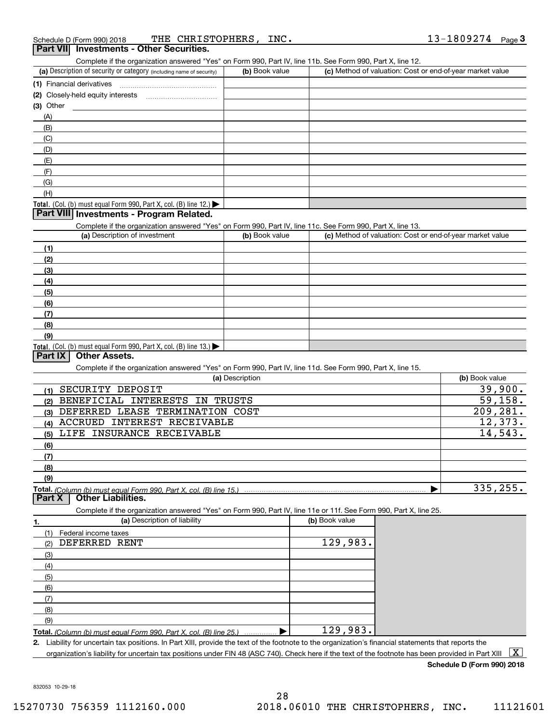| Complete if the organization answered "Yes" on Form 990, Part IV, line 11b. See Form 990, Part X, line 12.<br>(a) Description of security or category (including name of security)<br>(1) Financial derivatives<br>(3) Other<br>(A)<br>(B)<br>(C)<br>(D)<br>(E)<br>(F)<br>(G)<br>(H) | (b) Book value  |                | (c) Method of valuation: Cost or end-of-year market value |
|--------------------------------------------------------------------------------------------------------------------------------------------------------------------------------------------------------------------------------------------------------------------------------------|-----------------|----------------|-----------------------------------------------------------|
|                                                                                                                                                                                                                                                                                      |                 |                |                                                           |
|                                                                                                                                                                                                                                                                                      |                 |                |                                                           |
|                                                                                                                                                                                                                                                                                      |                 |                |                                                           |
|                                                                                                                                                                                                                                                                                      |                 |                |                                                           |
|                                                                                                                                                                                                                                                                                      |                 |                |                                                           |
|                                                                                                                                                                                                                                                                                      |                 |                |                                                           |
|                                                                                                                                                                                                                                                                                      |                 |                |                                                           |
|                                                                                                                                                                                                                                                                                      |                 |                |                                                           |
|                                                                                                                                                                                                                                                                                      |                 |                |                                                           |
|                                                                                                                                                                                                                                                                                      |                 |                |                                                           |
|                                                                                                                                                                                                                                                                                      |                 |                |                                                           |
|                                                                                                                                                                                                                                                                                      |                 |                |                                                           |
|                                                                                                                                                                                                                                                                                      |                 |                |                                                           |
| Total. (Col. (b) must equal Form 990, Part X, col. (B) line 12.) $\blacktriangleright$                                                                                                                                                                                               |                 |                |                                                           |
| Part VIII Investments - Program Related.                                                                                                                                                                                                                                             |                 |                |                                                           |
| Complete if the organization answered "Yes" on Form 990, Part IV, line 11c. See Form 990, Part X, line 13.                                                                                                                                                                           |                 |                |                                                           |
| (a) Description of investment                                                                                                                                                                                                                                                        | (b) Book value  |                | (c) Method of valuation: Cost or end-of-year market value |
| (1)                                                                                                                                                                                                                                                                                  |                 |                |                                                           |
| (2)                                                                                                                                                                                                                                                                                  |                 |                |                                                           |
| (3)                                                                                                                                                                                                                                                                                  |                 |                |                                                           |
| (4)                                                                                                                                                                                                                                                                                  |                 |                |                                                           |
| (5)                                                                                                                                                                                                                                                                                  |                 |                |                                                           |
| (6)                                                                                                                                                                                                                                                                                  |                 |                |                                                           |
| (7)                                                                                                                                                                                                                                                                                  |                 |                |                                                           |
| (8)                                                                                                                                                                                                                                                                                  |                 |                |                                                           |
| (9)                                                                                                                                                                                                                                                                                  |                 |                |                                                           |
| Total. (Col. (b) must equal Form 990, Part X, col. (B) line 13.) $\blacktriangleright$                                                                                                                                                                                               |                 |                |                                                           |
| <b>Other Assets.</b><br>Part IX                                                                                                                                                                                                                                                      |                 |                |                                                           |
| Complete if the organization answered "Yes" on Form 990, Part IV, line 11d. See Form 990, Part X, line 15.                                                                                                                                                                           |                 |                |                                                           |
|                                                                                                                                                                                                                                                                                      | (a) Description |                | (b) Book value                                            |
| (1) SECURITY DEPOSIT                                                                                                                                                                                                                                                                 |                 |                | 39,900.                                                   |
| (2) BENEFICIAL INTERESTS IN TRUSTS                                                                                                                                                                                                                                                   |                 |                | 59,158.                                                   |
| (3) DEFERRED LEASE TERMINATION COST                                                                                                                                                                                                                                                  |                 |                | 209, 281.                                                 |
| (4) ACCRUED INTEREST RECEIVABLE                                                                                                                                                                                                                                                      |                 |                | 12,373.                                                   |
| (5) LIFE INSURANCE RECEIVABLE                                                                                                                                                                                                                                                        |                 |                | 14, 543.                                                  |
|                                                                                                                                                                                                                                                                                      |                 |                |                                                           |
| (6)                                                                                                                                                                                                                                                                                  |                 |                |                                                           |
| (7)                                                                                                                                                                                                                                                                                  |                 |                |                                                           |
| (8)                                                                                                                                                                                                                                                                                  |                 |                |                                                           |
| (9)                                                                                                                                                                                                                                                                                  |                 |                | 335, 255.                                                 |
| <b>Other Liabilities.</b><br>Part X                                                                                                                                                                                                                                                  |                 |                |                                                           |
|                                                                                                                                                                                                                                                                                      |                 |                |                                                           |
| Complete if the organization answered "Yes" on Form 990, Part IV, line 11e or 11f. See Form 990, Part X, line 25.<br>(a) Description of liability                                                                                                                                    |                 | (b) Book value |                                                           |
| 1.                                                                                                                                                                                                                                                                                   |                 |                |                                                           |
| (1)<br>Federal income taxes                                                                                                                                                                                                                                                          |                 |                |                                                           |
| DEFERRED RENT<br>(2)                                                                                                                                                                                                                                                                 |                 | 129,983.       |                                                           |
| (3)                                                                                                                                                                                                                                                                                  |                 |                |                                                           |
| (4)                                                                                                                                                                                                                                                                                  |                 |                |                                                           |
| (5)                                                                                                                                                                                                                                                                                  |                 |                |                                                           |
| (6)                                                                                                                                                                                                                                                                                  |                 |                |                                                           |
| (7)                                                                                                                                                                                                                                                                                  |                 |                |                                                           |
| (8)                                                                                                                                                                                                                                                                                  |                 |                |                                                           |
| (9)                                                                                                                                                                                                                                                                                  |                 |                |                                                           |
| <b>Total.</b> (Column (b) must equal Form 990. Part X, col. (B) line 25.)                                                                                                                                                                                                            |                 | 129,983.       |                                                           |

organization's liability for uncertain tax positions under FIN 48 (ASC 740). Check here if the text of the footnote has been provided in Part XIII  $~\boxed{\rm X}$ 

**Schedule D (Form 990) 2018**

832053 10-29-18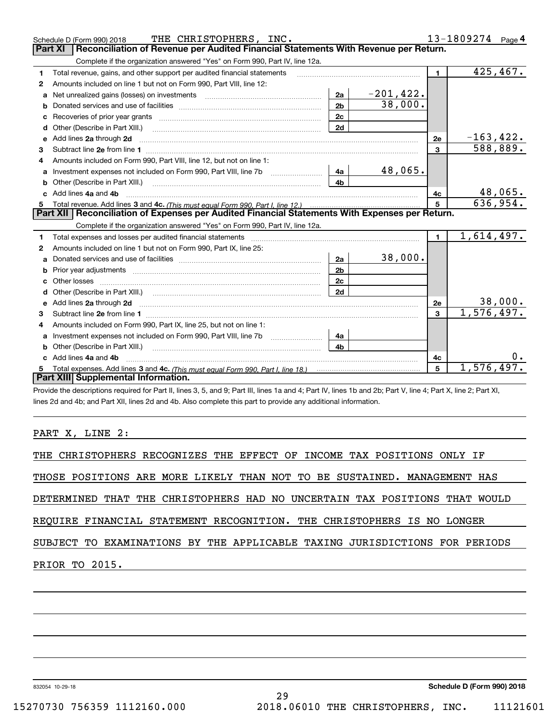|    | THE CHRISTOPHERS, INC.<br>Schedule D (Form 990) 2018                                                                                                                                                                           |                |              |                | 13-1809274 Page 4 |
|----|--------------------------------------------------------------------------------------------------------------------------------------------------------------------------------------------------------------------------------|----------------|--------------|----------------|-------------------|
|    | Reconciliation of Revenue per Audited Financial Statements With Revenue per Return.<br><b>Part XI</b>                                                                                                                          |                |              |                |                   |
|    | Complete if the organization answered "Yes" on Form 990, Part IV, line 12a.                                                                                                                                                    |                |              |                |                   |
| 1  | Total revenue, gains, and other support per audited financial statements                                                                                                                                                       |                |              | $\blacksquare$ | 425, 467.         |
| 2  | Amounts included on line 1 but not on Form 990, Part VIII, line 12:                                                                                                                                                            |                |              |                |                   |
| a  |                                                                                                                                                                                                                                | 2a             | $-201, 422.$ |                |                   |
| b  |                                                                                                                                                                                                                                | 2 <sub>b</sub> | 38,000.      |                |                   |
| c  | Recoveries of prior year grants [11] matter contracts and prior year grants [11] matter contracts and prior year grants and prior year of the contracts and prior year of the contracts and prior year of the contracts and pr | 2c             |              |                |                   |
| d  | Other (Describe in Part XIII.)                                                                                                                                                                                                 | 2d             |              |                |                   |
| е  | Add lines 2a through 2d <b>must be a constructed as the constant of the State of Add</b> lines 2a through 2d                                                                                                                   |                |              | 2e             | $-163, 422.$      |
| 3  |                                                                                                                                                                                                                                |                |              | 3              | 588,889.          |
| 4  | Amounts included on Form 990, Part VIII, line 12, but not on line 1:                                                                                                                                                           |                |              |                |                   |
|    | Investment expenses not included on Form 990, Part VIII, line 7b                                                                                                                                                               | 4a             | 48,065.      |                |                   |
| b  | Other (Describe in Part XIII.) <b>Construction Contract Construction</b> Chern Construction Construction Construction                                                                                                          | 4 <sub>b</sub> |              |                |                   |
| C. | Add lines 4a and 4b                                                                                                                                                                                                            |                |              | 4c             | 48,065.           |
| 5  |                                                                                                                                                                                                                                |                |              | 5              | 636,954.          |
|    | Part XII   Reconciliation of Expenses per Audited Financial Statements With Expenses per Return.                                                                                                                               |                |              |                |                   |
|    | Complete if the organization answered "Yes" on Form 990, Part IV, line 12a.                                                                                                                                                    |                |              |                |                   |
| 1  | Total expenses and losses per audited financial statements [11] [12] contraction control in the statements [15] [15] and the statements [15] [15] and the statements [15] and the statements [15] and the statements [15] and  |                |              | $\mathbf{1}$   | 1,614,497.        |
| 2  | Amounts included on line 1 but not on Form 990, Part IX, line 25:                                                                                                                                                              |                |              |                |                   |
| a  |                                                                                                                                                                                                                                | 2a             | 38,000.      |                |                   |
| b  |                                                                                                                                                                                                                                | 2 <sub>b</sub> |              |                |                   |
| с  |                                                                                                                                                                                                                                | 2c             |              |                |                   |
| d  | Other (Describe in Part XIII.) (2000) (2000) (2000) (2010) (2010) (2010) (2010) (2010) (2010) (2010) (2010) (2010) (2010) (2010) (2010) (2010) (2010) (2010) (2010) (2010) (2010) (2010) (2010) (2010) (2010) (2010) (2010) (2 | 2d             |              |                |                   |
| е  | Add lines 2a through 2d <b>must be a constructed as the constant of the constant of the constant of the construction</b>                                                                                                       |                |              | 2e             | 38,000.           |
|    |                                                                                                                                                                                                                                |                |              | 3              | 1,576,497.        |
| 3  |                                                                                                                                                                                                                                |                |              |                |                   |
| 4  | Amounts included on Form 990, Part IX, line 25, but not on line 1:                                                                                                                                                             |                |              |                |                   |
| a  |                                                                                                                                                                                                                                | 4a             |              |                |                   |
| b  | Other (Describe in Part XIII.)                                                                                                                                                                                                 | 4 <sub>b</sub> |              |                |                   |
|    | Add lines 4a and 4b                                                                                                                                                                                                            |                |              | 4c             |                   |
|    | Total expenses. Add lines 3 and 4c. (This must equal Form 990. Part I, line 18.) <b>Conservers</b> manufactured in the<br>Part XIII Supplemental Information.                                                                  |                |              | 5              | 1,576,497.        |

Provide the descriptions required for Part II, lines 3, 5, and 9; Part III, lines 1a and 4; Part IV, lines 1b and 2b; Part V, line 4; Part X, line 2; Part XI, lines 2d and 4b; and Part XII, lines 2d and 4b. Also complete this part to provide any additional information.

#### PART X, LINE 2:

| THE CHRISTOPHERS RECOGNIZES THE EFFECT OF INCOME TAX POSITIONS ONLY IF     |
|----------------------------------------------------------------------------|
| THOSE POSITIONS ARE MORE LIKELY THAN NOT TO BE SUSTAINED. MANAGEMENT HAS   |
| DETERMINED THAT THE CHRISTOPHERS HAD NO UNCERTAIN TAX POSITIONS THAT WOULD |
| REOUIRE FINANCIAL STATEMENT RECOGNITION. THE CHRISTOPHERS IS NO LONGER     |
| SUBJECT TO EXAMINATIONS BY THE APPLICABLE TAXING JURISDICTIONS FOR PERIODS |
| PRIOR TO 2015.                                                             |
|                                                                            |

832054 10-29-18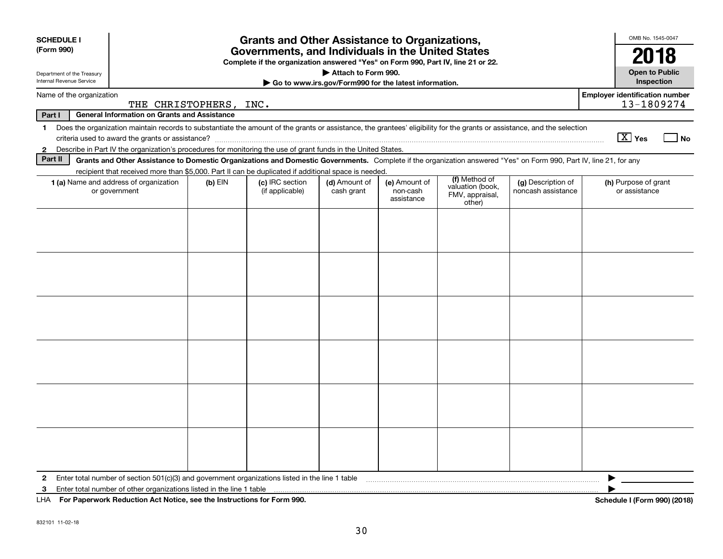| <b>SCHEDULE I</b>                                      |                                                                                                                                                                                                                                                                           |           | <b>Grants and Other Assistance to Organizations,</b>                             |                                                                              |                                         |                                                                |                                          | OMB No. 1545-0047                     |
|--------------------------------------------------------|---------------------------------------------------------------------------------------------------------------------------------------------------------------------------------------------------------------------------------------------------------------------------|-----------|----------------------------------------------------------------------------------|------------------------------------------------------------------------------|-----------------------------------------|----------------------------------------------------------------|------------------------------------------|---------------------------------------|
| (Form 990)                                             |                                                                                                                                                                                                                                                                           |           | Governments, and Individuals in the United States                                |                                                                              |                                         |                                                                |                                          | 2018                                  |
| Department of the Treasury<br>Internal Revenue Service |                                                                                                                                                                                                                                                                           |           | Complete if the organization answered "Yes" on Form 990, Part IV, line 21 or 22. | Attach to Form 990.<br>Go to www.irs.gov/Form990 for the latest information. |                                         |                                                                |                                          | <b>Open to Public</b><br>Inspection   |
| Name of the organization                               |                                                                                                                                                                                                                                                                           |           |                                                                                  |                                                                              |                                         |                                                                |                                          | <b>Employer identification number</b> |
|                                                        | THE CHRISTOPHERS,                                                                                                                                                                                                                                                         |           | INC.                                                                             |                                                                              |                                         |                                                                |                                          | 13-1809274                            |
| Part I                                                 | <b>General Information on Grants and Assistance</b>                                                                                                                                                                                                                       |           |                                                                                  |                                                                              |                                         |                                                                |                                          |                                       |
| $\mathbf{1}$                                           | Does the organization maintain records to substantiate the amount of the grants or assistance, the grantees' eligibility for the grants or assistance, and the selection                                                                                                  |           |                                                                                  |                                                                              |                                         |                                                                |                                          | $\boxed{\text{X}}$ Yes<br>⊥ No        |
| $\mathbf{2}$<br>Part II                                | Describe in Part IV the organization's procedures for monitoring the use of grant funds in the United States.                                                                                                                                                             |           |                                                                                  |                                                                              |                                         |                                                                |                                          |                                       |
|                                                        | Grants and Other Assistance to Domestic Organizations and Domestic Governments. Complete if the organization answered "Yes" on Form 990, Part IV, line 21, for any<br>recipient that received more than \$5,000. Part II can be duplicated if additional space is needed. |           |                                                                                  |                                                                              |                                         |                                                                |                                          |                                       |
|                                                        | 1 (a) Name and address of organization<br>or government                                                                                                                                                                                                                   | $(b)$ EIN | (c) IRC section<br>(if applicable)                                               | (d) Amount of<br>cash grant                                                  | (e) Amount of<br>non-cash<br>assistance | (f) Method of<br>valuation (book,<br>FMV, appraisal,<br>other) | (g) Description of<br>noncash assistance | (h) Purpose of grant<br>or assistance |
|                                                        |                                                                                                                                                                                                                                                                           |           |                                                                                  |                                                                              |                                         |                                                                |                                          |                                       |
|                                                        |                                                                                                                                                                                                                                                                           |           |                                                                                  |                                                                              |                                         |                                                                |                                          |                                       |
| $\mathbf{2}$<br>3                                      | Enter total number of section $501(c)(3)$ and government organizations listed in the line 1 table<br>Enter total number of other organizations listed in the line 1 table<br>LHA For Paperwork Reduction Act Notice, see the Instructions for Form 990.                   |           |                                                                                  |                                                                              |                                         |                                                                |                                          | Schedule I (Form 990) (2018)          |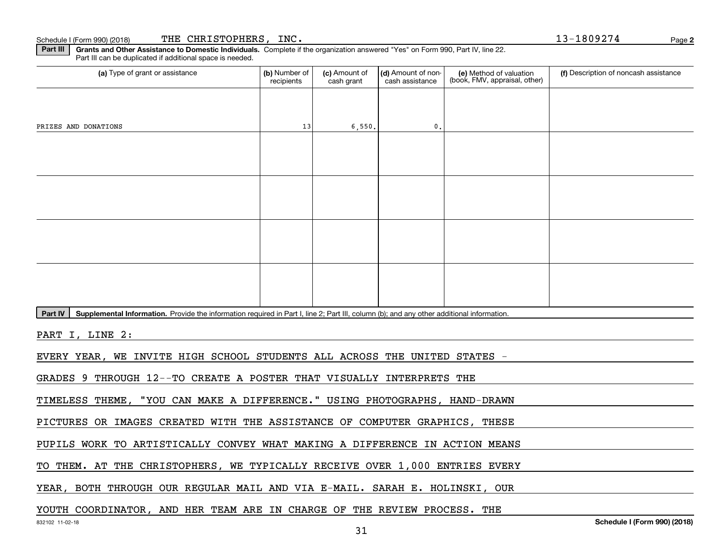Schedule I (Form 990) (2018) Page THE CHRISTOPHERS, INC. 13-1809274

**2**

**Part III** | Grants and Other Assistance to Domestic Individuals. Complete if the organization answered "Yes" on Form 990, Part IV, line 22. Part III can be duplicated if additional space is needed.

| (a) Type of grant or assistance                                                                                                                      | (b) Number of<br>recipients | (c) Amount of<br>cash grant | (d) Amount of non-<br>cash assistance | (e) Method of valuation<br>(book, FMV, appraisal, other) | (f) Description of noncash assistance |
|------------------------------------------------------------------------------------------------------------------------------------------------------|-----------------------------|-----------------------------|---------------------------------------|----------------------------------------------------------|---------------------------------------|
|                                                                                                                                                      |                             |                             |                                       |                                                          |                                       |
| PRIZES AND DONATIONS                                                                                                                                 | 13                          | 6,550.                      | 0.                                    |                                                          |                                       |
|                                                                                                                                                      |                             |                             |                                       |                                                          |                                       |
|                                                                                                                                                      |                             |                             |                                       |                                                          |                                       |
|                                                                                                                                                      |                             |                             |                                       |                                                          |                                       |
|                                                                                                                                                      |                             |                             |                                       |                                                          |                                       |
|                                                                                                                                                      |                             |                             |                                       |                                                          |                                       |
|                                                                                                                                                      |                             |                             |                                       |                                                          |                                       |
|                                                                                                                                                      |                             |                             |                                       |                                                          |                                       |
|                                                                                                                                                      |                             |                             |                                       |                                                          |                                       |
| Part IV<br>Supplemental Information. Provide the information required in Part I, line 2; Part III, column (b); and any other additional information. |                             |                             |                                       |                                                          |                                       |
| PART I, LINE 2:                                                                                                                                      |                             |                             |                                       |                                                          |                                       |
| EVERY YEAR, WE INVITE HIGH SCHOOL STUDENTS ALL ACROSS THE UNITED STATES -                                                                            |                             |                             |                                       |                                                          |                                       |
| GRADES 9 THROUGH 12--TO CREATE A POSTER THAT VISUALLY INTERPRETS THE                                                                                 |                             |                             |                                       |                                                          |                                       |
| TIMELESS THEME, "YOU CAN MAKE A DIFFERENCE." USING PHOTOGRAPHS, HAND-DRAWN                                                                           |                             |                             |                                       |                                                          |                                       |
| PICTURES OR IMAGES CREATED WITH THE ASSISTANCE OF COMPUTER GRAPHICS, THESE                                                                           |                             |                             |                                       |                                                          |                                       |
| PUPILS WORK TO ARTISTICALLY CONVEY WHAT MAKING A DIFFERENCE IN ACTION MEANS                                                                          |                             |                             |                                       |                                                          |                                       |
| TO THEM. AT THE CHRISTOPHERS, WE TYPICALLY RECEIVE OVER 1,000 ENTRIES EVERY                                                                          |                             |                             |                                       |                                                          |                                       |
| YEAR, BOTH THROUGH OUR REGULAR MAIL AND VIA E-MAIL. SARAH E. HOLINSKI,                                                                               |                             |                             |                                       | <b>OUR</b>                                               |                                       |
|                                                                                                                                                      |                             |                             |                                       |                                                          |                                       |

#### YOUTH COORDINATOR, AND HER TEAM ARE IN CHARGE OF THE REVIEW PROCESS. THE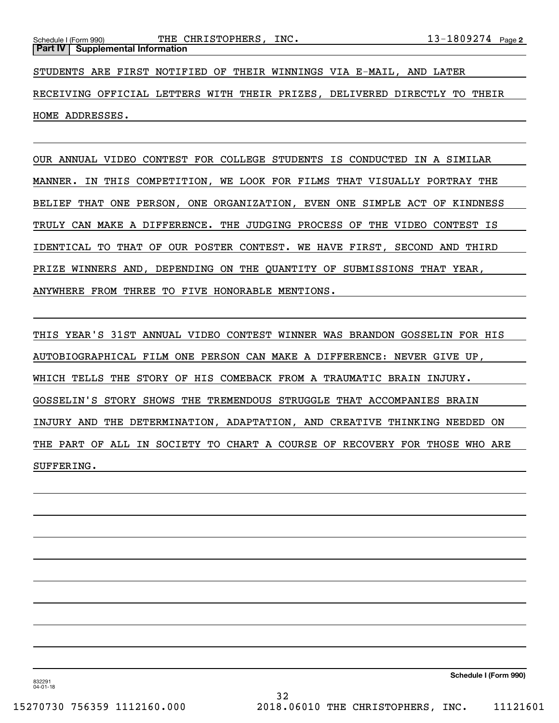| Schedule I (Form 990) |                                                                     | THE CHRISTOPHERS, | INC. |  | $13 - 1809274$ Page 2 |  |
|-----------------------|---------------------------------------------------------------------|-------------------|------|--|-----------------------|--|
|                       | <b>Part IV   Supplemental Information</b>                           |                   |      |  |                       |  |
|                       |                                                                     |                   |      |  |                       |  |
|                       | STUDENTS ARE FIRST NOTIFIED OF THEIR WINNINGS VIA E-MAIL, AND LATER |                   |      |  |                       |  |

RECEIVING OFFICIAL LETTERS WITH THEIR PRIZES, DELIVERED DIRECTLY TO THEIR HOME ADDRESSES.

OUR ANNUAL VIDEO CONTEST FOR COLLEGE STUDENTS IS CONDUCTED IN A SIMILAR MANNER. IN THIS COMPETITION, WE LOOK FOR FILMS THAT VISUALLY PORTRAY THE BELIEF THAT ONE PERSON, ONE ORGANIZATION, EVEN ONE SIMPLE ACT OF KINDNESS TRULY CAN MAKE A DIFFERENCE. THE JUDGING PROCESS OF THE VIDEO CONTEST IS IDENTICAL TO THAT OF OUR POSTER CONTEST. WE HAVE FIRST, SECOND AND THIRD PRIZE WINNERS AND, DEPENDING ON THE QUANTITY OF SUBMISSIONS THAT YEAR, ANYWHERE FROM THREE TO FIVE HONORABLE MENTIONS.

THIS YEAR'S 31ST ANNUAL VIDEO CONTEST WINNER WAS BRANDON GOSSELIN FOR HIS AUTOBIOGRAPHICAL FILM ONE PERSON CAN MAKE A DIFFERENCE: NEVER GIVE UP, WHICH TELLS THE STORY OF HIS COMEBACK FROM A TRAUMATIC BRAIN INJURY. GOSSELIN'S STORY SHOWS THE TREMENDOUS STRUGGLE THAT ACCOMPANIES BRAIN INJURY AND THE DETERMINATION, ADAPTATION, AND CREATIVE THINKING NEEDED ON THE PART OF ALL IN SOCIETY TO CHART A COURSE OF RECOVERY FOR THOSE WHO ARE SUFFERING.

**Schedule I (Form 990)**

832291 04-01-18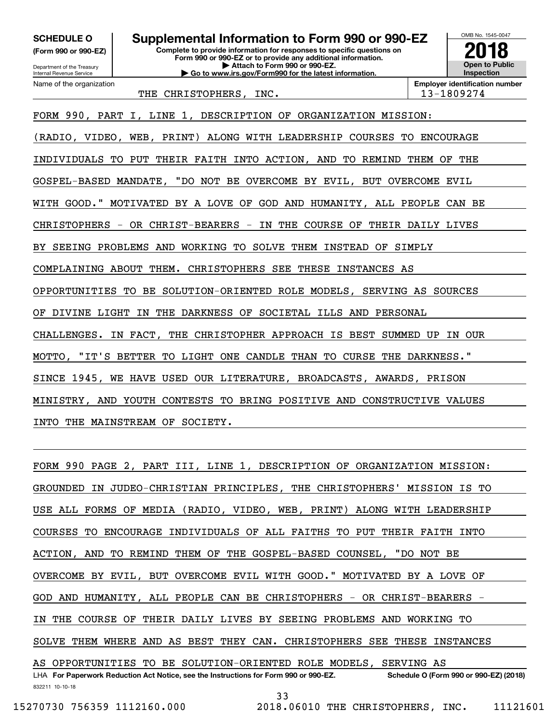**(Form 990 or 990-EZ)**

Name of the organization

Department of the Treasury Internal Revenue Service

**Complete to provide information for responses to specific questions on Form 990 or 990-EZ or to provide any additional information. | Attach to Form 990 or 990-EZ. | Go to www.irs.gov/Form990 for the latest information. SCHEDULE O Supplemental Information to Form 990 or 990-EZ**



THE CHRISTOPHERS, INC.  $\vert$  13-1809274

FORM 990, PART I, LINE 1, DESCRIPTION OF ORGANIZATION MISSION: (RADIO, VIDEO, WEB, PRINT) ALONG WITH LEADERSHIP COURSES TO ENCOURAGE INDIVIDUALS TO PUT THEIR FAITH INTO ACTION, AND TO REMIND THEM OF THE GOSPEL-BASED MANDATE, "DO NOT BE OVERCOME BY EVIL, BUT OVERCOME EVIL WITH GOOD." MOTIVATED BY A LOVE OF GOD AND HUMANITY, ALL PEOPLE CAN BE CHRISTOPHERS - OR CHRIST-BEARERS - IN THE COURSE OF THEIR DAILY LIVES BY SEEING PROBLEMS AND WORKING TO SOLVE THEM INSTEAD OF SIMPLY COMPLAINING ABOUT THEM. CHRISTOPHERS SEE THESE INSTANCES AS OPPORTUNITIES TO BE SOLUTION-ORIENTED ROLE MODELS, SERVING AS SOURCES OF DIVINE LIGHT IN THE DARKNESS OF SOCIETAL ILLS AND PERSONAL CHALLENGES. IN FACT, THE CHRISTOPHER APPROACH IS BEST SUMMED UP IN OUR MOTTO, "IT'S BETTER TO LIGHT ONE CANDLE THAN TO CURSE THE DARKNESS." SINCE 1945, WE HAVE USED OUR LITERATURE, BROADCASTS, AWARDS, PRISON MINISTRY, AND YOUTH CONTESTS TO BRING POSITIVE AND CONSTRUCTIVE VALUES INTO THE MAINSTREAM OF SOCIETY.

832211 10-10-18 LHA For Paperwork Reduction Act Notice, see the Instructions for Form 990 or 990-EZ. Schedule O (Form 990 or 990-EZ) (2018) FORM 990 PAGE 2, PART III, LINE 1, DESCRIPTION OF ORGANIZATION MISSION: GROUNDED IN JUDEO-CHRISTIAN PRINCIPLES, THE CHRISTOPHERS' MISSION IS TO USE ALL FORMS OF MEDIA (RADIO, VIDEO, WEB, PRINT) ALONG WITH LEADERSHIP COURSES TO ENCOURAGE INDIVIDUALS OF ALL FAITHS TO PUT THEIR FAITH INTO ACTION, AND TO REMIND THEM OF THE GOSPEL-BASED COUNSEL, "DO NOT BE OVERCOME BY EVIL, BUT OVERCOME EVIL WITH GOOD." MOTIVATED BY A LOVE OF GOD AND HUMANITY, ALL PEOPLE CAN BE CHRISTOPHERS - OR CHRIST-BEARERS IN THE COURSE OF THEIR DAILY LIVES BY SEEING PROBLEMS AND WORKING TO SOLVE THEM WHERE AND AS BEST THEY CAN. CHRISTOPHERS SEE THESE INSTANCES AS OPPORTUNITIES TO BE SOLUTION-ORIENTED ROLE MODELS, SERVING AS

```
33
```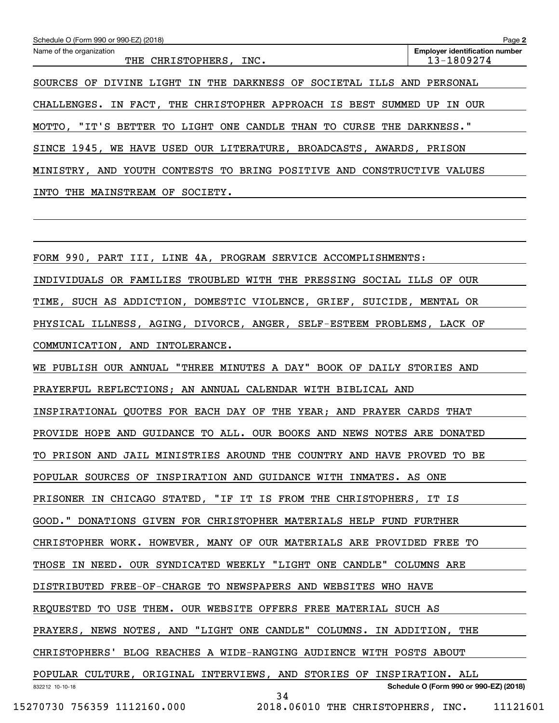| Schedule O (Form 990 or 990-EZ) (2018)                                 | Page 2                                              |
|------------------------------------------------------------------------|-----------------------------------------------------|
| Name of the organization<br>THE CHRISTOPHERS, INC.                     | <b>Employer identification number</b><br>13-1809274 |
| SOURCES OF DIVINE LIGHT IN THE DARKNESS OF SOCIETAL ILLS AND PERSONAL  |                                                     |
| CHALLENGES. IN FACT, THE CHRISTOPHER APPROACH IS BEST SUMMED UP IN OUR |                                                     |
| MOTTO, "IT'S BETTER TO LIGHT ONE CANDLE THAN TO CURSE THE DARKNESS."   |                                                     |
| SINCE 1945, WE HAVE USED OUR LITERATURE, BROADCASTS, AWARDS, PRISON    |                                                     |
| MINISTRY, AND YOUTH CONTESTS TO BRING POSITIVE AND CONSTRUCTIVE VALUES |                                                     |
| INTO THE MAINSTREAM OF SOCIETY.                                        |                                                     |
|                                                                        |                                                     |
|                                                                        |                                                     |
| FORM 990, PART III, LINE 4A, PROGRAM SERVICE ACCOMPLISHMENTS:          |                                                     |
| INDIVIDUALS OR FAMILIES TROUBLED WITH THE PRESSING SOCIAL ILLS OF OUR  |                                                     |
| TIME, SUCH AS ADDICTION, DOMESTIC VIOLENCE, GRIEF, SUICIDE, MENTAL OR  |                                                     |
| PHYSICAL ILLNESS, AGING, DIVORCE, ANGER, SELF-ESTEEM PROBLEMS, LACK OF |                                                     |
| COMMUNICATION, AND INTOLERANCE.                                        |                                                     |
| WE PUBLISH OUR ANNUAL "THREE MINUTES A DAY" BOOK OF DAILY STORIES AND  |                                                     |
| PRAYERFUL REFLECTIONS; AN ANNUAL CALENDAR WITH BIBLICAL AND            |                                                     |
| INSPIRATIONAL QUOTES FOR EACH DAY OF THE YEAR; AND PRAYER CARDS THAT   |                                                     |
| PROVIDE HOPE AND GUIDANCE TO ALL. OUR BOOKS AND NEWS NOTES ARE DONATED |                                                     |
| TO PRISON AND JAIL MINISTRIES AROUND THE COUNTRY AND HAVE PROVED TO BE |                                                     |
| POPULAR SOURCES OF INSPIRATION AND GUIDANCE WITH INMATES. AS ONE       |                                                     |
| PRISONER IN CHICAGO STATED, "IF IT IS FROM THE CHRISTOPHERS, IT IS     |                                                     |
| GOOD." DONATIONS GIVEN FOR CHRISTOPHER MATERIALS HELP FUND FURTHER     |                                                     |
| CHRISTOPHER WORK. HOWEVER, MANY OF OUR MATERIALS ARE PROVIDED FREE TO  |                                                     |
| THOSE IN NEED. OUR SYNDICATED WEEKLY "LIGHT ONE CANDLE" COLUMNS ARE    |                                                     |
| DISTRIBUTED FREE-OF-CHARGE TO NEWSPAPERS AND WEBSITES WHO HAVE         |                                                     |
| REQUESTED TO USE THEM. OUR WEBSITE OFFERS FREE MATERIAL SUCH AS        |                                                     |
| PRAYERS, NEWS NOTES, AND "LIGHT ONE CANDLE" COLUMNS. IN ADDITION, THE  |                                                     |
| CHRISTOPHERS' BLOG REACHES A WIDE-RANGING AUDIENCE WITH POSTS ABOUT    |                                                     |
| POPULAR CULTURE, ORIGINAL INTERVIEWS, AND STORIES OF INSPIRATION. ALL  |                                                     |
| 832212 10-10-18<br>21                                                  | Schedule O (Form 990 or 990-EZ) (2018)              |

34

 <sup>15270730 756359 1112160.000 2018.06010</sup> THE CHRISTOPHERS, INC. 11121601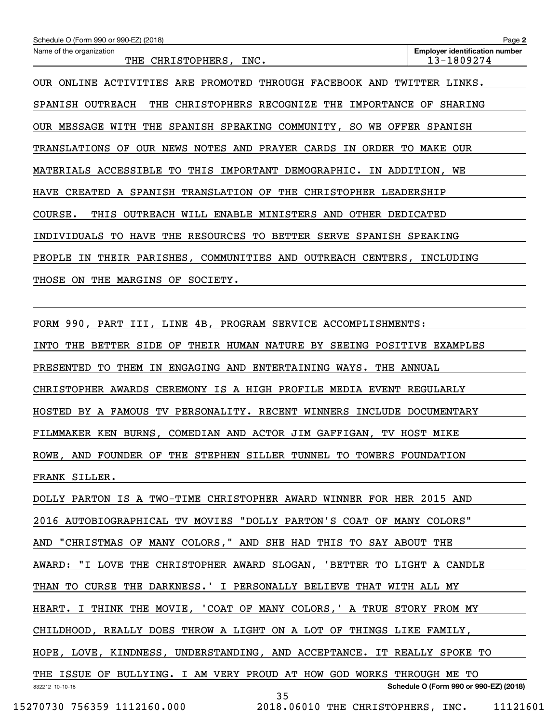| Schedule O (Form 990 or 990-EZ) (2018)                                                          | Page 2                                              |
|-------------------------------------------------------------------------------------------------|-----------------------------------------------------|
| Name of the organization<br>THE CHRISTOPHERS, INC.                                              | <b>Employer identification number</b><br>13-1809274 |
| OUR ONLINE ACTIVITIES ARE PROMOTED THROUGH FACEBOOK AND TWITTER LINKS.                          |                                                     |
| SPANISH OUTREACH<br>THE<br>CHRISTOPHERS RECOGNIZE THE IMPORTANCE OF SHARING                     |                                                     |
| OUR MESSAGE WITH THE SPANISH SPEAKING COMMUNITY, SO WE OFFER SPANISH                            |                                                     |
| TRANSLATIONS OF OUR NEWS NOTES AND PRAYER CARDS IN ORDER TO MAKE OUR                            |                                                     |
| MATERIALS ACCESSIBLE TO THIS IMPORTANT DEMOGRAPHIC. IN ADDITION, WE                             |                                                     |
| HAVE CREATED A SPANISH TRANSLATION OF<br>THE CHRISTOPHER LEADERSHIP                             |                                                     |
| COURSE.<br>THIS OUTREACH WILL ENABLE MINISTERS AND OTHER DEDICATED                              |                                                     |
| INDIVIDUALS TO HAVE THE RESOURCES TO BETTER SERVE SPANISH SPEAKING                              |                                                     |
| PEOPLE IN THEIR PARISHES, COMMUNITIES AND OUTREACH CENTERS, INCLUDING                           |                                                     |
| THOSE ON THE MARGINS OF SOCIETY.                                                                |                                                     |
|                                                                                                 |                                                     |
| FORM 990, PART III, LINE 4B, PROGRAM SERVICE ACCOMPLISHMENTS:                                   |                                                     |
| INTO THE BETTER SIDE OF THEIR HUMAN NATURE BY SEEING POSITIVE EXAMPLES                          |                                                     |
| PRESENTED TO THEM IN ENGAGING AND ENTERTAINING WAYS. THE ANNUAL                                 |                                                     |
| CHRISTOPHER AWARDS CEREMONY IS A HIGH PROFILE MEDIA EVENT REGULARLY                             |                                                     |
| HOSTED BY A FAMOUS TV PERSONALITY. RECENT WINNERS INCLUDE DOCUMENTARY                           |                                                     |
| FILMMAKER KEN BURNS, COMEDIAN AND ACTOR JIM GAFFIGAN, TV HOST MIKE                              |                                                     |
| ROWE, AND FOUNDER OF THE STEPHEN SILLER TUNNEL TO TOWERS FOUNDATION                             |                                                     |
| FRANK SILLER.                                                                                   |                                                     |
| DOLLY PARTON IS A TWO-TIME CHRISTOPHER AWARD WINNER FOR HER 2015 AND                            |                                                     |
| 2016 AUTOBIOGRAPHICAL TV MOVIES "DOLLY PARTON'S COAT OF MANY COLORS"                            |                                                     |
| AND "CHRISTMAS OF MANY COLORS," AND SHE HAD THIS TO SAY ABOUT THE                               |                                                     |
| AWARD: "I LOVE THE CHRISTOPHER AWARD SLOGAN, 'BETTER TO LIGHT A CANDLE                          |                                                     |
| THAN TO CURSE THE DARKNESS.' I PERSONALLY BELIEVE THAT WITH ALL MY                              |                                                     |
| HEART. I THINK THE MOVIE, 'COAT OF MANY COLORS,' A TRUE STORY FROM MY                           |                                                     |
| CHILDHOOD, REALLY DOES THROW A LIGHT ON A LOT OF THINGS LIKE FAMILY,                            |                                                     |
| HOPE, LOVE, KINDNESS, UNDERSTANDING, AND ACCEPTANCE. IT REALLY SPOKE TO                         |                                                     |
| THE ISSUE OF BULLYING. I AM VERY PROUD AT HOW GOD WORKS THROUGH ME TO                           |                                                     |
| 832212 10-10-18<br>35<br>15270730 756359 1112160.000 2018.06010 THE CHRISTOPHERS, INC. 11121601 | Schedule O (Form 990 or 990-EZ) (2018)              |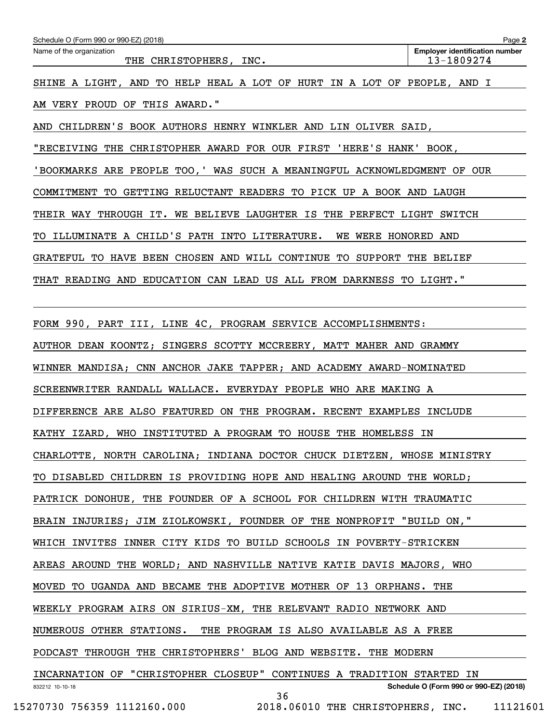| Name of the organization<br>THE CHRISTOPHERS, INC.                      | <b>Employer identification number</b><br>13-1809274                                     |
|-------------------------------------------------------------------------|-----------------------------------------------------------------------------------------|
| SHINE A LIGHT, AND TO HELP HEAL A LOT OF HURT IN A LOT OF PEOPLE, AND I |                                                                                         |
| AM VERY PROUD OF THIS AWARD."                                           |                                                                                         |
| AND CHILDREN'S BOOK AUTHORS HENRY WINKLER AND LIN OLIVER SAID,          |                                                                                         |
| "RECEIVING THE CHRISTOPHER AWARD FOR OUR FIRST 'HERE'S HANK' BOOK,      |                                                                                         |
| 'BOOKMARKS ARE PEOPLE TOO,' WAS SUCH A MEANINGFUL ACKNOWLEDGMENT OF OUR |                                                                                         |
| COMMITMENT TO GETTING RELUCTANT READERS TO PICK UP A BOOK AND LAUGH     |                                                                                         |
| THEIR WAY THROUGH IT. WE BELIEVE LAUGHTER IS THE PERFECT LIGHT SWITCH   |                                                                                         |
| TO ILLUMINATE A CHILD'S PATH INTO LITERATURE.<br>WE WERE HONORED AND    |                                                                                         |
| GRATEFUL TO HAVE BEEN CHOSEN AND WILL CONTINUE TO SUPPORT THE BELIEF    |                                                                                         |
| THAT READING AND EDUCATION CAN LEAD US ALL FROM DARKNESS TO LIGHT."     |                                                                                         |
|                                                                         |                                                                                         |
| FORM 990, PART III, LINE 4C, PROGRAM SERVICE ACCOMPLISHMENTS:           |                                                                                         |
| AUTHOR DEAN KOONTZ; SINGERS SCOTTY MCCREERY, MATT MAHER AND GRAMMY      |                                                                                         |
| WINNER MANDISA; CNN ANCHOR JAKE TAPPER; AND ACADEMY AWARD-NOMINATED     |                                                                                         |
| SCREENWRITER RANDALL WALLACE. EVERYDAY PEOPLE WHO ARE MAKING A          |                                                                                         |
| DIFFERENCE ARE ALSO FEATURED ON THE PROGRAM. RECENT EXAMPLES INCLUDE    |                                                                                         |
| KATHY IZARD, WHO INSTITUTED A PROGRAM TO HOUSE THE HOMELESS IN          |                                                                                         |
| CHARLOTTE, NORTH CAROLINA; INDIANA DOCTOR CHUCK DIETZEN, WHOSE MINISTRY |                                                                                         |
| TO DISABLED CHILDREN IS PROVIDING HOPE AND HEALING AROUND THE WORLD;    |                                                                                         |
| PATRICK DONOHUE, THE FOUNDER OF A SCHOOL FOR CHILDREN WITH TRAUMATIC    |                                                                                         |
| BRAIN INJURIES; JIM ZIOLKOWSKI, FOUNDER OF THE NONPROFIT "BUILD ON,"    |                                                                                         |
| WHICH INVITES INNER CITY KIDS TO BUILD SCHOOLS IN POVERTY-STRICKEN      |                                                                                         |
| AREAS AROUND THE WORLD; AND NASHVILLE NATIVE KATIE DAVIS MAJORS, WHO    |                                                                                         |
| MOVED TO UGANDA AND BECAME THE ADOPTIVE MOTHER OF 13 ORPHANS. THE       |                                                                                         |
| WEEKLY PROGRAM AIRS ON SIRIUS-XM, THE RELEVANT RADIO NETWORK AND        |                                                                                         |
| NUMEROUS OTHER STATIONS.<br>THE PROGRAM IS ALSO AVAILABLE AS A FREE     |                                                                                         |
| PODCAST THROUGH THE CHRISTOPHERS' BLOG AND WEBSITE. THE MODERN          |                                                                                         |
| INCARNATION OF "CHRISTOPHER CLOSEUP" CONTINUES A TRADITION STARTED IN   |                                                                                         |
| 832212 10-10-18<br>36                                                   | Schedule O (Form 990 or 990-EZ) (2018)<br>2018.06010 THE CHRISTOPHERS, INC.<br>11121601 |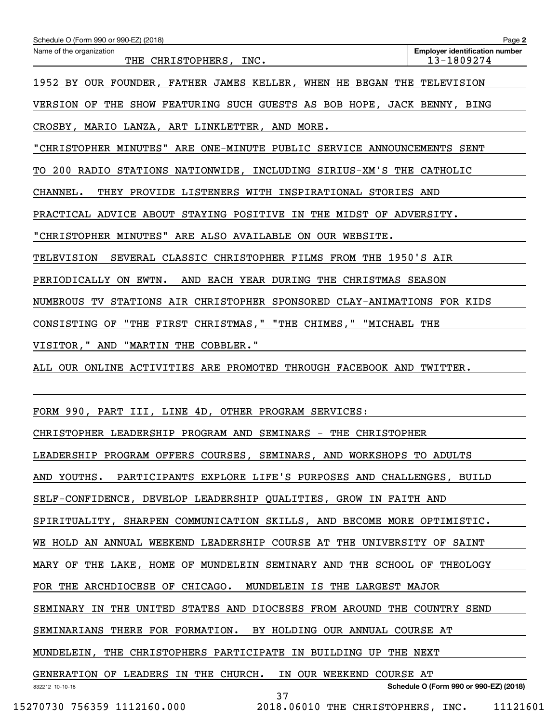| Schedule O (Form 990 or 990-EZ) (2018)<br>Name of the organization      |                                                       | Page 2<br><b>Employer identification number</b> |
|-------------------------------------------------------------------------|-------------------------------------------------------|-------------------------------------------------|
| THE CHRISTOPHERS, INC.                                                  |                                                       | 13-1809274                                      |
| 1952 BY OUR FOUNDER, FATHER JAMES KELLER, WHEN HE BEGAN THE TELEVISION  |                                                       |                                                 |
| VERSION OF THE SHOW FEATURING SUCH GUESTS AS BOB HOPE, JACK BENNY, BING |                                                       |                                                 |
| CROSBY, MARIO LANZA, ART LINKLETTER, AND MORE.                          |                                                       |                                                 |
| "CHRISTOPHER MINUTES" ARE ONE-MINUTE PUBLIC SERVICE ANNOUNCEMENTS SENT  |                                                       |                                                 |
| TO 200 RADIO STATIONS NATIONWIDE, INCLUDING SIRIUS-XM'S THE CATHOLIC    |                                                       |                                                 |
| CHANNEL.                                                                | THEY PROVIDE LISTENERS WITH INSPIRATIONAL STORIES AND |                                                 |
| PRACTICAL ADVICE ABOUT STAYING POSITIVE IN THE MIDST OF ADVERSITY.      |                                                       |                                                 |
| "CHRISTOPHER MINUTES" ARE ALSO AVAILABLE ON OUR WEBSITE.                |                                                       |                                                 |
| <b>TELEVISION</b>                                                       | SEVERAL CLASSIC CHRISTOPHER FILMS FROM THE 1950'S AIR |                                                 |
| PERIODICALLY ON EWTN.                                                   | AND EACH YEAR DURING THE CHRISTMAS SEASON             |                                                 |
| NUMEROUS TV STATIONS AIR CHRISTOPHER SPONSORED CLAY-ANIMATIONS FOR KIDS |                                                       |                                                 |
| CONSISTING OF                                                           | "THE FIRST CHRISTMAS, " "THE CHIMES, " "MICHAEL THE   |                                                 |
| VISITOR, " AND "MARTIN THE COBBLER."                                    |                                                       |                                                 |
| ALL OUR ONLINE ACTIVITIES ARE PROMOTED THROUGH FACEBOOK AND TWITTER.    |                                                       |                                                 |
|                                                                         |                                                       |                                                 |
| FORM 990, PART III, LINE 4D, OTHER PROGRAM SERVICES:                    |                                                       |                                                 |
| CHRISTOPHER LEADERSHIP PROGRAM AND SEMINARS - THE CHRISTOPHER           |                                                       |                                                 |
| LEADERSHIP PROGRAM OFFERS COURSES, SEMINARS, AND WORKSHOPS TO ADULTS    |                                                       |                                                 |
| AND YOUTHS. PARTICIPANTS EXPLORE LIFE'S PURPOSES AND CHALLENGES, BUILD  |                                                       |                                                 |
| SELF-CONFIDENCE, DEVELOP LEADERSHIP QUALITIES, GROW IN FAITH AND        |                                                       |                                                 |
| SPIRITUALITY, SHARPEN COMMUNICATION SKILLS, AND BECOME MORE OPTIMISTIC. |                                                       |                                                 |
| WE HOLD AN ANNUAL WEEKEND LEADERSHIP COURSE AT THE UNIVERSITY OF SAINT  |                                                       |                                                 |
| MARY OF THE LAKE, HOME OF MUNDELEIN SEMINARY AND THE SCHOOL OF THEOLOGY |                                                       |                                                 |
| FOR THE ARCHDIOCESE OF CHICAGO. MUNDELEIN IS THE LARGEST MAJOR          |                                                       |                                                 |
| SEMINARY IN THE UNITED STATES AND DIOCESES FROM AROUND THE COUNTRY SEND |                                                       |                                                 |
| SEMINARIANS THERE FOR FORMATION. BY HOLDING OUR ANNUAL COURSE AT        |                                                       |                                                 |
| MUNDELEIN, THE CHRISTOPHERS PARTICIPATE IN BUILDING UP THE NEXT         |                                                       |                                                 |
| GENERATION OF LEADERS IN THE CHURCH.                                    | IN OUR WEEKEND COURSE AT                              |                                                 |
| 832212 10-10-18                                                         | 37                                                    | Schedule O (Form 990 or 990-EZ) (2018)          |
| 15270730 756359 1112160.000                                             | 2018.06010 THE CHRISTOPHERS, INC.                     | 11121601                                        |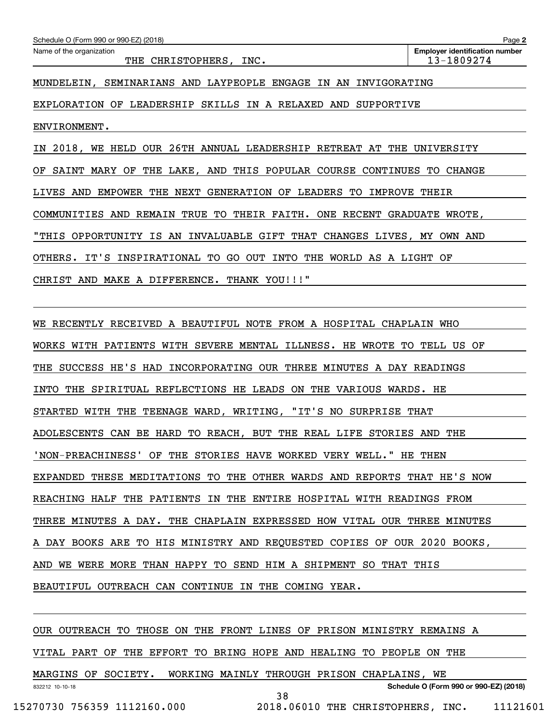| Schedule O (Form 990 or 990-EZ) (2018)                                    | Page 2                                              |  |
|---------------------------------------------------------------------------|-----------------------------------------------------|--|
| Name of the organization<br>THE CHRISTOPHERS, INC.                        | <b>Employer identification number</b><br>13-1809274 |  |
| MUNDELEIN, SEMINARIANS AND LAYPEOPLE ENGAGE IN AN INVIGORATING            |                                                     |  |
| EXPLORATION OF LEADERSHIP SKILLS IN A RELAXED AND SUPPORTIVE              |                                                     |  |
| ENVIRONMENT.                                                              |                                                     |  |
| IN 2018, WE HELD OUR 26TH ANNUAL LEADERSHIP RETREAT AT THE UNIVERSITY     |                                                     |  |
| SAINT MARY OF THE LAKE, AND THIS POPULAR COURSE CONTINUES TO CHANGE<br>OF |                                                     |  |
| LIVES AND EMPOWER THE NEXT GENERATION OF LEADERS TO IMPROVE THEIR         |                                                     |  |
| COMMUNITIES AND REMAIN TRUE TO THEIR FAITH. ONE RECENT GRADUATE WROTE,    |                                                     |  |
| "THIS OPPORTUNITY IS AN INVALUABLE GIFT THAT CHANGES LIVES, MY OWN AND    |                                                     |  |
| OTHERS. IT'S INSPIRATIONAL TO GO OUT INTO THE WORLD AS A LIGHT OF         |                                                     |  |
| CHRIST AND MAKE A DIFFERENCE. THANK YOU!!!"                               |                                                     |  |
|                                                                           |                                                     |  |
| WE RECENTLY RECEIVED A BEAUTIFUL NOTE FROM A HOSPITAL CHAPLAIN WHO        |                                                     |  |
| WORKS WITH PATIENTS WITH SEVERE MENTAL ILLNESS. HE WROTE TO TELL US OF    |                                                     |  |
| SUCCESS HE'S HAD INCORPORATING OUR THREE MINUTES A DAY READINGS<br>THE    |                                                     |  |
| INTO THE SPIRITUAL REFLECTIONS HE LEADS ON THE VARIOUS WARDS. HE          |                                                     |  |
| STARTED WITH THE TEENAGE WARD, WRITING, "IT'S NO SURPRISE THAT            |                                                     |  |
| ADOLESCENTS CAN BE HARD TO REACH, BUT THE REAL LIFE STORIES AND THE       |                                                     |  |
| 'NON-PREACHINESS' OF THE STORIES HAVE WORKED VERY WELL." HE THEN          |                                                     |  |

EXPANDED THESE MEDITATIONS TO THE OTHER WARDS AND REPORTS THAT HE'S NOW

REACHING HALF THE PATIENTS IN THE ENTIRE HOSPITAL WITH READINGS FROM

THREE MINUTES A DAY. THE CHAPLAIN EXPRESSED HOW VITAL OUR THREE MINUTES

A DAY BOOKS ARE TO HIS MINISTRY AND REQUESTED COPIES OF OUR 2020 BOOKS,

AND WE WERE MORE THAN HAPPY TO SEND HIM A SHIPMENT SO THAT THIS

BEAUTIFUL OUTREACH CAN CONTINUE IN THE COMING YEAR.

OUR OUTREACH TO THOSE ON THE FRONT LINES OF PRISON MINISTRY REMAINS A

VITAL PART OF THE EFFORT TO BRING HOPE AND HEALING TO PEOPLE ON THE

| MARGINS OF SOCIETY. | WORKING MAINLY<br>THROUGH PRISON CHAPLAINS | WЕ                                     |
|---------------------|--------------------------------------------|----------------------------------------|
| 832212 10-10-18     |                                            | Schedule O (Form 990 or 990-EZ) (2018) |
|                     | າ ດ<br>ه د                                 |                                        |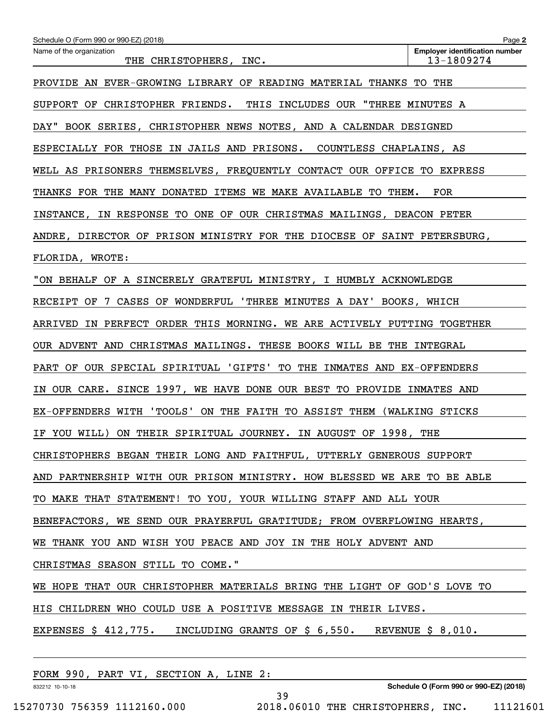| Schedule O (Form 990 or 990-EZ) (2018)                                      | Page 2                                              |  |
|-----------------------------------------------------------------------------|-----------------------------------------------------|--|
| Name of the organization<br>THE CHRISTOPHERS,<br>INC.                       | <b>Employer identification number</b><br>13-1809274 |  |
| PROVIDE AN EVER-GROWING LIBRARY OF READING MATERIAL THANKS TO THE           |                                                     |  |
| THIS INCLUDES OUR "THREE MINUTES A<br>SUPPORT OF CHRISTOPHER FRIENDS.       |                                                     |  |
| DAY" BOOK SERIES, CHRISTOPHER NEWS NOTES, AND A CALENDAR DESIGNED           |                                                     |  |
| ESPECIALLY FOR THOSE IN JAILS AND PRISONS.<br>COUNTLESS CHAPLAINS, AS       |                                                     |  |
| WELL AS PRISONERS THEMSELVES, FREQUENTLY CONTACT OUR OFFICE TO EXPRESS      |                                                     |  |
| THANKS FOR THE MANY DONATED ITEMS WE MAKE AVAILABLE TO THEM.                | <b>FOR</b>                                          |  |
| INSTANCE, IN RESPONSE TO ONE OF OUR CHRISTMAS MAILINGS, DEACON PETER        |                                                     |  |
| ANDRE, DIRECTOR OF PRISON MINISTRY FOR THE DIOCESE OF SAINT PETERSBURG,     |                                                     |  |
| FLORIDA, WROTE:                                                             |                                                     |  |
| "ON BEHALF OF A SINCERELY GRATEFUL MINISTRY, I HUMBLY ACKNOWLEDGE           |                                                     |  |
| 7 CASES OF WONDERFUL 'THREE MINUTES A DAY' BOOKS, WHICH<br>RECEIPT OF       |                                                     |  |
| ARRIVED IN PERFECT ORDER THIS MORNING. WE ARE ACTIVELY PUTTING TOGETHER     |                                                     |  |
| OUR ADVENT AND CHRISTMAS MAILINGS. THESE BOOKS WILL BE THE INTEGRAL         |                                                     |  |
| OF OUR SPECIAL SPIRITUAL 'GIFTS'<br>TO THE INMATES AND EX-OFFENDERS<br>PART |                                                     |  |
| OUR CARE. SINCE 1997, WE HAVE DONE OUR BEST TO PROVIDE INMATES AND<br>IN.   |                                                     |  |
| ON THE FAITH TO ASSIST THEM (WALKING STICKS<br>EX-OFFENDERS WITH<br>'TOOLS' |                                                     |  |
| YOU WILL) ON THEIR SPIRITUAL JOURNEY. IN AUGUST OF 1998,<br>ΙF              | THE                                                 |  |
| CHRISTOPHERS BEGAN THEIR LONG AND FAITHFUL, UTTERLY GENEROUS SUPPORT        |                                                     |  |
| AND PARTNERSHIP WITH OUR PRISON MINISTRY. HOW BLESSED WE ARE TO BE ABLE     |                                                     |  |
| TO MAKE THAT STATEMENT! TO YOU, YOUR WILLING STAFF AND ALL YOUR             |                                                     |  |
| BENEFACTORS, WE SEND OUR PRAYERFUL GRATITUDE; FROM OVERFLOWING HEARTS,      |                                                     |  |
| WE THANK YOU AND WISH YOU PEACE AND JOY IN THE HOLY ADVENT AND              |                                                     |  |
| CHRISTMAS SEASON STILL TO COME."                                            |                                                     |  |
| WE HOPE THAT OUR CHRISTOPHER MATERIALS BRING THE LIGHT OF GOD'S LOVE TO     |                                                     |  |
| HIS CHILDREN WHO COULD USE A POSITIVE MESSAGE IN THEIR LIVES.               |                                                     |  |
| INCLUDING GRANTS OF $$6,550.$ REVENUE $$8,010.$<br>EXPENSES $$412,775$ .    |                                                     |  |

39

|--|

832212 10-10-18

**Schedule O (Form 990 or 990-EZ) (2018)**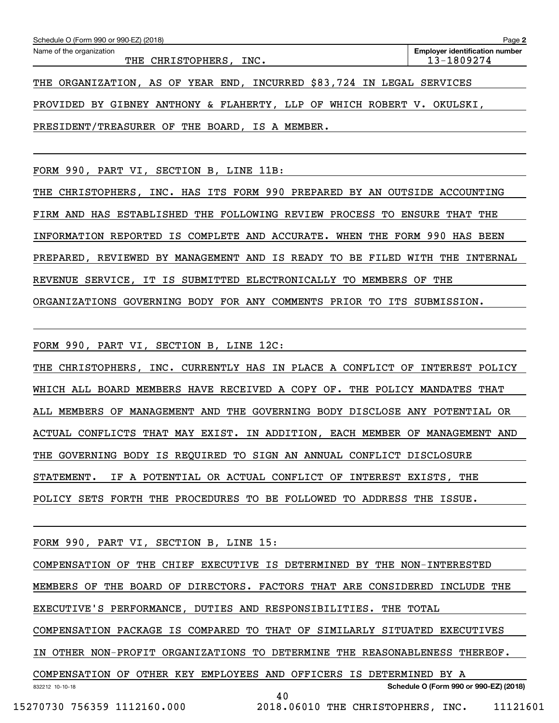| Schedule O (Form 990 or 990-EZ) (2018)                                 | Page 2                                              |
|------------------------------------------------------------------------|-----------------------------------------------------|
| Name of the organization<br>THE CHRISTOPHERS, INC.                     | <b>Employer identification number</b><br>13-1809274 |
| THE ORGANIZATION, AS OF YEAR END, INCURRED \$83,724 IN LEGAL SERVICES  |                                                     |
| PROVIDED BY GIBNEY ANTHONY & FLAHERTY, LLP OF WHICH ROBERT V. OKULSKI, |                                                     |
| PRESIDENT/TREASURER OF THE BOARD, IS A MEMBER.                         |                                                     |

FORM 990, PART VI, SECTION B, LINE 11B:

THE CHRISTOPHERS, INC. HAS ITS FORM 990 PREPARED BY AN OUTSIDE ACCOUNTING FIRM AND HAS ESTABLISHED THE FOLLOWING REVIEW PROCESS TO ENSURE THAT THE INFORMATION REPORTED IS COMPLETE AND ACCURATE. WHEN THE FORM 990 HAS BEEN PREPARED, REVIEWED BY MANAGEMENT AND IS READY TO BE FILED WITH THE INTERNAL REVENUE SERVICE, IT IS SUBMITTED ELECTRONICALLY TO MEMBERS OF THE ORGANIZATIONS GOVERNING BODY FOR ANY COMMENTS PRIOR TO ITS SUBMISSION.

FORM 990, PART VI, SECTION B, LINE 12C:

THE CHRISTOPHERS, INC. CURRENTLY HAS IN PLACE A CONFLICT OF INTEREST POLICY WHICH ALL BOARD MEMBERS HAVE RECEIVED A COPY OF. THE POLICY MANDATES THAT ALL MEMBERS OF MANAGEMENT AND THE GOVERNING BODY DISCLOSE ANY POTENTIAL OR ACTUAL CONFLICTS THAT MAY EXIST. IN ADDITION, EACH MEMBER OF MANAGEMENT AND THE GOVERNING BODY IS REQUIRED TO SIGN AN ANNUAL CONFLICT DISCLOSURE STATEMENT. IF A POTENTIAL OR ACTUAL CONFLICT OF INTEREST EXISTS, THE POLICY SETS FORTH THE PROCEDURES TO BE FOLLOWED TO ADDRESS THE ISSUE.

FORM 990, PART VI, SECTION B, LINE 15:

COMPENSATION OF THE CHIEF EXECUTIVE IS DETERMINED BY THE NON-INTERESTED

MEMBERS OF THE BOARD OF DIRECTORS. FACTORS THAT ARE CONSIDERED INCLUDE THE

EXECUTIVE'S PERFORMANCE, DUTIES AND RESPONSIBILITIES. THE TOTAL

COMPENSATION PACKAGE IS COMPARED TO THAT OF SIMILARLY SITUATED EXECUTIVES

IN OTHER NON-PROFIT ORGANIZATIONS TO DETERMINE THE REASONABLENESS THEREOF.

832212 10-10-18 **Schedule O (Form 990 or 990-EZ) (2018)** COMPENSATION OF OTHER KEY EMPLOYEES AND OFFICERS IS DETERMINED BY A 40